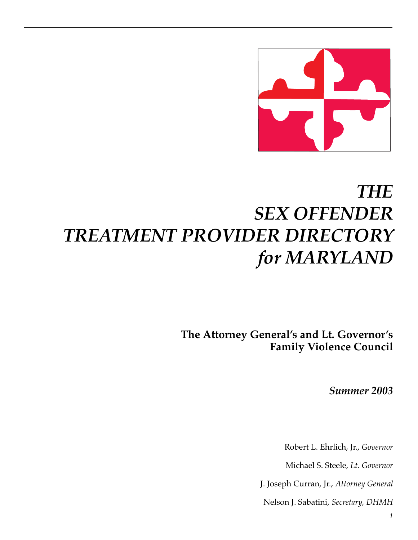

# *THE SEX OFFENDER TREATMENT PROVIDER DIRECTORY for MARYLAND*

**The Attorney General's and Lt. Governor's Family Violence Council**

*Summer 2003*

Robert L. Ehrlich, Jr., *Governor*

Michael S. Steele, *Lt. Governor*

J. Joseph Curran, Jr., *Attorney General*

Nelson J. Sabatini, *Secretary, DHMH*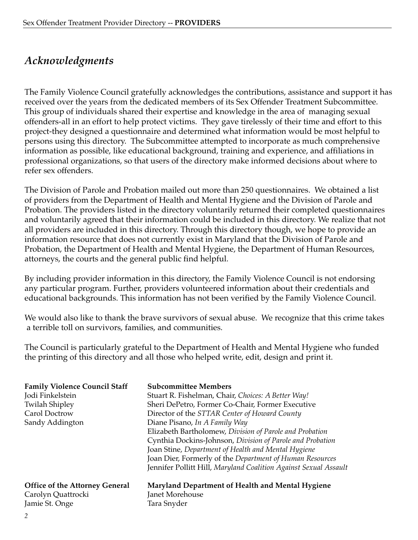# *Acknowledgments*

The Family Violence Council gratefully acknowledges the contributions, assistance and support it has received over the years from the dedicated members of its Sex Offender Treatment Subcommittee. This group of individuals shared their expertise and knowledge in the area of managing sexual offenders-all in an effort to help protect victims. They gave tirelessly of their time and effort to this project-they designed a questionnaire and determined what information would be most helpful to persons using this directory. The Subcommittee attempted to incorporate as much comprehensive information as possible, like educational background, training and experience, and affiliations in professional organizations, so that users of the directory make informed decisions about where to refer sex offenders.

The Division of Parole and Probation mailed out more than 250 questionnaires. We obtained a list of providers from the Department of Health and Mental Hygiene and the Division of Parole and Probation. The providers listed in the directory voluntarily returned their completed questionnaires and voluntarily agreed that their information could be included in this directory. We realize that not all providers are included in this directory. Through this directory though, we hope to provide an information resource that does not currently exist in Maryland that the Division of Parole and Probation, the Department of Health and Mental Hygiene, the Department of Human Resources, attorneys, the courts and the general public find helpful.

By including provider information in this directory, the Family Violence Council is not endorsing any particular program. Further, providers volunteered information about their credentials and educational backgrounds. This information has not been verified by the Family Violence Council.

We would also like to thank the brave survivors of sexual abuse. We recognize that this crime takes a terrible toll on survivors, families, and communities.

The Council is particularly grateful to the Department of Health and Mental Hygiene who funded the printing of this directory and all those who helped write, edit, design and print it.

| <b>Family Violence Council Staff</b><br>Jodi Finkelstein<br><b>Twilah Shipley</b><br>Carol Doctrow<br>Sandy Addington | <b>Subcommittee Members</b><br>Stuart R. Fishelman, Chair, Choices: A Better Way!<br>Sheri DePetro, Former Co-Chair, Former Executive<br>Director of the STTAR Center of Howard County<br>Diane Pisano, In A Family Way<br>Elizabeth Bartholomew, Division of Parole and Probation<br>Cynthia Dockins-Johnson, Division of Parole and Probation<br>Joan Stine, Department of Health and Mental Hygiene<br>Joan Dier, Formerly of the Department of Human Resources<br>Jennifer Pollitt Hill, Maryland Coalition Against Sexual Assault |
|-----------------------------------------------------------------------------------------------------------------------|----------------------------------------------------------------------------------------------------------------------------------------------------------------------------------------------------------------------------------------------------------------------------------------------------------------------------------------------------------------------------------------------------------------------------------------------------------------------------------------------------------------------------------------|
| <b>Office of the Attorney General</b>                                                                                 | Maryland Department of Health and Mental Hygiene                                                                                                                                                                                                                                                                                                                                                                                                                                                                                       |
| Carolyn Quattrocki                                                                                                    | Janet Morehouse                                                                                                                                                                                                                                                                                                                                                                                                                                                                                                                        |
| Jamie St. Onge                                                                                                        | Tara Snyder                                                                                                                                                                                                                                                                                                                                                                                                                                                                                                                            |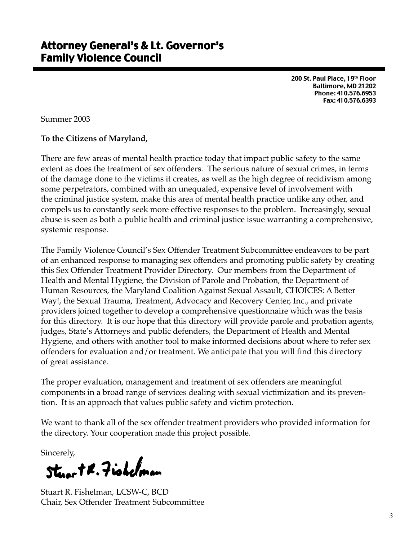200 St. Paul Place, 19th Floor Baltimore, MD 21202 Phone: 410.576.6953 Fax: 410.576.6393

Summer 2003

#### **To the Citizens of Maryland,**

There are few areas of mental health practice today that impact public safety to the same extent as does the treatment of sex offenders. The serious nature of sexual crimes, in terms of the damage done to the victims it creates, as well as the high degree of recidivism among some perpetrators, combined with an unequaled, expensive level of involvement with the criminal justice system, make this area of mental health practice unlike any other, and compels us to constantly seek more effective responses to the problem. Increasingly, sexual abuse is seen as both a public health and criminal justice issue warranting a comprehensive, systemic response.

The Family Violence Council's Sex Offender Treatment Subcommittee endeavors to be part of an enhanced response to managing sex offenders and promoting public safety by creating this Sex Offender Treatment Provider Directory. Our members from the Department of Health and Mental Hygiene, the Division of Parole and Probation, the Department of Human Resources, the Maryland Coalition Against Sexual Assault, CHOICES: A Better Way!, the Sexual Trauma, Treatment, Advocacy and Recovery Center, Inc., and private providers joined together to develop a comprehensive questionnaire which was the basis for this directory. It is our hope that this directory will provide parole and probation agents, judges, State's Attorneys and public defenders, the Department of Health and Mental Hygiene, and others with another tool to make informed decisions about where to refer sex offenders for evaluation and/or treatment. We anticipate that you will find this directory of great assistance.

The proper evaluation, management and treatment of sex offenders are meaningful components in a broad range of services dealing with sexual victimization and its prevention. It is an approach that values public safety and victim protection.

We want to thank all of the sex offender treatment providers who provided information for the directory. Your cooperation made this project possible.

Sincerely,

Stearth. Fishelman

Stuart R. Fishelman, LCSW-C, BCD Chair, Sex Offender Treatment Subcommittee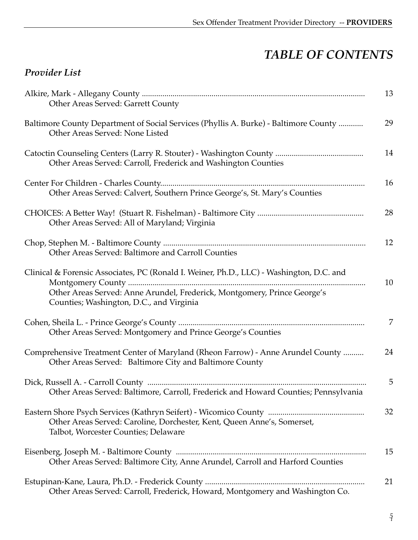# *TABLE OF CONTENTS*

# *Provider List*

| 13<br>Other Areas Served: Garrett County                                                                                                                                                                               |
|------------------------------------------------------------------------------------------------------------------------------------------------------------------------------------------------------------------------|
| 29<br>Baltimore County Department of Social Services (Phyllis A. Burke) - Baltimore County<br>Other Areas Served: None Listed                                                                                          |
| 14<br>Other Areas Served: Carroll, Frederick and Washington Counties                                                                                                                                                   |
| 16<br>Other Areas Served: Calvert, Southern Prince George's, St. Mary's Counties                                                                                                                                       |
| 28<br>Other Areas Served: All of Maryland; Virginia                                                                                                                                                                    |
| 12<br>Other Areas Served: Baltimore and Carroll Counties                                                                                                                                                               |
| Clinical & Forensic Associates, PC (Ronald I. Weiner, Ph.D., LLC) - Washington, D.C. and<br>10<br>Other Areas Served: Anne Arundel, Frederick, Montgomery, Prince George's<br>Counties; Washington, D.C., and Virginia |
| 7<br>Other Areas Served: Montgomery and Prince George's Counties                                                                                                                                                       |
| 24<br>Comprehensive Treatment Center of Maryland (Rheon Farrow) - Anne Arundel County<br>Other Areas Served: Baltimore City and Baltimore County                                                                       |
| 5<br>Other Areas Served: Baltimore, Carroll, Frederick and Howard Counties; Pennsylvania                                                                                                                               |
| 32<br>Other Areas Served: Caroline, Dorchester, Kent, Queen Anne's, Somerset,<br>Talbot, Worcester Counties; Delaware                                                                                                  |
| 15<br>Other Areas Served: Baltimore City, Anne Arundel, Carroll and Harford Counties                                                                                                                                   |
| 21<br>Other Areas Served: Carroll, Frederick, Howard, Montgomery and Washington Co.                                                                                                                                    |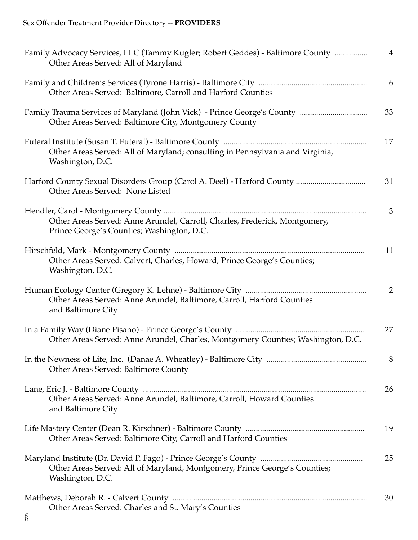| Family Advocacy Services, LLC (Tammy Kugler; Robert Geddes) - Baltimore County<br>Other Areas Served: All of Maryland    | $\overline{4}$ |
|--------------------------------------------------------------------------------------------------------------------------|----------------|
| Other Areas Served: Baltimore, Carroll and Harford Counties                                                              | 6              |
| Other Areas Served: Baltimore City, Montgomery County                                                                    | 33             |
| Other Areas Served: All of Maryland; consulting in Pennsylvania and Virginia,<br>Washington, D.C.                        | 17             |
| Other Areas Served: None Listed                                                                                          | 31             |
|                                                                                                                          | 3              |
| Other Areas Served: Anne Arundel, Carroll, Charles, Frederick, Montgomery,<br>Prince George's Counties; Washington, D.C. |                |
|                                                                                                                          | 11             |
| Other Areas Served: Calvert, Charles, Howard, Prince George's Counties;<br>Washington, D.C.                              |                |
|                                                                                                                          | $\overline{2}$ |
| Other Areas Served: Anne Arundel, Baltimore, Carroll, Harford Counties<br>and Baltimore City                             |                |
|                                                                                                                          | 27             |
| Other Areas Served: Anne Arundel, Charles, Montgomery Counties; Washington, D.C.                                         |                |
|                                                                                                                          | 8              |
| Other Areas Served: Baltimore County                                                                                     |                |
|                                                                                                                          | 26             |
| Other Areas Served: Anne Arundel, Baltimore, Carroll, Howard Counties<br>and Baltimore City                              |                |
|                                                                                                                          | 19             |
| Other Areas Served: Baltimore City, Carroll and Harford Counties                                                         |                |
|                                                                                                                          | 25             |
| Other Areas Served: All of Maryland, Montgomery, Prince George's Counties;<br>Washington, D.C.                           |                |
|                                                                                                                          | 30             |
| Other Areas Served: Charles and St. Mary's Counties                                                                      |                |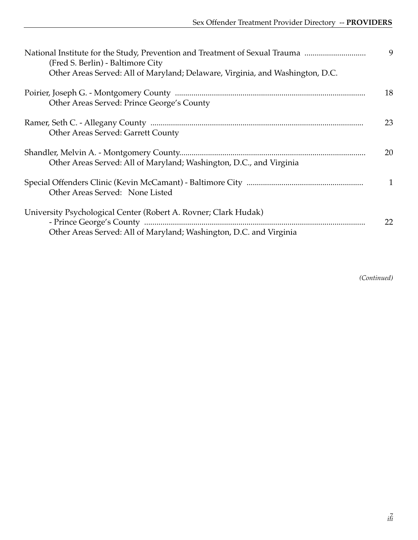| National Institute for the Study, Prevention and Treatment of Sexual Trauma<br>(Fred S. Berlin) - Baltimore City<br>Other Areas Served: All of Maryland; Delaware, Virginia, and Washington, D.C. | 9            |
|---------------------------------------------------------------------------------------------------------------------------------------------------------------------------------------------------|--------------|
| Other Areas Served: Prince George's County                                                                                                                                                        | 18           |
| Other Areas Served: Garrett County                                                                                                                                                                | 23           |
| Other Areas Served: All of Maryland; Washington, D.C., and Virginia                                                                                                                               | 20           |
| Other Areas Served: None Listed                                                                                                                                                                   | $\mathbf{1}$ |
| University Psychological Center (Robert A. Rovner; Clark Hudak)<br>Other Areas Served: All of Maryland; Washington, D.C. and Virginia                                                             | 22           |

*(Continued)*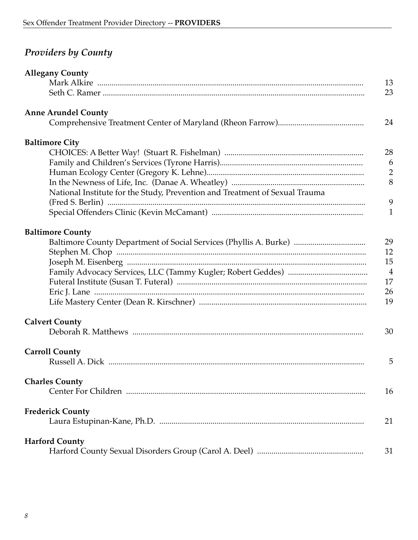| <b>Providers by County</b> |  |  |
|----------------------------|--|--|
|----------------------------|--|--|

| <b>Allegany County</b>                                                      |                |
|-----------------------------------------------------------------------------|----------------|
|                                                                             | 13             |
|                                                                             | 23             |
| <b>Anne Arundel County</b>                                                  |                |
|                                                                             | 24             |
| <b>Baltimore City</b>                                                       |                |
|                                                                             | 28             |
|                                                                             | 6              |
|                                                                             | $\overline{2}$ |
|                                                                             | 8              |
| National Institute for the Study, Prevention and Treatment of Sexual Trauma |                |
|                                                                             | 9              |
|                                                                             | $\mathbf{1}$   |
| <b>Baltimore County</b>                                                     |                |
| Baltimore County Department of Social Services (Phyllis A. Burke)           | 29             |
|                                                                             | 12             |
|                                                                             | 15             |
|                                                                             | $\overline{4}$ |
|                                                                             | 17             |
|                                                                             | 26             |
|                                                                             | 19             |
| <b>Calvert County</b>                                                       |                |
|                                                                             | 30             |
| <b>Carroll County</b>                                                       |                |
|                                                                             | 5              |
| <b>Charles County</b>                                                       |                |
|                                                                             | 16             |
| <b>Frederick County</b>                                                     |                |
|                                                                             | 21             |
| <b>Harford County</b>                                                       |                |
|                                                                             | 31             |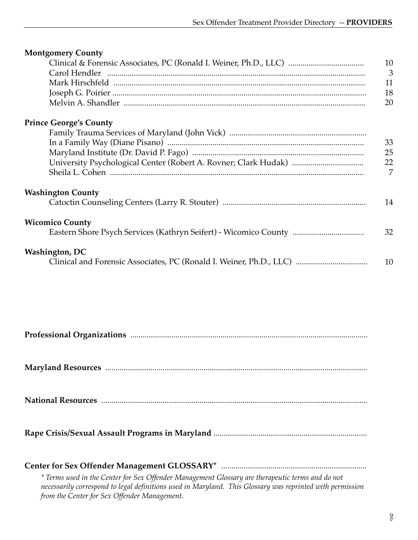| <b>Montgomery County</b>                                         |                |
|------------------------------------------------------------------|----------------|
|                                                                  | 10             |
| Carol Hendler                                                    | $\mathfrak{Z}$ |
|                                                                  | 11             |
|                                                                  | 18             |
|                                                                  | 20             |
| <b>Prince George's County</b>                                    |                |
|                                                                  |                |
|                                                                  | 33             |
|                                                                  | 25             |
|                                                                  | 22             |
|                                                                  | 7              |
| <b>Washington County</b>                                         |                |
|                                                                  | 14             |
| <b>Wicomico County</b>                                           |                |
| Eastern Shore Psych Services (Kathryn Seifert) - Wicomico County | 32             |
| <b>Washington, DC</b>                                            |                |
|                                                                  | 10             |
|                                                                  |                |
|                                                                  |                |
|                                                                  |                |

| * Terms used in the Center for Sex Offender Management Glossary are therapeutic terms and do not<br>necessarily correspond to legal definitions used in Maryland. This Glossary was reprinted with permission<br>from the Center for Sex Offender Management. |
|---------------------------------------------------------------------------------------------------------------------------------------------------------------------------------------------------------------------------------------------------------------|

*9 v*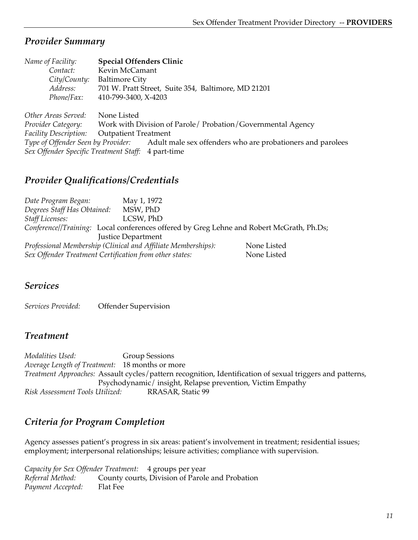| Name of Facility:                      | <b>Special Offenders Clinic</b>                                |
|----------------------------------------|----------------------------------------------------------------|
| Contact:                               | Kevin McCamant                                                 |
| City/County:                           | <b>Baltimore City</b>                                          |
| Address:                               | 701 W. Pratt Street, Suite 354, Baltimore, MD 21201            |
| Phone/Fax:                             | 410-799-3400, X-4203                                           |
|                                        |                                                                |
| Other Areas Served:                    | None Listed                                                    |
| Provider Category:                     | Work with Division of Parole / Probation / Governmental Agency |
| <b>Facility Description:</b>           | <b>Outpatient Treatment</b>                                    |
| Type of Offender Seen by Provider:     | Adult male sex offenders who are probationers and parolees     |
| Sex Offender Specific Treatment Staff: | 4 part-time                                                    |

### *Provider Qualifications/Credentials*

*Date Program Began:* May 1, 1972 *Degrees Staff Has Obtained:* MSW, PhD *Staff Licenses:* LCSW, PhD *Conference//Training:* Local conferences offered by Greg Lehne and Robert McGrath, Ph.Ds; Justice Department *Professional Membership (Clinical and Affiliate Memberships):* None Listed Sex Offender Treatment Certification from other states: None Listed

#### *Services*

*Services Provided:* Offender Supervision

#### *Treatment*

*Modalities Used:* Group Sessions *Average Length of Treatment:* 18 months or more *Treatment Approaches:* Assault cycles/pattern recognition, Identification of sexual triggers and patterns, Psychodynamic/ insight, Relapse prevention, Victim Empathy *Risk Assessment Tools Utilized:* RRASAR, Static 99

# *Criteria for Program Completion*

Agency assesses patient's progress in six areas: patient's involvement in treatment; residential issues; employment; interpersonal relationships; leisure activities; compliance with supervision.

*Capacity for Sex Offender Treatment:* 4 groups per year *Referral Method:* County courts, Division of Parole and Probation *Payment Accepted:* Flat Fee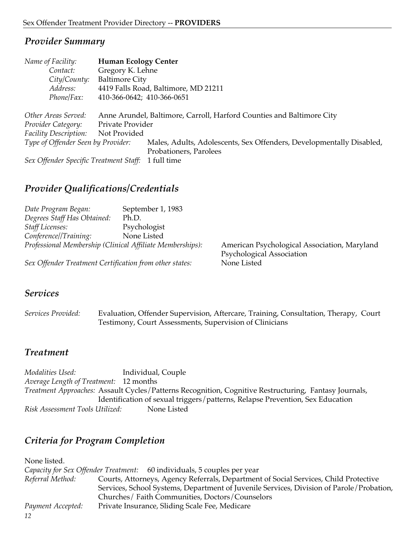| Name of Facility:                      | <b>Human Ecology Center</b> |                                                                       |
|----------------------------------------|-----------------------------|-----------------------------------------------------------------------|
| Contact:                               | Gregory K. Lehne            |                                                                       |
| City/County:                           | <b>Baltimore City</b>       |                                                                       |
| Address:                               |                             | 4419 Falls Road, Baltimore, MD 21211                                  |
| Phone/Fax:                             | 410-366-0642; 410-366-0651  |                                                                       |
| Other Areas Served:                    |                             | Anne Arundel, Baltimore, Carroll, Harford Counties and Baltimore City |
| Provider Category:                     | Private Provider            |                                                                       |
| Facility Description:                  | Not Provided                |                                                                       |
| Type of Offender Seen by Provider:     |                             | Males, Adults, Adolescents, Sex Offenders, Developmentally Disabled,  |
|                                        |                             | Probationers, Parolees                                                |
| Sex Offender Specific Treatment Staff: |                             | 1 full time                                                           |

# *Provider Qualifications/Credentials*

| Date Program Began:                                       | September 1, 1983 |                                              |
|-----------------------------------------------------------|-------------------|----------------------------------------------|
| Degrees Staff Has Obtained:                               | Ph.D.             |                                              |
| <b>Staff Licenses:</b>                                    | Psychologist      |                                              |
| Conference//Training:                                     | None Listed       |                                              |
| Professional Membership (Clinical Affiliate Memberships): |                   | American Psychological Association, Maryland |
|                                                           |                   | Psychological Association                    |
| Sex Offender Treatment Certification from other states:   |                   | None Listed                                  |

#### *Services*

*Services Provided:* Evaluation, Offender Supervision, Aftercare, Training, Consultation, Therapy, Court Testimony, Court Assessments, Supervision of Clinicians

#### *Treatment*

*Modalities Used:* Individual, Couple *Average Length of Treatment:* 12 months *Treatment Approaches:* Assault Cycles/Patterns Recognition, Cognitive Restructuring, Fantasy Journals, Identification of sexual triggers/patterns, Relapse Prevention, Sex Education *Risk Assessment Tools Utilized:* None Listed

# *Criteria for Program Completion*

*12* None listed. *Capacity for Sex Offender Treatment:* 60 individuals, 5 couples per year *Referral Method:* Courts, Attorneys, Agency Referrals, Department of Social Services, Child Protective Services, School Systems, Department of Juvenile Services, Division of Parole/Probation, Churches/ Faith Communities, Doctors/Counselors *Payment Accepted:* Private Insurance, Sliding Scale Fee, Medicare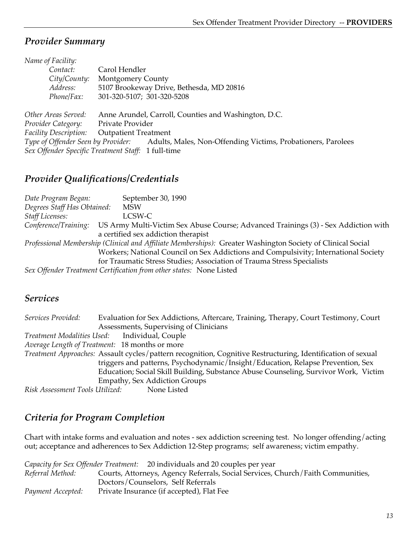| Carol Hendler                                                                                      |
|----------------------------------------------------------------------------------------------------|
| <b>Montgomery County</b>                                                                           |
| 5107 Brookeway Drive, Bethesda, MD 20816                                                           |
| 301-320-5107; 301-320-5208                                                                         |
|                                                                                                    |
| Anne Arundel, Carroll, Counties and Washington, D.C.                                               |
| Private Provider                                                                                   |
| <b>Outpatient Treatment</b>                                                                        |
| Type of Offender Seen by Provider:<br>Adults, Males, Non-Offending Victims, Probationers, Parolees |
| Sex Offender Specific Treatment Staff: 1 full-time                                                 |
|                                                                                                    |

# *Provider Qualifications/Credentials*

| Date Program Began:         | September 30, 1990                                                                                          |
|-----------------------------|-------------------------------------------------------------------------------------------------------------|
| Degrees Staff Has Obtained: | <b>MSW</b>                                                                                                  |
| <b>Staff Licenses:</b>      | LCSW-C                                                                                                      |
| Conference/Training:        | US Army Multi-Victim Sex Abuse Course; Advanced Trainings (3) - Sex Addiction with                          |
|                             | a certified sex addiction therapist                                                                         |
|                             | Professional Membership (Clinical and Affiliate Memberships): Greater Washington Society of Clinical Social |
|                             | Workers; National Council on Sex Addictions and Compulsivity; International Society                         |
|                             | for Traumatic Stress Studies; Association of Trauma Stress Specialists                                      |
|                             | Sex Offender Treatment Certification from other states: None Listed                                         |

# *Services*

| Services Provided:              | Evaluation for Sex Addictions, Aftercare, Training, Therapy, Court Testimony, Court                         |
|---------------------------------|-------------------------------------------------------------------------------------------------------------|
|                                 | Assessments, Supervising of Clinicians                                                                      |
|                                 | Treatment Modalities Used: Individual, Couple                                                               |
|                                 | Average Length of Treatment: 18 months or more                                                              |
|                                 | Treatment Approaches: Assault cycles/pattern recognition, Cognitive Restructuring, Identification of sexual |
|                                 | triggers and patterns, Psychodynamic/Insight/Education, Relapse Prevention, Sex                             |
|                                 | Education; Social Skill Building, Substance Abuse Counseling, Survivor Work, Victim                         |
|                                 | <b>Empathy, Sex Addiction Groups</b>                                                                        |
| Risk Assessment Tools Utilized: | None Listed                                                                                                 |

# *Criteria for Program Completion*

Chart with intake forms and evaluation and notes - sex addiction screening test. No longer offending/acting out; acceptance and adherences to Sex Addiction 12-Step programs; self awareness; victim empathy.

|                   | <i>Capacity for Sex Offender Treatment:</i> 20 individuals and 20 couples per year |
|-------------------|------------------------------------------------------------------------------------|
| Referral Method:  | Courts, Attorneys, Agency Referrals, Social Services, Church/Faith Communities,    |
|                   | Doctors/Counselors, Self Referrals                                                 |
| Payment Accepted: | Private Insurance (if accepted), Flat Fee                                          |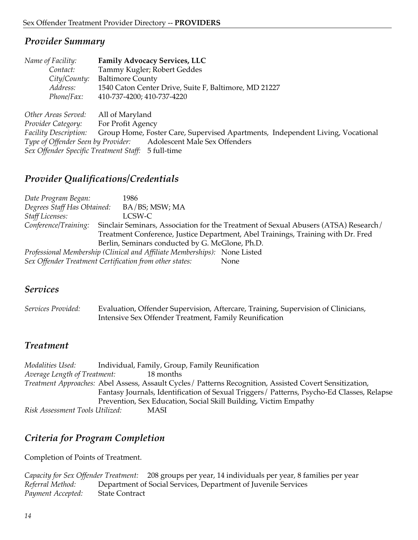| Name of Facility:                  | <b>Family Advocacy Services, LLC</b>                                           |
|------------------------------------|--------------------------------------------------------------------------------|
| Contact:                           | Tammy Kugler; Robert Geddes                                                    |
| City/County:                       | <b>Baltimore County</b>                                                        |
| Address:                           | 1540 Caton Center Drive, Suite F, Baltimore, MD 21227                          |
| Phone/Fax:                         | 410-737-4200; 410-737-4220                                                     |
| Other Areas Served:                | All of Maryland                                                                |
| Provider Category:                 | For Profit Agency                                                              |
| <b>Facility Description:</b>       | Group Home, Foster Care, Supervised Apartments, Independent Living, Vocational |
| Type of Offender Seen by Provider: | Adolescent Male Sex Offenders                                                  |
|                                    | Sex Offender Specific Treatment Staff: 5 full-time                             |

#### *Provider Qualifications/Credentials*

| Date Program Began:                                     | 1986                                                                      |                                                                                     |
|---------------------------------------------------------|---------------------------------------------------------------------------|-------------------------------------------------------------------------------------|
| Degrees Staff Has Obtained:                             | BA/BS; MSW; MA                                                            |                                                                                     |
| <b>Staff Licenses:</b>                                  | LCSW-C                                                                    |                                                                                     |
| Conference/Training:                                    |                                                                           | Sinclair Seminars, Association for the Treatment of Sexual Abusers (ATSA) Research/ |
|                                                         |                                                                           | Treatment Conference, Justice Department, Abel Trainings, Training with Dr. Fred    |
|                                                         | Berlin, Seminars conducted by G. McGlone, Ph.D.                           |                                                                                     |
|                                                         | Professional Membership (Clinical and Affiliate Memberships): None Listed |                                                                                     |
| Sex Offender Treatment Certification from other states: |                                                                           | None                                                                                |

#### *Services*

| Services Provided: | Evaluation, Offender Supervision, Aftercare, Training, Supervision of Clinicians, |  |
|--------------------|-----------------------------------------------------------------------------------|--|
|                    | Intensive Sex Offender Treatment, Family Reunification                            |  |

#### *Treatment*

*Modalities Used:* Individual, Family, Group, Family Reunification<br>*Average Length of Treatment:* 18 months Average Length of Treatment: *Treatment Approaches:* Abel Assess, Assault Cycles/ Patterns Recognition, Assisted Covert Sensitization, Fantasy Journals, Identification of Sexual Triggers/ Patterns, Psycho-Ed Classes, Relapse Prevention, Sex Education, Social Skill Building, Victim Empathy *Risk Assessment Tools Utilized:* MASI

# *Criteria for Program Completion*

Completion of Points of Treatment.

```
Capacity for Sex Offender Treatment: 208 groups per year, 14 individuals per year, 8 families per year
Referral Method: Department of Social Services, Department of Juvenile Services
Payment Accepted: State Contract
```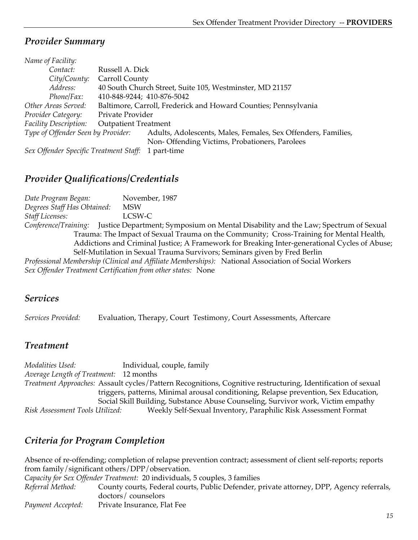| Name of Facility:                  |                                                                 |                                                               |
|------------------------------------|-----------------------------------------------------------------|---------------------------------------------------------------|
| Contact:                           | Russell A. Dick                                                 |                                                               |
| City/County:                       | Carroll County                                                  |                                                               |
| Address:                           |                                                                 | 40 South Church Street, Suite 105, Westminster, MD 21157      |
| Phone/Fax:                         | 410-848-9244; 410-876-5042                                      |                                                               |
| Other Areas Served:                | Baltimore, Carroll, Frederick and Howard Counties; Pennsylvania |                                                               |
| Provider Category:                 | Private Provider                                                |                                                               |
| <b>Facility Description:</b>       | <b>Outpatient Treatment</b>                                     |                                                               |
| Type of Offender Seen by Provider: |                                                                 | Adults, Adolescents, Males, Females, Sex Offenders, Families, |
|                                    |                                                                 | Non-Offending Victims, Probationers, Parolees                 |
|                                    |                                                                 |                                                               |

*Sex Offender Specific Treatment Staff:* 1 part-time

### *Provider Qualifications/Credentials*

*Date Program Began:* November, 1987 *Degrees Staff Has Obtained:* MSW *Staff Licenses:* LCSW-C *Conference/Training:* Justice Department; Symposium on Mental Disability and the Law; Spectrum of Sexual Trauma: The Impact of Sexual Trauma on the Community; Cross-Training for Mental Health, Addictions and Criminal Justice; A Framework for Breaking Inter-generational Cycles of Abuse; Self-Mutilation in Sexual Trauma Survivors; Seminars given by Fred Berlin *Professional Membership (Clinical and Affiliate Memberships):* National Association of Social Workers

*Sex Offender Treatment Certification from other states:* None

#### *Services*

*Services Provided:* Evaluation, Therapy, Court Testimony, Court Assessments, Aftercare

#### *Treatment*

*Modalities Used:* Individual, couple, family *Average Length of Treatment:* 12 months *Treatment Approaches:* Assault cycles/Pattern Recognitions, Cognitive restructuring, Identification of sexual triggers, patterns, Minimal arousal conditioning, Relapse prevention, Sex Education, Social Skill Building, Substance Abuse Counseling, Survivor work, Victim empathy *Risk Assessment Tools Utilized:* Weekly Self-Sexual Inventory, Paraphilic Risk Assessment Format

# *Criteria for Program Completion*

Absence of re-offending; completion of relapse prevention contract; assessment of client self-reports; reports from family/significant others/DPP/observation. *Capacity for Sex Offender Treatment:* 20 individuals, 5 couples, 3 families *Referral Method:* County courts, Federal courts, Public Defender, private attorney, DPP, Agency referrals, doctors/ counselors *Payment Accepted:* Private Insurance, Flat Fee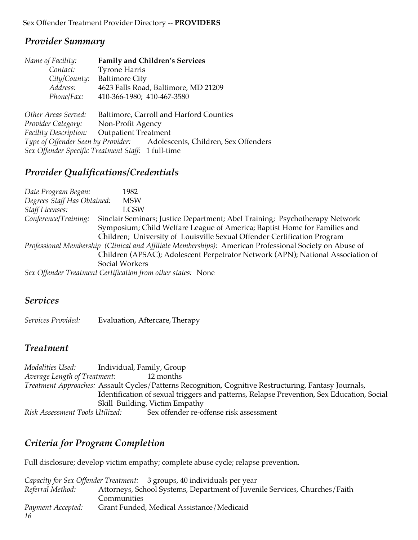| Name of Facility:            | <b>Family and Children's Services</b>                                   |
|------------------------------|-------------------------------------------------------------------------|
| Contact:                     | <b>Tyrone Harris</b>                                                    |
| City/County:                 | <b>Baltimore City</b>                                                   |
| Address:                     | 4623 Falls Road, Baltimore, MD 21209                                    |
| Phone/Fax:                   | 410-366-1980; 410-467-3580                                              |
|                              |                                                                         |
| Other Areas Served:          | Baltimore, Carroll and Harford Counties                                 |
| Provider Category:           | Non-Profit Agency                                                       |
| <b>Facility Description:</b> | <b>Outpatient Treatment</b>                                             |
|                              | Type of Offender Seen by Provider: Adolescents, Children, Sex Offenders |
|                              | Sex Offender Specific Treatment Staff: 1 full-time                      |
|                              |                                                                         |

#### *Provider Qualifications/Credentials*

*Date Program Began:* 1982 *Degrees Staff Has Obtained:* MSW *Staff Licenses:* LGSW *Conference/Training:* Sinclair Seminars; Justice Department; Abel Training; Psychotherapy Network Symposium; Child Welfare League of America; Baptist Home for Families and Children; University of Louisville Sexual Offender Certification Program *Professional Membership (Clinical and Affiliate Memberships):* American Professional Society on Abuse of Children (APSAC); Adolescent Perpetrator Network (APN); National Association of Social Workers *Sex Offender Treatment Certification from other states:* None

#### *Services*

*Services Provided:* Evaluation, Aftercare, Therapy

#### *Treatment*

*Modalities Used:* Individual, Family, Group *Average Length of Treatment:* 12 months *Treatment Approaches:* Assault Cycles/Patterns Recognition, Cognitive Restructuring, Fantasy Journals, Identification of sexual triggers and patterns, Relapse Prevention, Sex Education, Social Skill Building, Victim Empathy *Risk Assessment Tools Utilized:* Sex offender re-offense risk assessment

# *Criteria for Program Completion*

Full disclosure; develop victim empathy; complete abuse cycle; relapse prevention.

|                   | Capacity for Sex Offender Treatment: 3 groups, 40 individuals per year     |
|-------------------|----------------------------------------------------------------------------|
| Referral Method:  | Attorneys, School Systems, Department of Juvenile Services, Churches/Faith |
|                   | Communities                                                                |
| Payment Accepted: | Grant Funded, Medical Assistance/Medicaid                                  |
|                   |                                                                            |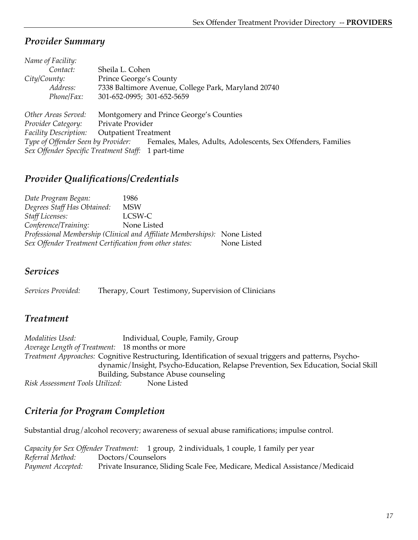| Name of Facility:                      |                                                              |
|----------------------------------------|--------------------------------------------------------------|
| Contact:                               | Sheila L. Cohen                                              |
| City/Country:                          | Prince George's County                                       |
| Address:                               | 7338 Baltimore Avenue, College Park, Maryland 20740          |
| Phone/Fax:                             | 301-652-0995; 301-652-5659                                   |
|                                        |                                                              |
| Other Areas Served:                    | Montgomery and Prince George's Counties                      |
| Provider Category:                     | Private Provider                                             |
| Facility Description:                  | <b>Outpatient Treatment</b>                                  |
| Type of Offender Seen by Provider:     | Females, Males, Adults, Adolescents, Sex Offenders, Families |
| Sex Offender Specific Treatment Staff: | 1 part-time                                                  |

### *Provider Qualifications/Credentials*

| Date Program Began:                                     | 1986                                                                      |             |
|---------------------------------------------------------|---------------------------------------------------------------------------|-------------|
| Degrees Staff Has Obtained:                             | <b>MSW</b>                                                                |             |
| <b>Staff Licenses:</b>                                  | LCSW-C                                                                    |             |
| Conference/Training:                                    | None Listed                                                               |             |
|                                                         | Professional Membership (Clinical and Affiliate Memberships): None Listed |             |
| Sex Offender Treatment Certification from other states: |                                                                           | None Listed |

#### *Services*

*Services Provided:* Therapy, Court Testimony, Supervision of Clinicians

#### *Treatment*

*Modalities Used:* Individual, Couple, Family, Group *Average Length of Treatment:* 18 months or more *Treatment Approaches:* Cognitive Restructuring, Identification of sexual triggers and patterns, Psychodynamic/Insight, Psycho-Education, Relapse Prevention, Sex Education, Social Skill Building, Substance Abuse counseling<br> *Itilized*: None Listed  $Risk$  Assessment Tools Utilized:

# *Criteria for Program Completion*

Substantial drug/alcohol recovery; awareness of sexual abuse ramifications; impulse control.

*Capacity for Sex Offender Treatment:* 1 group, 2 individuals, 1 couple, 1 family per year *Referral Method:* Doctors/Counselors *Payment Accepted:* Private Insurance, Sliding Scale Fee, Medicare, Medical Assistance/Medicaid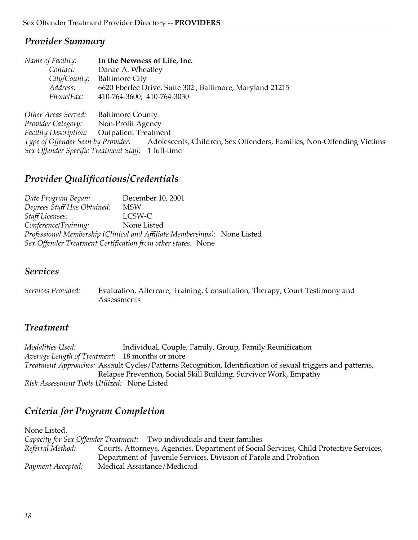| Name of Facility:                  | In the Newness of Life, Inc.                                          |
|------------------------------------|-----------------------------------------------------------------------|
| Contact:                           | Danae A. Wheatley                                                     |
| City/County:                       | <b>Baltimore City</b>                                                 |
| Address:                           | 6620 Eberlee Drive, Suite 302, Baltimore, Maryland 21215              |
| Phone/Fax:                         | 410-764-3600; 410-764-3030                                            |
|                                    |                                                                       |
| Other Areas Served:                | <b>Baltimore County</b>                                               |
| Provider Category:                 | Non-Profit Agency                                                     |
| <b>Facility Description:</b>       | <b>Outpatient Treatment</b>                                           |
| Type of Offender Seen by Provider: | Adolescents, Children, Sex Offenders, Families, Non-Offending Victims |
|                                    | Sex Offender Specific Treatment Staff: 1 full-time                    |

#### *Provider Qualifications/Credentials*

*Date Program Began:* December 10, 2001 *Degrees Staff Has Obtained:* MSW *Staff Licenses:* LCSW-C *Conference/Training:* None Listed *Professional Membership (Clinical and Affiliate Memberships):* None Listed *Sex Offender Treatment Certification from other states:* None

#### *Services*

*Services Provided:* Evaluation, Aftercare, Training, Consultation, Therapy, Court Testimony and **Assessments** 

#### *Treatment*

*Modalities Used:* Individual, Couple, Family, Group, Family Reunification *Average Length of Treatment:* 18 months or more *Treatment Approaches:* Assault Cycles/Patterns Recognition, Identification of sexual triggers and patterns, Relapse Prevention, Social Skill Building, Survivor Work, Empathy *Risk Assessment Tools Utilized:* None Listed

# *Criteria for Program Completion*

None Listed. *Capacity for Sex Offender Treatment:* Two individuals and their families *Referral Method:* Courts, Attorneys, Agencies, Department of Social Services, Child Protective Services, Department of Juvenile Services, Division of Parole and Probation *Payment Accepted:* Medical Assistance/Medicaid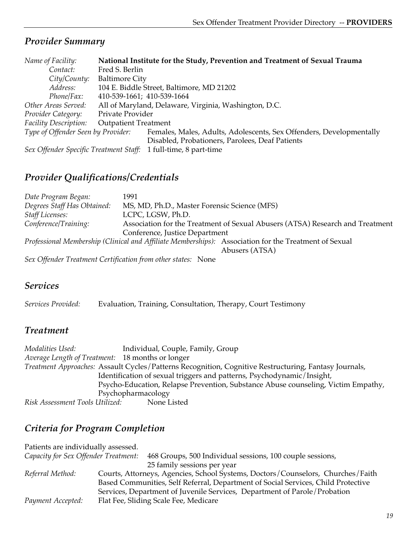| Name of Facility:                  |                             | National Institute for the Study, Prevention and Treatment of Sexual Trauma |
|------------------------------------|-----------------------------|-----------------------------------------------------------------------------|
| Contact:                           | Fred S. Berlin              |                                                                             |
| City/County:                       | <b>Baltimore City</b>       |                                                                             |
| Address:                           |                             | 104 E. Biddle Street, Baltimore, MD 21202                                   |
| Phone/Fax:                         | 410-539-1661; 410-539-1664  |                                                                             |
| Other Areas Served:                |                             | All of Maryland, Delaware, Virginia, Washington, D.C.                       |
| Provider Category:                 | Private Provider            |                                                                             |
| Facility Description:              | <b>Outpatient Treatment</b> |                                                                             |
| Type of Offender Seen by Provider: |                             | Females, Males, Adults, Adolescents, Sex Offenders, Developmentally         |
|                                    |                             | Disabled, Probationers, Parolees, Deaf Patients                             |
|                                    |                             | Sex Offender Specific Treatment Staff: 1 full-time, 8 part-time             |

### *Provider Qualifications/Credentials*

| Date Program Began:         | 1991                                                         |                                                                                                                         |
|-----------------------------|--------------------------------------------------------------|-------------------------------------------------------------------------------------------------------------------------|
| Degrees Staff Has Obtained: | MS, MD, Ph.D., Master Forensic Science (MFS)                 |                                                                                                                         |
| <b>Staff Licenses:</b>      | LCPC, LGSW, Ph.D.                                            |                                                                                                                         |
| Conference/Training:        |                                                              | Association for the Treatment of Sexual Abusers (ATSA) Research and Treatment                                           |
|                             | Conference, Justice Department                               |                                                                                                                         |
|                             |                                                              | Professional Membership (Clinical and Affiliate Memberships): Association for the Treatment of Sexual<br>Abusers (ATSA) |
|                             | Sex Offender Treatment Certification from other states: None |                                                                                                                         |

# *Services*

*Services Provided:* Evaluation, Training, Consultation, Therapy, Court Testimony

# *Treatment*

*Modalities Used:* Individual, Couple, Family, Group *Average Length of Treatment:* 18 months or longer *Treatment Approaches:* Assault Cycles/Patterns Recognition, Cognitive Restructuring, Fantasy Journals, Identification of sexual triggers and patterns, Psychodynamic/Insight, Psycho-Education, Relapse Prevention, Substance Abuse counseling, Victim Empathy, Psychopharmacology<br>*Itilized*: None Listed  $Risk Assessment Tools Utilized:$ 

# *Criteria for Program Completion*

| Patients are individually assessed.  |                                                                                   |
|--------------------------------------|-----------------------------------------------------------------------------------|
| Capacity for Sex Offender Treatment: | 468 Groups, 500 Individual sessions, 100 couple sessions,                         |
|                                      | 25 family sessions per year                                                       |
| Referral Method:                     | Courts, Attorneys, Agencies, School Systems, Doctors/Counselors, Churches/Faith   |
|                                      | Based Communities, Self Referral, Department of Social Services, Child Protective |
|                                      | Services, Department of Juvenile Services, Department of Parole/Probation         |
| Payment Accepted:                    | Flat Fee, Sliding Scale Fee, Medicare                                             |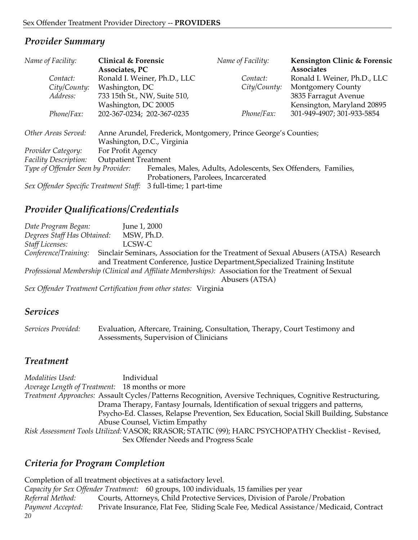| Name of Facility:                      | <b>Clinical &amp; Forensic</b> |                                                               | Name of Facility:                                              | Kensington Clinic & Forensic |
|----------------------------------------|--------------------------------|---------------------------------------------------------------|----------------------------------------------------------------|------------------------------|
|                                        | Associates, PC                 |                                                               |                                                                | <b>Associates</b>            |
| Contact:                               | Ronald I. Weiner, Ph.D., LLC   |                                                               | Contact:                                                       | Ronald I. Weiner, Ph.D., LLC |
| City/County:                           | Washington, DC                 |                                                               | City/County:                                                   | <b>Montgomery County</b>     |
| Address:                               | 733 15th St., NW, Suite 510,   |                                                               |                                                                | 3835 Farragut Avenue         |
|                                        | Washington, DC 20005           |                                                               |                                                                | Kensington, Maryland 20895   |
| Phone/Fax:                             | 202-367-0234; 202-367-0235     |                                                               | Phone/Fax:                                                     | 301-949-4907; 301-933-5854   |
|                                        |                                |                                                               |                                                                |                              |
| Other Areas Served:                    |                                |                                                               | Anne Arundel, Frederick, Montgomery, Prince George's Counties; |                              |
|                                        | Washington, D.C., Virginia     |                                                               |                                                                |                              |
| Provider Category:                     | For Profit Agency              |                                                               |                                                                |                              |
| <b>Facility Description:</b>           | <b>Outpatient Treatment</b>    |                                                               |                                                                |                              |
| Type of Offender Seen by Provider:     |                                | Females, Males, Adults, Adolescents, Sex Offenders, Families, |                                                                |                              |
|                                        |                                |                                                               | Probationers, Parolees, Incarcerated                           |                              |
| Sex Offender Specific Treatment Staff: |                                | 3 full-time; 1 part-time                                      |                                                                |                              |

# *Provider Qualifications/Credentials*

*Date Program Began:* June 1, 2000 *Degrees Staff Has Obtained:* MSW, Ph.D. *Staff Licenses:* LCSW-C *Conference/Training:* Sinclair Seminars, Association for the Treatment of Sexual Abusers (ATSA) Research and Treatment Conference, Justice Department,Specialized Training Institute *Professional Membership (Clinical and Affiliate Memberships):* Association for the Treatment of Sexual Abusers (ATSA)

*Sex Offender Treatment Certification from other states:* Virginia

#### *Services*

*Services Provided:* Evaluation, Aftercare, Training, Consultation, Therapy, Court Testimony and Assessments, Supervision of Clinicians

#### *Treatment*

*Modalities Used:* Individual *Average Length of Treatment:* 18 months or more *Treatment Approaches:* Assault Cycles/Patterns Recognition, Aversive Techniques, Cognitive Restructuring, Drama Therapy, Fantasy Journals, Identification of sexual triggers and patterns, Psycho-Ed. Classes, Relapse Prevention, Sex Education, Social Skill Building, Substance Abuse Counsel, Victim Empathy *Risk Assessment Tools Utilized:* VASOR; RRASOR; STATIC (99); HARC PSYCHOPATHY Checklist - Revised, Sex Offender Needs and Progress Scale

# *Criteria for Program Completion*

*20* Completion of all treatment objectives at a satisfactory level. *Capacity for Sex Offender Treatment:* 60 groups, 100 individuals, 15 families per year *Referral Method:* Courts, Attorneys, Child Protective Services, Division of Parole/Probation *Payment Accepted:* Private Insurance, Flat Fee, Sliding Scale Fee, Medical Assistance/Medicaid, Contract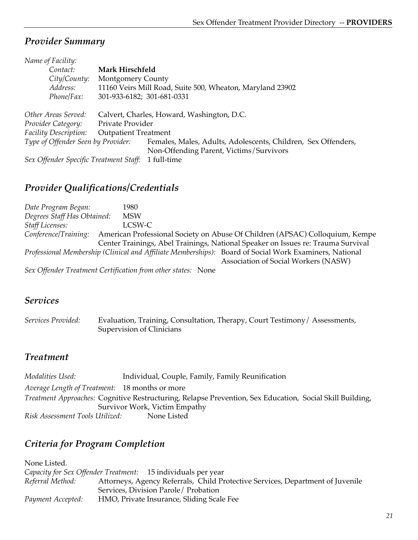| Name of Facility:                      |                             |                                                               |
|----------------------------------------|-----------------------------|---------------------------------------------------------------|
| Contact:                               | Mark Hirschfeld             |                                                               |
| City/County:                           | <b>Montgomery County</b>    |                                                               |
| Address:                               |                             | 11160 Veirs Mill Road, Suite 500, Wheaton, Maryland 23902     |
| Phone/Fax:                             | 301-933-6182; 301-681-0331  |                                                               |
|                                        |                             |                                                               |
| Other Areas Served:                    |                             | Calvert, Charles, Howard, Washington, D.C.                    |
| Provider Category:                     | Private Provider            |                                                               |
| <b>Facility Description:</b>           | <b>Outpatient Treatment</b> |                                                               |
| Type of Offender Seen by Provider:     |                             | Females, Males, Adults, Adolescents, Children, Sex Offenders, |
|                                        |                             | Non-Offending Parent, Victims/Survivors                       |
| Sex Offender Specific Treatment Staff: |                             | 1 full-time                                                   |

# *Provider Qualifications/Credentials*

*Date Program Began:* 1980 *Degrees Staff Has Obtained:* MSW *Staff Licenses:* LCSW-C *Conference/Training:* American Professional Society on Abuse Of Children (APSAC) Colloquium, Kempe Center Trainings, Abel Trainings, National Speaker on Issues re: Trauma Survival *Professional Membership (Clinical and Affiliate Memberships):* Board of Social Work Examiners, National Association of Social Workers (NASW) *Sex Offender Treatment Certification from other states:* None

#### *Services*

*Services Provided:* Evaluation, Training, Consultation, Therapy, Court Testimony/ Assessments, Supervision of Clinicians

# *Treatment*

*Modalities Used:* Individual, Couple, Family, Family Reunification *Average Length of Treatment:* 18 months or more *Treatment Approaches:* Cognitive Restructuring, Relapse Prevention, Sex Education, Social Skill Building, Survivor Work, Victim Empathy *Risk Assessment Tools Utilized:* None Listed

# *Criteria for Program Completion*

| None Listed.      |                                                                                |
|-------------------|--------------------------------------------------------------------------------|
|                   | Capacity for Sex Offender Treatment: 15 individuals per year                   |
| Referral Method:  | Attorneys, Agency Referrals, Child Protective Services, Department of Juvenile |
|                   | Services, Division Parole/ Probation                                           |
| Payment Accepted: | HMO, Private Insurance, Sliding Scale Fee                                      |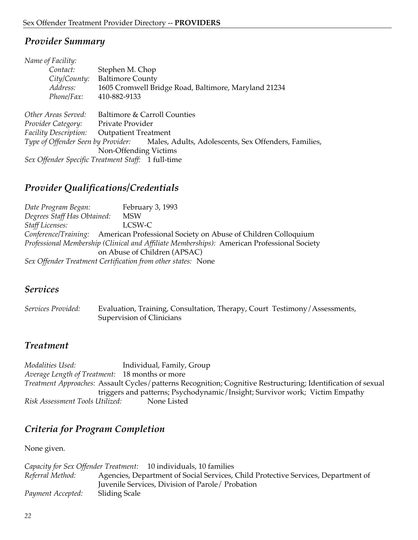| Name of Facility:     |                                                                                         |
|-----------------------|-----------------------------------------------------------------------------------------|
| Contact:              | Stephen M. Chop                                                                         |
| City/Country:         | <b>Baltimore County</b>                                                                 |
| Address:              | 1605 Cromwell Bridge Road, Baltimore, Maryland 21234                                    |
| Phone/Fax:            | 410-882-9133                                                                            |
| Other Areas Served:   | Baltimore & Carroll Counties                                                            |
| Provider Category:    | Private Provider                                                                        |
| Facility Description: | <b>Outpatient Treatment</b>                                                             |
|                       | Type of Offender Seen by Provider: Males, Adults, Adolescents, Sex Offenders, Families, |
|                       | Non-Offending Victims                                                                   |
|                       | Sex Offender Specific Treatment Staff: 1 full-time                                      |

### *Provider Qualifications/Credentials*

*Date Program Began:* February 3, 1993 *Degrees Staff Has Obtained:* MSW *Staff Licenses:* LCSW-C *Conference/Training:* American Professional Society on Abuse of Children Colloquium *Professional Membership (Clinical and Affiliate Memberships):* American Professional Society on Abuse of Children (APSAC) *Sex Offender Treatment Certification from other states:* None

#### *Services*

*Services Provided:* Evaluation, Training, Consultation, Therapy, Court Testimony/Assessments, Supervision of Clinicians

#### *Treatment*

*Modalities Used:* Individual, Family, Group *Average Length of Treatment:* 18 months or more *Treatment Approaches:* Assault Cycles/patterns Recognition; Cognitive Restructuring; Identification of sexual triggers and patterns; Psychodynamic/Insight; Survivor work; Victim Empathy *Risk Assessment Tools Utilized:* None Listed

# *Criteria for Program Completion*

None given.

*Capacity for Sex Offender Treatment:* 10 individuals, 10 families *Referral Method:* Agencies, Department of Social Services, Child Protective Services, Department of Juvenile Services, Division of Parole/ Probation *Payment Accepted:* Sliding Scale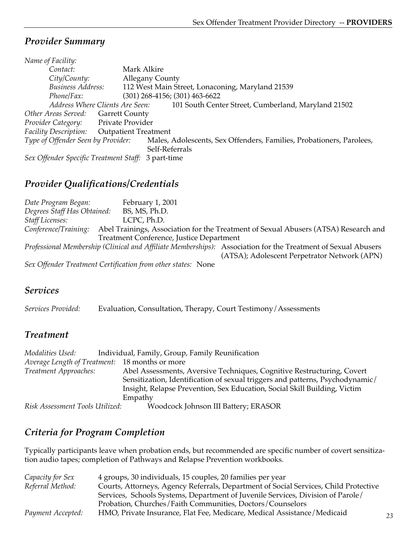| Name of Facility:                                  |                                                                      |
|----------------------------------------------------|----------------------------------------------------------------------|
| Contact:                                           | Mark Alkire                                                          |
| City/County:                                       | <b>Allegany County</b>                                               |
| <b>Business Address:</b>                           | 112 West Main Street, Lonaconing, Maryland 21539                     |
| Phone/Fax:                                         | $(301)$ 268-4156; $(301)$ 463-6622                                   |
| Address Where Clients Are Seen:                    | 101 South Center Street, Cumberland, Maryland 21502                  |
| Other Areas Served: Garrett County                 |                                                                      |
| Private Provider<br>Provider Category:             |                                                                      |
| <b>Facility Description:</b>                       | <b>Outpatient Treatment</b>                                          |
| Type of Offender Seen by Provider:                 | Males, Adolescents, Sex Offenders, Families, Probationers, Parolees, |
|                                                    | Self-Referrals                                                       |
| Sex Offender Specific Treatment Staff: 3 part-time |                                                                      |

# *Provider Qualifications/Credentials*

| Date Program Began:         | February 1, 2001                                             |                                                                                                                                                               |
|-----------------------------|--------------------------------------------------------------|---------------------------------------------------------------------------------------------------------------------------------------------------------------|
| Degrees Staff Has Obtained: | BS, MS, Ph.D.                                                |                                                                                                                                                               |
| Staff Licenses:             | LCPC, Ph.D.                                                  |                                                                                                                                                               |
|                             |                                                              | Conference/Training: Abel Trainings, Association for the Treatment of Sexual Abusers (ATSA) Research and                                                      |
|                             | Treatment Conference, Justice Department                     |                                                                                                                                                               |
|                             |                                                              | Professional Membership (Clinical and Affiliate Memberships): Association for the Treatment of Sexual Abusers<br>(ATSA); Adolescent Perpetrator Network (APN) |
|                             | Sex Offender Treatment Certification from other states: None |                                                                                                                                                               |

#### *Services*

*Services Provided:* Evaluation, Consultation, Therapy, Court Testimony/Assessments

# *Treatment*

| Modalities Used:                               | Individual, Family, Group, Family Reunification                               |
|------------------------------------------------|-------------------------------------------------------------------------------|
| Average Length of Treatment: 18 months or more |                                                                               |
| Treatment Approaches:                          | Abel Assessments, Aversive Techniques, Cognitive Restructuring, Covert        |
|                                                | Sensitization, Identification of sexual triggers and patterns, Psychodynamic/ |
|                                                | Insight, Relapse Prevention, Sex Education, Social Skill Building, Victim     |
|                                                | Empathy                                                                       |
| Risk Assessment Tools Utilized:                | Woodcock Johnson III Battery; ERASOR                                          |

# *Criteria for Program Completion*

Typically participants leave when probation ends, but recommended are specific number of covert sensitization audio tapes; completion of Pathways and Relapse Prevention workbooks.

| Capacity for Sex  | 4 groups, 30 individuals, 15 couples, 20 families per year                           |
|-------------------|--------------------------------------------------------------------------------------|
| Referral Method:  | Courts, Attorneys, Agency Referrals, Department of Social Services, Child Protective |
|                   | Services, Schools Systems, Department of Juvenile Services, Division of Parole/      |
|                   | Probation, Churches/Faith Communities, Doctors/Counselors                            |
| Payment Accepted: | HMO, Private Insurance, Flat Fee, Medicare, Medical Assistance/Medicaid              |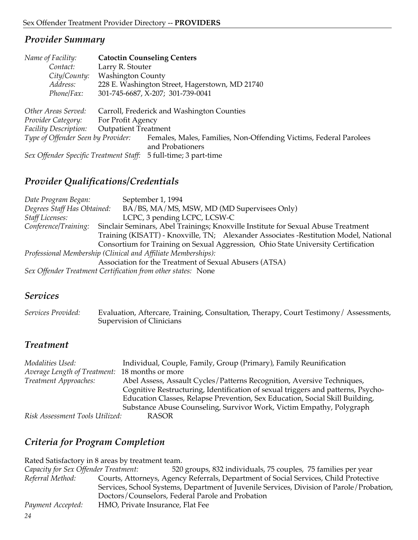| Name of Facility:                      | <b>Catoctin Counseling Centers</b>                                                    |
|----------------------------------------|---------------------------------------------------------------------------------------|
| Contact:                               | Larry R. Stouter                                                                      |
| City/County:                           | <b>Washington County</b>                                                              |
| Address:                               | 228 E. Washington Street, Hagerstown, MD 21740                                        |
| Phone/Fax:                             | 301-745-6687, X-207; 301-739-0041                                                     |
| Other Areas Served:                    | Carroll, Frederick and Washington Counties                                            |
| Provider Category:                     | For Profit Agency                                                                     |
| <b>Facility Description:</b>           | <b>Outpatient Treatment</b>                                                           |
| Type of Offender Seen by Provider:     | Females, Males, Families, Non-Offending Victims, Federal Parolees<br>and Probationers |
| Sex Offender Specific Treatment Staff: | 5 full-time; 3 part-time                                                              |

# *Provider Qualifications/Credentials*

| Date Program Began:         | September 1, 1994                                                                     |
|-----------------------------|---------------------------------------------------------------------------------------|
| Degrees Staff Has Obtained: | BA/BS, MA/MS, MSW, MD (MD Supervisees Only)                                           |
| <b>Staff Licenses:</b>      | LCPC, 3 pending LCPC, LCSW-C                                                          |
| Conference/Training:        | Sinclair Seminars, Abel Trainings; Knoxville Institute for Sexual Abuse Treatment     |
|                             | Training (KISATT) - Knoxville, TN; Alexander Associates - Restitution Model, National |
|                             | Consortium for Training on Sexual Aggression, Ohio State University Certification     |
|                             | Professional Membership (Clinical and Affiliate Memberships):                         |
|                             | Association for the Treatment of Sexual Abusers (ATSA)                                |
|                             | Sex Offender Treatment Certification from other states: None                          |

#### *Services*

*Services Provided:* Evaluation, Aftercare, Training, Consultation, Therapy, Court Testimony/ Assessments, Supervision of Clinicians

# *Treatment*

| Modalities Used:                               | Individual, Couple, Family, Group (Primary), Family Reunification                |  |  |
|------------------------------------------------|----------------------------------------------------------------------------------|--|--|
| Average Length of Treatment: 18 months or more |                                                                                  |  |  |
| Treatment Approaches:                          | Abel Assess, Assault Cycles/Patterns Recognition, Aversive Techniques,           |  |  |
|                                                | Cognitive Restructuring, Identification of sexual triggers and patterns, Psycho- |  |  |
|                                                | Education Classes, Relapse Prevention, Sex Education, Social Skill Building,     |  |  |
|                                                | Substance Abuse Counseling, Survivor Work, Victim Empathy, Polygraph             |  |  |
| Risk Assessment Tools Utilized:                | RASOR                                                                            |  |  |

# *Criteria for Program Completion*

|                                      | Rated Satisfactory in 8 areas by treatment team.                                         |
|--------------------------------------|------------------------------------------------------------------------------------------|
| Capacity for Sex Offender Treatment: | 520 groups, 832 individuals, 75 couples, 75 families per year                            |
| Referral Method:                     | Courts, Attorneys, Agency Referrals, Department of Social Services, Child Protective     |
|                                      | Services, School Systems, Department of Juvenile Services, Division of Parole/Probation, |
|                                      | Doctors/Counselors, Federal Parole and Probation                                         |
| Payment Accepted:                    | HMO, Private Insurance, Flat Fee                                                         |
| 24                                   |                                                                                          |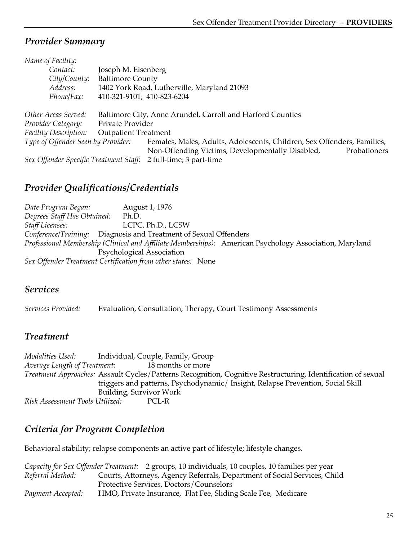| Name of Facility:                      |                             |                                                                         |              |  |
|----------------------------------------|-----------------------------|-------------------------------------------------------------------------|--------------|--|
| Contact:                               | Joseph M. Eisenberg         |                                                                         |              |  |
| City/County:                           |                             | <b>Baltimore County</b>                                                 |              |  |
| Address:                               |                             | 1402 York Road, Lutherville, Maryland 21093                             |              |  |
| Phone/Fax:                             |                             | 410-321-9101; 410-823-6204                                              |              |  |
|                                        |                             |                                                                         |              |  |
| Other Areas Served:                    |                             | Baltimore City, Anne Arundel, Carroll and Harford Counties              |              |  |
| Provider Category:                     | Private Provider            |                                                                         |              |  |
| Facility Description:                  | <b>Outpatient Treatment</b> |                                                                         |              |  |
| Type of Offender Seen by Provider:     |                             | Females, Males, Adults, Adolescents, Children, Sex Offenders, Families, |              |  |
|                                        |                             | Non-Offending Victims, Developmentally Disabled,                        | Probationers |  |
| Sex Offender Specific Treatment Staff: |                             | 2 full-time; 3 part-time                                                |              |  |

# *Provider Qualifications/Credentials*

*Date Program Began:* August 1, 1976 *Degrees Staff Has Obtained:* Ph.D. *Staff Licenses:* LCPC, Ph.D., LCSW *Conference/Training:* Diagnosis and Treatment of Sexual Offenders *Professional Membership (Clinical and Affiliate Memberships):* American Psychology Association, Maryland Psychological Association *Sex Offender Treatment Certification from other states:* None

#### *Services*

*Services Provided:* Evaluation, Consultation, Therapy, Court Testimony Assessments

#### *Treatment*

*Modalities Used:* Individual, Couple, Family, Group *Average Length of Treatment:* 18 months or more *Treatment Approaches:* Assault Cycles/Patterns Recognition, Cognitive Restructuring, Identification of sexual triggers and patterns, Psychodynamic/ Insight, Relapse Prevention, Social Skill Building, Survivor Work *Risk Assessment Tools Utilized:* PCL-R

# *Criteria for Program Completion*

Behavioral stability; relapse components an active part of lifestyle; lifestyle changes.

|                   | Capacity for Sex Offender Treatment: 2 groups, 10 individuals, 10 couples, 10 families per year |
|-------------------|-------------------------------------------------------------------------------------------------|
| Referral Method:  | Courts, Attorneys, Agency Referrals, Department of Social Services, Child                       |
|                   | Protective Services, Doctors/Counselors                                                         |
| Payment Accepted: | HMO, Private Insurance, Flat Fee, Sliding Scale Fee, Medicare                                   |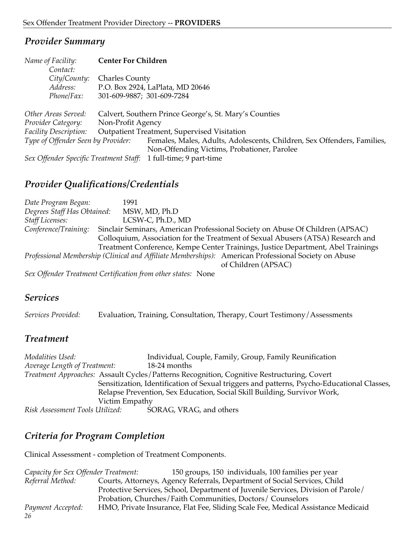| Name of Facility:                  | <b>Center For Children</b>                                      |                                                                         |
|------------------------------------|-----------------------------------------------------------------|-------------------------------------------------------------------------|
| Contact:                           |                                                                 |                                                                         |
| City/County:                       | <b>Charles County</b>                                           |                                                                         |
| Address:                           | P.O. Box 2924, LaPlata, MD 20646                                |                                                                         |
| Phone/Fax:                         | 301-609-9887; 301-609-7284                                      |                                                                         |
| Other Areas Served:                | Calvert, Southern Prince George's, St. Mary's Counties          |                                                                         |
| Provider Category:                 | Non-Profit Agency                                               |                                                                         |
| <b>Facility Description:</b>       | Outpatient Treatment, Supervised Visitation                     |                                                                         |
| Type of Offender Seen by Provider: |                                                                 | Females, Males, Adults, Adolescents, Children, Sex Offenders, Families, |
|                                    |                                                                 | Non-Offending Victims, Probationer, Parolee                             |
|                                    | Sex Offender Specific Treatment Staff: 1 full-time; 9 part-time |                                                                         |

### *Provider Qualifications/Credentials*

| Date Program Began:         | 1991                                                                                                 |
|-----------------------------|------------------------------------------------------------------------------------------------------|
| Degrees Staff Has Obtained: | MSW, MD, Ph.D                                                                                        |
| <b>Staff Licenses:</b>      | LCSW-C, Ph.D., MD                                                                                    |
| Conference/Training:        | Sinclair Seminars, American Professional Society on Abuse Of Children (APSAC)                        |
|                             | Colloquium, Association for the Treatment of Sexual Abusers (ATSA) Research and                      |
|                             | Treatment Conference, Kempe Center Trainings, Justice Department, Abel Trainings                     |
|                             | Professional Membership (Clinical and Affiliate Memberships): American Professional Society on Abuse |
|                             | of Children (APSAC)                                                                                  |
|                             | Sex Offender Treatment Certification from other states: None                                         |

#### *Services*

*Services Provided:* Evaluation, Training, Consultation, Therapy, Court Testimony/Assessments

#### *Treatment*

*Modalities Used:* Individual, Couple, Family, Group, Family Reunification *Average Length of Treatment:* 18-24 months *Treatment Approaches:* Assault Cycles/Patterns Recognition, Cognitive Restructuring, Covert Sensitization, Identification of Sexual triggers and patterns, Psycho-Educational Classes, Relapse Prevention, Sex Education, Social Skill Building, Survivor Work, Victim Empathy *Risk Assessment Tools Utilized:* SORAG, VRAG, and others

# *Criteria for Program Completion*

Clinical Assessment - completion of Treatment Components.

*26 Capacity for Sex Offender Treatment:* 150 groups, 150 individuals, 100 families per year *Referral Method:* Courts, Attorneys, Agency Referrals, Department of Social Services, Child Protective Services, School, Department of Juvenile Services, Division of Parole/ Probation, Churches/Faith Communities, Doctors/ Counselors *Payment Accepted:* HMO, Private Insurance, Flat Fee, Sliding Scale Fee, Medical Assistance Medicaid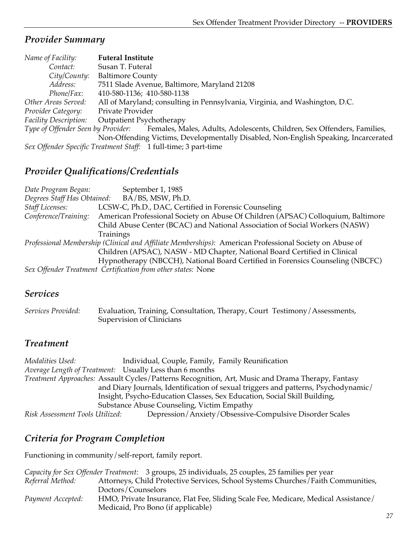| Name of Facility:            | <b>Futeral Institute</b>                                                                                   |
|------------------------------|------------------------------------------------------------------------------------------------------------|
| Contact:                     | Susan T. Futeral                                                                                           |
| City/County:                 | <b>Baltimore County</b>                                                                                    |
| Address:                     | 7511 Slade Avenue, Baltimore, Maryland 21208                                                               |
| <i>Phone</i> /Fax:           | 410-580-1136; 410-580-1138                                                                                 |
| Other Areas Served:          | All of Maryland; consulting in Pennsylvania, Virginia, and Washington, D.C.                                |
| Provider Category:           | Private Provider                                                                                           |
| <b>Facility Description:</b> | <b>Outpatient Psychotherapy</b>                                                                            |
|                              | Type of Offender Seen by Provider: Females, Males, Adults, Adolescents, Children, Sex Offenders, Families, |
|                              | Non-Offending Victims, Developmentally Disabled, Non-English Speaking, Incarcerated                        |
|                              | Sex Offender Specific Treatment Staff: 1 full-time; 3 part-time                                            |

### *Provider Qualifications/Credentials*

*Date Program Began:* September 1, 1985 *Degrees Staff Has Obtained:* BA/BS, MSW, Ph.D. *Staff Licenses:* LCSW-C, Ph.D., DAC, Certified in Forensic Counseling *Conference/Training:* American Professional Society on Abuse Of Children (APSAC) Colloquium, Baltimore Child Abuse Center (BCAC) and National Association of Social Workers (NASW) Trainings *Professional Membership (Clinical and Affiliate Memberships):* American Professional Society on Abuse of Children (APSAC), NASW - MD Chapter, National Board Certified in Clinical Hypnotherapy (NBCCH), National Board Certified in Forensics Counseling (NBCFC) *Sex Offender Treatment Certification from other states:* None

#### *Services*

*Services Provided:* Evaluation, Training, Consultation, Therapy, Court Testimony/Assessments, Supervision of Clinicians

#### *Treatment*

*Modalities Used:* Individual, Couple, Family, Family Reunification *Average Length of Treatment:* Usually Less than 6 months *Treatment Approaches:* Assault Cycles/Patterns Recognition, Art, Music and Drama Therapy, Fantasy and Diary Journals, Identification of sexual triggers and patterns, Psychodynamic/ Insight, Psycho-Education Classes, Sex Education, Social Skill Building, Substance Abuse Counseling, Victim Empathy *Risk Assessment Tools Utilized:* Depression/Anxiety/Obsessive-Compulsive Disorder Scales

# *Criteria for Program Completion*

Functioning in community/self-report, family report.

|                   | Capacity for Sex Offender Treatment: 3 groups, 25 individuals, 25 couples, 25 families per year |
|-------------------|-------------------------------------------------------------------------------------------------|
| Referral Method:  | Attorneys, Child Protective Services, School Systems Churches/Faith Communities,                |
|                   | Doctors/Counselors                                                                              |
| Payment Accepted: | HMO, Private Insurance, Flat Fee, Sliding Scale Fee, Medicare, Medical Assistance/              |
|                   | Medicaid, Pro Bono (if applicable)                                                              |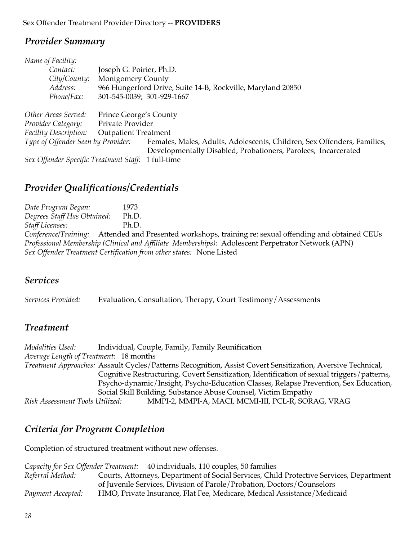| Name of Facility:                                  |                             |                                                                         |  |
|----------------------------------------------------|-----------------------------|-------------------------------------------------------------------------|--|
| Contact:                                           | Joseph G. Poirier, Ph.D.    |                                                                         |  |
| City/County:                                       | <b>Montgomery County</b>    |                                                                         |  |
| Address:                                           |                             | 966 Hungerford Drive, Suite 14-B, Rockville, Maryland 20850             |  |
| Phone/Fax:                                         | 301-545-0039; 301-929-1667  |                                                                         |  |
|                                                    |                             |                                                                         |  |
| Other Areas Served:                                | Prince George's County      |                                                                         |  |
| Provider Category:                                 | Private Provider            |                                                                         |  |
| <b>Facility Description:</b>                       | <b>Outpatient Treatment</b> |                                                                         |  |
| Type of Offender Seen by Provider:                 |                             | Females, Males, Adults, Adolescents, Children, Sex Offenders, Families, |  |
|                                                    |                             | Developmentally Disabled, Probationers, Parolees, Incarcerated          |  |
| Sex Offender Specific Treatment Staff: 1 full-time |                             |                                                                         |  |

### *Provider Qualifications/Credentials*

*Date Program Began:* 1973 *Degrees Staff Has Obtained:* Ph.D. *Staff Licenses:* Ph.D. *Conference/Training:* Attended and Presented workshops, training re: sexual offending and obtained CEUs *Professional Membership (Clinical and Affiliate Memberships):* Adolescent Perpetrator Network (APN) *Sex Offender Treatment Certification from other states:* None Listed

#### *Services*

*Services Provided:* Evaluation, Consultation, Therapy, Court Testimony/Assessments

#### *Treatment*

*Modalities Used:* Individual, Couple, Family, Family Reunification *Average Length of Treatment:* 18 months *Treatment Approaches:* Assault Cycles/Patterns Recognition, Assist Covert Sensitization, Aversive Technical, Cognitive Restructuring, Covert Sensitization, Identification of sexual triggers/patterns, Psycho-dynamic/Insight, Psycho-Education Classes, Relapse Prevention, Sex Education, Social Skill Building, Substance Abuse Counsel, Victim Empathy *Risk Assessment Tools Utilized:* MMPI-2, MMPI-A, MACI, MCMI-III, PCL-R, SORAG, VRAG

# *Criteria for Program Completion*

Completion of structured treatment without new offenses.

|                   | Capacity for Sex Offender Treatment: 40 individuals, 110 couples, 50 families           |
|-------------------|-----------------------------------------------------------------------------------------|
| Referral Method:  | Courts, Attorneys, Department of Social Services, Child Protective Services, Department |
|                   | of Juvenile Services, Division of Parole/Probation, Doctors/Counselors                  |
| Payment Accepted: | HMO, Private Insurance, Flat Fee, Medicare, Medical Assistance/Medicaid                 |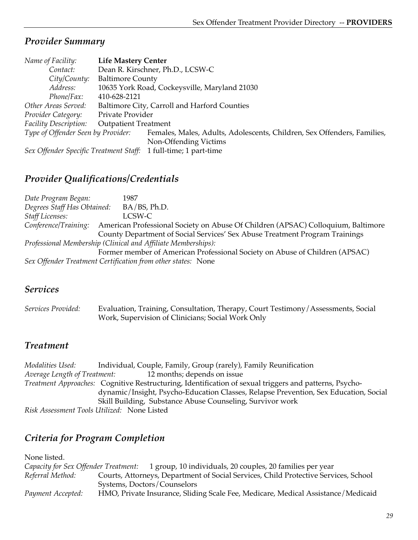| Name of Facility:                  | <b>Life Mastery Center</b>                                              |  |  |
|------------------------------------|-------------------------------------------------------------------------|--|--|
| Contact:                           | Dean R. Kirschner, Ph.D., LCSW-C                                        |  |  |
| City/County:                       | <b>Baltimore County</b>                                                 |  |  |
| Address:                           | 10635 York Road, Cockeysville, Maryland 21030                           |  |  |
| Phone/Fax:                         | 410-628-2121                                                            |  |  |
| Other Areas Served:                | Baltimore City, Carroll and Harford Counties                            |  |  |
| Provider Category:                 | Private Provider                                                        |  |  |
| Facility Description:              | <b>Outpatient Treatment</b>                                             |  |  |
| Type of Offender Seen by Provider: | Females, Males, Adults, Adolescents, Children, Sex Offenders, Families, |  |  |
|                                    | Non-Offending Victims                                                   |  |  |
|                                    | Sex Offender Specific Treatment Staff: 1 full-time; 1 part-time         |  |  |

### *Provider Qualifications/Credentials*

*Date Program Began:* 1987 *Degrees Staff Has Obtained:* BA/BS, Ph.D. *Staff Licenses:* LCSW-C *Conference/Training:* American Professional Society on Abuse Of Children (APSAC) Colloquium, Baltimore County Department of Social Services' Sex Abuse Treatment Program Trainings *Professional Membership (Clinical and Affiliate Memberships):* Former member of American Professional Society on Abuse of Children (APSAC) *Sex Offender Treatment Certification from other states:* None

#### *Services*

*Services Provided:* Evaluation, Training, Consultation, Therapy, Court Testimony/Assessments, Social Work, Supervision of Clinicians; Social Work Only

#### *Treatment*

*Modalities Used:* Individual, Couple, Family, Group (rarely), Family Reunification *Average Length of Treatment:* 12 months; depends on issue *Treatment Approaches:* Cognitive Restructuring, Identification of sexual triggers and patterns, Psychodynamic/Insight, Psycho-Education Classes, Relapse Prevention, Sex Education, Social Skill Building, Substance Abuse Counseling, Survivor work *Risk Assessment Tools Utilized:* None Listed

# *Criteria for Program Completion*

| None listed.                         |                                                                                     |
|--------------------------------------|-------------------------------------------------------------------------------------|
| Capacity for Sex Offender Treatment: | 1 group, 10 individuals, 20 couples, 20 families per year                           |
| Referral Method:                     | Courts, Attorneys, Department of Social Services, Child Protective Services, School |
|                                      | Systems, Doctors/Counselors                                                         |
| Payment Accepted:                    | HMO, Private Insurance, Sliding Scale Fee, Medicare, Medical Assistance/Medicaid    |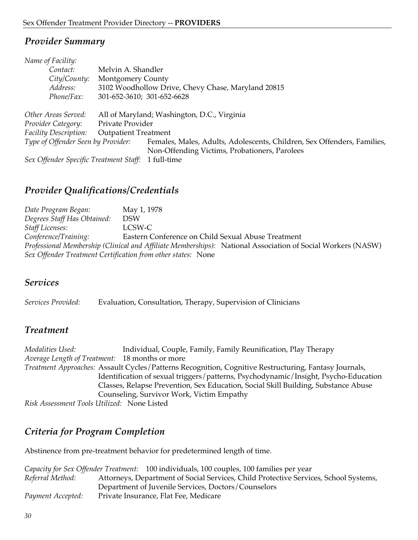| Name of Facility:                      |                                                    |                                                                         |  |
|----------------------------------------|----------------------------------------------------|-------------------------------------------------------------------------|--|
| Contact:                               | Melvin A. Shandler                                 |                                                                         |  |
| City/County:                           | <b>Montgomery County</b>                           |                                                                         |  |
| Address:                               | 3102 Woodhollow Drive, Chevy Chase, Maryland 20815 |                                                                         |  |
| Phone/Fax:                             | 301-652-3610; 301-652-6628                         |                                                                         |  |
| Other Areas Served:                    |                                                    |                                                                         |  |
|                                        |                                                    | All of Maryland; Washington, D.C., Virginia                             |  |
| Provider Category:                     | Private Provider                                   |                                                                         |  |
| <b>Facility Description:</b>           | <b>Outpatient Treatment</b>                        |                                                                         |  |
| Type of Offender Seen by Provider:     |                                                    | Females, Males, Adults, Adolescents, Children, Sex Offenders, Families, |  |
|                                        |                                                    | Non-Offending Victims, Probationers, Parolees                           |  |
| Sex Offender Specific Treatment Staff: |                                                    | 1 full-time                                                             |  |

# *Provider Qualifications/Credentials*

*Date Program Began:* May 1, 1978 *Degrees Staff Has Obtained:* DSW *Staff Licenses:* LCSW-C *Conference/Training:* Eastern Conference on Child Sexual Abuse Treatment *Professional Membership (Clinical and Affiliate Memberships):* National Association of Social Workers (NASW) *Sex Offender Treatment Certification from other states:* None

#### *Services*

*Services Provided:* Evaluation, Consultation, Therapy, Supervision of Clinicians

#### *Treatment*

*Modalities Used:* Individual, Couple, Family, Family Reunification, Play Therapy *Average Length of Treatment:* 18 months or more *Treatment Approaches:* Assault Cycles/Patterns Recognition, Cognitive Restructuring, Fantasy Journals, Identification of sexual triggers/patterns, Psychodynamic/Insight, Psycho-Education Classes, Relapse Prevention, Sex Education, Social Skill Building, Substance Abuse Counseling, Survivor Work, Victim Empathy *Risk Assessment Tools Utilized:* None Listed

# *Criteria for Program Completion*

Abstinence from pre-treatment behavior for predetermined length of time.

|                   | Capacity for Sex Offender Treatment: 100 individuals, 100 couples, 100 families per year |
|-------------------|------------------------------------------------------------------------------------------|
| Referral Method:  | Attorneys, Department of Social Services, Child Protective Services, School Systems,     |
|                   | Department of Juvenile Services, Doctors/Counselors                                      |
| Payment Accepted: | Private Insurance, Flat Fee, Medicare                                                    |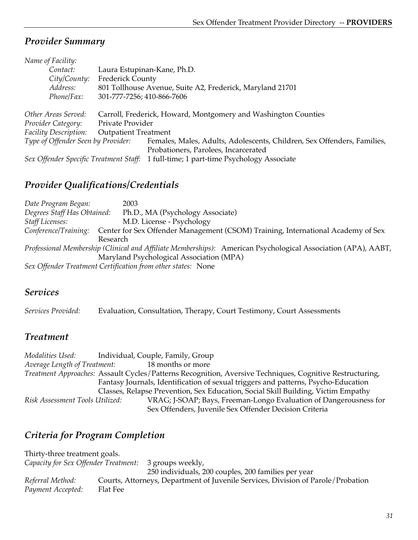| Name of Facility:                      |                                                           |                                                                         |  |
|----------------------------------------|-----------------------------------------------------------|-------------------------------------------------------------------------|--|
| Contact:                               |                                                           | Laura Estupinan-Kane, Ph.D.                                             |  |
| City/Country:                          | <b>Frederick County</b>                                   |                                                                         |  |
| Address:                               | 801 Tollhouse Avenue, Suite A2, Frederick, Maryland 21701 |                                                                         |  |
| Phone/Fax:                             | 301-777-7256; 410-866-7606                                |                                                                         |  |
|                                        |                                                           |                                                                         |  |
| Other Areas Served:                    |                                                           | Carroll, Frederick, Howard, Montgomery and Washington Counties          |  |
| Provider Category:                     | Private Provider                                          |                                                                         |  |
| Facility Description:                  | <b>Outpatient Treatment</b>                               |                                                                         |  |
| Type of Offender Seen by Provider:     |                                                           | Females, Males, Adults, Adolescents, Children, Sex Offenders, Families, |  |
|                                        |                                                           | Probationers, Parolees, Incarcerated                                    |  |
| Sex Offender Specific Treatment Staff: |                                                           | 1 full-time; 1 part-time Psychology Associate                           |  |

# *Provider Qualifications/Credentials*

*Date Program Began:* 2003 *Degrees Staff Has Obtained:* Ph.D., MA (Psychology Associate) *Staff Licenses:* M.D. License - Psychology *Conference/Training:* Center for Sex Offender Management (CSOM) Training, International Academy of Sex Research *Professional Membership (Clinical and Affiliate Memberships):* American Psychological Association (APA), AABT, Maryland Psychological Association (MPA) *Sex Offender Treatment Certification from other states:* None

#### *Services*

*Services Provided:* Evaluation, Consultation, Therapy, Court Testimony, Court Assessments

#### *Treatment*

*Modalities Used:* Individual, Couple, Family, Group *Average Length of Treatment:* 18 months or more *Treatment Approaches:* Assault Cycles/Patterns Recognition, Aversive Techniques, Cognitive Restructuring, Fantasy Journals, Identification of sexual triggers and patterns, Psycho-Education Classes, Relapse Prevention, Sex Education, Social Skill Building, Victim Empathy *Risk Assessment Tools Utilized:* VRAG; J-SOAP; Bays, Freeman-Longo Evaluation of Dangerousness for Sex Offenders, Juvenile Sex Offender Decision Criteria

# *Criteria for Program Completion*

Thirty-three treatment goals. *Capacity for Sex Offender Treatment:* 3 groups weekly, 250 individuals, 200 couples, 200 families per year *Referral Method:* Courts, Attorneys, Department of Juvenile Services, Division of Parole/Probation *Payment Accepted:* Flat Fee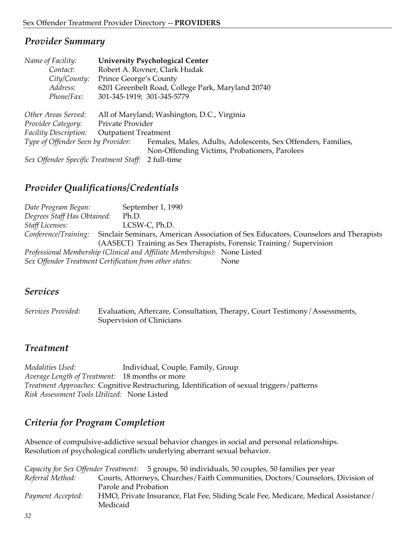| Name of Facility:                      |                             | <b>University Psychological Center</b>                        |
|----------------------------------------|-----------------------------|---------------------------------------------------------------|
| Contact:                               |                             | Robert A. Rovner, Clark Hudak                                 |
| City/County:                           | Prince George's County      |                                                               |
| Address:                               |                             | 6201 Greenbelt Road, College Park, Maryland 20740             |
| Phone/Fax:                             | 301-345-1919; 301-345-5779  |                                                               |
| Other Areas Served:                    |                             | All of Maryland; Washington, D.C., Virginia                   |
| Provider Category:                     | Private Provider            |                                                               |
| <b>Facility Description:</b>           | <b>Outpatient Treatment</b> |                                                               |
| Type of Offender Seen by Provider:     |                             | Females, Males, Adults, Adolescents, Sex Offenders, Families, |
|                                        |                             | Non-Offending Victims, Probationers, Parolees                 |
| Sex Offender Specific Treatment Staff: |                             | 2 full-time                                                   |

# *Provider Qualifications/Credentials*

*Date Program Began:* September 1, 1990 *Degrees Staff Has Obtained:* Ph.D. *Staff Licenses:* LCSW-C, Ph.D. *Conference/Training:* Sinclair Seminars, American Association of Sex Educators, Counselors and Therapists (AASECT) Training as Sex Therapists, Forensic Training/ Supervision *Professional Membership (Clinical and Affiliate Memberships):* None Listed *Sex Offender Treatment Certification from other states:* None

#### *Services*

*Services Provided:* Evaluation, Aftercare, Consultation, Therapy, Court Testimony/Assessments, Supervision of Clinicians

# *Treatment*

*Modalities Used:* Individual, Couple, Family, Group *Average Length of Treatment:* 18 months or more *Treatment Approaches:* Cognitive Restructuring, Identification of sexual triggers/patterns *Risk Assessment Tools Utilized:* None Listed

# *Criteria for Program Completion*

Absence of compulsive-addictive sexual behavior changes in social and personal relationships. Resolution of psychological conflicts underlying aberrant sexual behavior.

|                   | <i>Capacity for Sex Offender Treatment:</i> 5 groups, 50 individuals, 50 couples, 50 families per year |
|-------------------|--------------------------------------------------------------------------------------------------------|
| Referral Method:  | Courts, Attorneys, Churches/Faith Communities, Doctors/Counselors, Division of                         |
|                   | Parole and Probation                                                                                   |
| Payment Accepted: | HMO, Private Insurance, Flat Fee, Sliding Scale Fee, Medicare, Medical Assistance/                     |
|                   | Medicaid                                                                                               |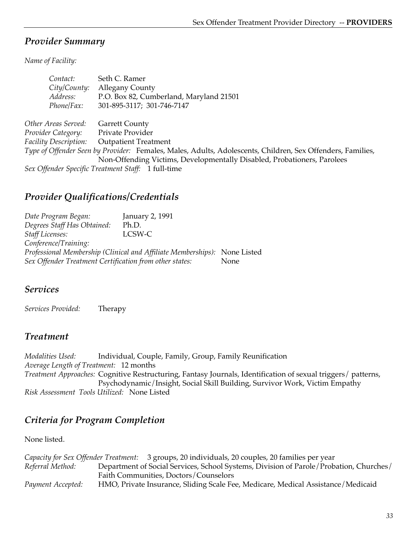*Name of Facility:*

| Contact:                     | Seth C. Ramer                                                                                              |
|------------------------------|------------------------------------------------------------------------------------------------------------|
| City/County:                 | <b>Allegany County</b>                                                                                     |
| Address:                     | P.O. Box 82, Cumberland, Maryland 21501                                                                    |
| Phone/Fax:                   | 301-895-3117; 301-746-7147                                                                                 |
| Other Areas Served:          | <b>Garrett County</b>                                                                                      |
| Provider Category:           | Private Provider                                                                                           |
| <b>Facility Description:</b> | <b>Outpatient Treatment</b>                                                                                |
|                              | Type of Offender Seen by Provider: Females, Males, Adults, Adolescents, Children, Sex Offenders, Families, |
|                              | Non-Offending Victims, Developmentally Disabled, Probationers, Parolees                                    |
|                              | Sex Offender Specific Treatment Staff: 1 full-time                                                         |

# *Provider Qualifications/Credentials*

*Date Program Began:* January 2, 1991 *Degrees Staff Has Obtained:* Ph.D. *Staff Licenses:* LCSW-C *Conference/Training: Professional Membership (Clinical and Affiliate Memberships):* None Listed *Sex Offender Treatment Certification from other states:* None

#### *Services*

*Services Provided:* Therapy

# *Treatment*

*Modalities Used:* Individual, Couple, Family, Group, Family Reunification *Average Length of Treatment:* 12 months *Treatment Approaches:* Cognitive Restructuring, Fantasy Journals, Identification of sexual triggers/ patterns, Psychodynamic/Insight, Social Skill Building, Survivor Work, Victim Empathy *Risk Assessment Tools Utilized:* None Listed

# *Criteria for Program Completion*

None listed.

*Capacity for Sex Offender Treatment:* 3 groups, 20 individuals, 20 couples, 20 families per year *Referral Method:* Department of Social Services, School Systems, Division of Parole/Probation, Churches/ Faith Communities, Doctors/Counselors *Payment Accepted:* HMO, Private Insurance, Sliding Scale Fee, Medicare, Medical Assistance/Medicaid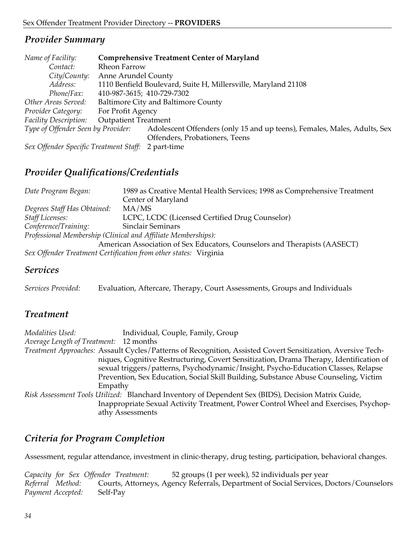| Name of Facility:                      |                             | <b>Comprehensive Treatment Center of Maryland</b>                        |  |
|----------------------------------------|-----------------------------|--------------------------------------------------------------------------|--|
| Contact:                               | <b>Rheon Farrow</b>         |                                                                          |  |
| City/County:                           | Anne Arundel County         |                                                                          |  |
| Address:                               |                             | 1110 Benfield Boulevard, Suite H, Millersville, Maryland 21108           |  |
| Phone/Fax:                             | 410-987-3615; 410-729-7302  |                                                                          |  |
| Other Areas Served:                    |                             | <b>Baltimore City and Baltimore County</b>                               |  |
| Provider Category:                     | For Profit Agency           |                                                                          |  |
| <b>Facility Description:</b>           | <b>Outpatient Treatment</b> |                                                                          |  |
| Type of Offender Seen by Provider:     |                             | Adolescent Offenders (only 15 and up teens), Females, Males, Adults, Sex |  |
|                                        |                             | Offenders, Probationers, Teens                                           |  |
| Sex Offender Specific Treatment Staff: |                             | 2 part-time                                                              |  |

# *Provider Qualifications/Credentials*

| Date Program Began:         | 1989 as Creative Mental Health Services; 1998 as Comprehensive Treatment  |
|-----------------------------|---------------------------------------------------------------------------|
|                             | Center of Maryland                                                        |
| Degrees Staff Has Obtained: | MA/MS                                                                     |
| <b>Staff Licenses:</b>      | LCPC, LCDC (Licensed Certified Drug Counselor)                            |
| Conference/Training:        | <b>Sinclair Seminars</b>                                                  |
|                             | Professional Membership (Clinical and Affiliate Memberships):             |
|                             | American Association of Sex Educators, Counselors and Therapists (AASECT) |
|                             | Sex Offender Treatment Certification from other states: Virginia          |

#### *Services*

| Services Provided: | Evaluation, Aftercare, Therapy, Court Assessments, Groups and Individuals |  |
|--------------------|---------------------------------------------------------------------------|--|
|--------------------|---------------------------------------------------------------------------|--|

### *Treatment*

| Modalities Used:                       | Individual, Couple, Family, Group                                                                           |
|----------------------------------------|-------------------------------------------------------------------------------------------------------------|
| Average Length of Treatment: 12 months |                                                                                                             |
|                                        | Treatment Approaches: Assault Cycles/Patterns of Recognition, Assisted Covert Sensitization, Aversive Tech- |
|                                        | niques, Cognitive Restructuring, Covert Sensitization, Drama Therapy, Identification of                     |
|                                        | sexual triggers/patterns, Psychodynamic/Insight, Psycho-Education Classes, Relapse                          |
|                                        | Prevention, Sex Education, Social Skill Building, Substance Abuse Counseling, Victim                        |
| Empathy                                |                                                                                                             |
|                                        | Risk Assessment Tools Utilized: Blanchard Inventory of Dependent Sex (BIDS), Decision Matrix Guide,         |
|                                        | Inappropriate Sexual Activity Treatment, Power Control Wheel and Exercises, Psychop-                        |
|                                        | athy Assessments                                                                                            |

# *Criteria for Program Completion*

Assessment, regular attendance, investment in clinic-therapy, drug testing, participation, behavioral changes.

|                   |          | Capacity for Sex Offender Treatment: | 52 groups (1 per week), 52 individuals per year                                        |
|-------------------|----------|--------------------------------------|----------------------------------------------------------------------------------------|
| Referral Method:  |          |                                      | Courts, Attorneys, Agency Referrals, Department of Social Services, Doctors/Counselors |
| Payment Accepted: | Self-Pay |                                      |                                                                                        |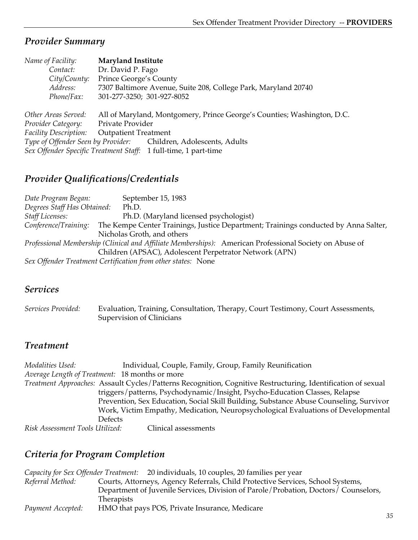| Name of Facility:                                                | <b>Maryland Institute</b>   |                                                                         |
|------------------------------------------------------------------|-----------------------------|-------------------------------------------------------------------------|
| Contact:                                                         | Dr. David P. Fago           |                                                                         |
| City/County:                                                     | Prince George's County      |                                                                         |
| Address:                                                         |                             | 7307 Baltimore Avenue, Suite 208, College Park, Maryland 20740          |
| Phone/Fax:                                                       | 301-277-3250; 301-927-8052  |                                                                         |
|                                                                  |                             |                                                                         |
| Other Areas Served:                                              |                             | All of Maryland, Montgomery, Prince George's Counties; Washington, D.C. |
| Provider Category:                                               | Private Provider            |                                                                         |
| <b>Facility Description:</b>                                     | <b>Outpatient Treatment</b> |                                                                         |
| Type of Offender Seen by Provider: Children, Adolescents, Adults |                             |                                                                         |
| Sex Offender Specific Treatment Staff: 1 full-time, 1 part-time  |                             |                                                                         |

# *Provider Qualifications/Credentials*

*Date Program Began:* September 15, 1983 *Degrees Staff Has Obtained:* Ph.D. *Staff Licenses:* Ph.D. (Maryland licensed psychologist) *Conference/Training:* The Kempe Center Trainings, Justice Department; Trainings conducted by Anna Salter, Nicholas Groth, and others *Professional Membership (Clinical and Affiliate Memberships):* American Professional Society on Abuse of Children (APSAC), Adolescent Perpetrator Network (APN) *Sex Offender Treatment Certification from other states:* None

#### *Services*

*Services Provided:* Evaluation, Training, Consultation, Therapy, Court Testimony, Court Assessments, Supervision of Clinicians

#### *Treatment*

*Modalities Used:* Individual, Couple, Family, Group, Family Reunification *Average Length of Treatment:* 18 months or more *Treatment Approaches:* Assault Cycles/Patterns Recognition, Cognitive Restructuring, Identification of sexual triggers/patterns, Psychodynamic/Insight, Psycho-Education Classes, Relapse Prevention, Sex Education, Social Skill Building, Substance Abuse Counseling, Survivor Work, Victim Empathy, Medication, Neuropsychological Evaluations of Developmental Defects *Risk Assessment Tools Utilized:* Clinical assessments

# *Criteria for Program Completion*

|                   | Capacity for Sex Offender Treatment: 20 individuals, 10 couples, 20 families per year |
|-------------------|---------------------------------------------------------------------------------------|
| Referral Method:  | Courts, Attorneys, Agency Referrals, Child Protective Services, School Systems,       |
|                   | Department of Juvenile Services, Division of Parole/Probation, Doctors/ Counselors,   |
|                   | <b>Therapists</b>                                                                     |
| Payment Accepted: | HMO that pays POS, Private Insurance, Medicare                                        |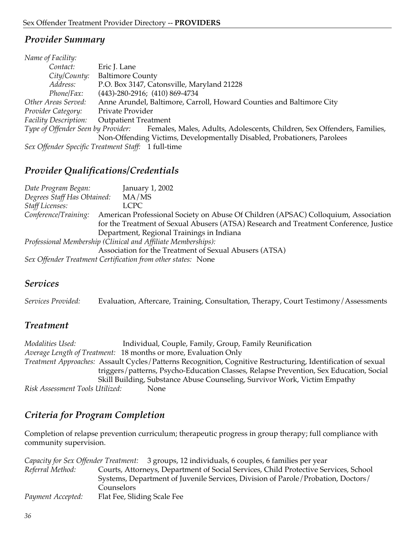| Eric J. Lane                                                                                               |  |
|------------------------------------------------------------------------------------------------------------|--|
| City/County:<br><b>Baltimore County</b>                                                                    |  |
| P.O. Box 3147, Catonsville, Maryland 21228                                                                 |  |
| $(443)$ -280-2916; $(410)$ 869-4734                                                                        |  |
| Anne Arundel, Baltimore, Carroll, Howard Counties and Baltimore City                                       |  |
| Private Provider                                                                                           |  |
| <b>Facility Description:</b><br><b>Outpatient Treatment</b>                                                |  |
| Type of Offender Seen by Provider: Females, Males, Adults, Adolescents, Children, Sex Offenders, Families, |  |
| Non-Offending Victims, Developmentally Disabled, Probationers, Parolees                                    |  |
| Sex Offender Specific Treatment Staff: 1 full-time                                                         |  |
| Phone/Fax:<br>Other Areas Served:<br>Provider Category:                                                    |  |

#### *Provider Qualifications/Credentials*

*Date Program Began:* January 1, 2002 *Degrees Staff Has Obtained:* MA/MS *Staff Licenses:* LCPC *Conference/Training:* American Professional Society on Abuse Of Children (APSAC) Colloquium, Association for the Treatment of Sexual Abusers (ATSA) Research and Treatment Conference, Justice Department, Regional Trainings in Indiana *Professional Membership (Clinical and Affiliate Memberships):* Association for the Treatment of Sexual Abusers (ATSA) *Sex Offender Treatment Certification from other states:* None

#### *Services*

*Services Provided:* Evaluation, Aftercare, Training, Consultation, Therapy, Court Testimony/Assessments

#### *Treatment*

*Modalities Used:* Individual, Couple, Family, Group, Family Reunification *Average Length of Treatment:* 18 months or more, Evaluation Only *Treatment Approaches:* Assault Cycles/Patterns Recognition, Cognitive Restructuring, Identification of sexual triggers/patterns, Psycho-Education Classes, Relapse Prevention, Sex Education, Social Skill Building, Substance Abuse Counseling, Survivor Work, Victim Empathy *Risk Assessment Tools Utilized:* None

# *Criteria for Program Completion*

Completion of relapse prevention curriculum; therapeutic progress in group therapy; full compliance with community supervision.

|                   | Capacity for Sex Offender Treatment: 3 groups, 12 individuals, 6 couples, 6 families per year |
|-------------------|-----------------------------------------------------------------------------------------------|
| Referral Method:  | Courts, Attorneys, Department of Social Services, Child Protective Services, School           |
|                   | Systems, Department of Juvenile Services, Division of Parole/Probation, Doctors/              |
|                   | Counselors                                                                                    |
| Payment Accepted: | Flat Fee, Sliding Scale Fee                                                                   |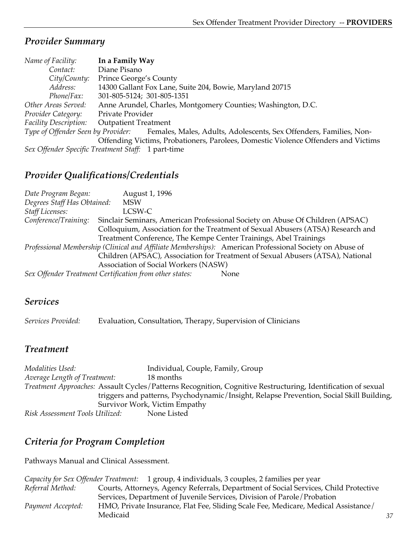| Name of Facility:            | In a Family Way                                                                                       |
|------------------------------|-------------------------------------------------------------------------------------------------------|
| Contact:                     | Diane Pisano                                                                                          |
| City/County:                 | Prince George's County                                                                                |
| Address:                     | 14300 Gallant Fox Lane, Suite 204, Bowie, Maryland 20715                                              |
| Phone/Fax:                   | 301-805-5124; 301-805-1351                                                                            |
| Other Areas Served:          | Anne Arundel, Charles, Montgomery Counties; Washington, D.C.                                          |
| Provider Category:           | Private Provider                                                                                      |
| <b>Facility Description:</b> | <b>Outpatient Treatment</b>                                                                           |
|                              | Type of Offender Seen by Provider: Females, Males, Adults, Adolescents, Sex Offenders, Families, Non- |
|                              | Offending Victims, Probationers, Parolees, Domestic Violence Offenders and Victims                    |
|                              | Sex Offender Specific Treatment Staff: 1 part-time                                                    |

# *Provider Qualifications/Credentials*

*Date Program Began:* August 1, 1996 *Degrees Staff Has Obtained:* MSW *Staff Licenses:* LCSW-C *Conference/Training:* Sinclair Seminars, American Professional Society on Abuse Of Children (APSAC) Colloquium, Association for the Treatment of Sexual Abusers (ATSA) Research and Treatment Conference, The Kempe Center Trainings, Abel Trainings *Professional Membership (Clinical and Affiliate Memberships):* American Professional Society on Abuse of Children (APSAC), Association for Treatment of Sexual Abusers (ATSA), National Association of Social Workers (NASW) *Sex Offender Treatment Certification from other states:* None

# *Services*

*Services Provided:* Evaluation, Consultation, Therapy, Supervision of Clinicians

# *Treatment*

*Modalities Used:* Individual, Couple, Family, Group *Average Length of Treatment:* 18 months *Treatment Approaches:* Assault Cycles/Patterns Recognition, Cognitive Restructuring, Identification of sexual triggers and patterns, Psychodynamic/Insight, Relapse Prevention, Social Skill Building, Survivor Work, Victim Empathy *Risk Assessment Tools Utilized:* None Listed

# *Criteria for Program Completion*

Pathways Manual and Clinical Assessment.

|                   | Capacity for Sex Offender Treatment: 1 group, 4 individuals, 3 couples, 2 families per year |
|-------------------|---------------------------------------------------------------------------------------------|
| Referral Method:  | Courts, Attorneys, Agency Referrals, Department of Social Services, Child Protective        |
|                   | Services, Department of Juvenile Services, Division of Parole/Probation                     |
| Payment Accepted: | HMO, Private Insurance, Flat Fee, Sliding Scale Fee, Medicare, Medical Assistance/          |
|                   | Medicaid                                                                                    |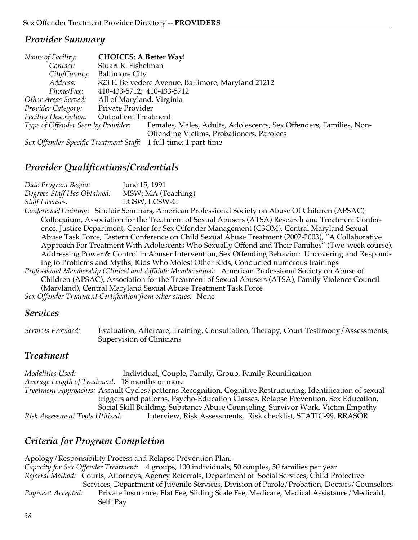| Name of Facility:                  | <b>CHOICES: A Better Way!</b> |                                                                    |
|------------------------------------|-------------------------------|--------------------------------------------------------------------|
| Contact:                           | Stuart R. Fishelman           |                                                                    |
| City/County:                       | <b>Baltimore City</b>         |                                                                    |
| Address:                           |                               | 823 E. Belvedere Avenue, Baltimore, Maryland 21212                 |
| Phone/Fax:                         | 410-433-5712; 410-433-5712    |                                                                    |
| Other Areas Served:                | All of Maryland, Virginia     |                                                                    |
| Provider Category:                 | Private Provider              |                                                                    |
| <b>Facility Description:</b>       | <b>Outpatient Treatment</b>   |                                                                    |
| Type of Offender Seen by Provider: |                               | Females, Males, Adults, Adolescents, Sex Offenders, Families, Non- |
|                                    |                               | Offending Victims, Probationers, Parolees                          |
|                                    |                               | Can Offenday Cassific Tussburget Ctaffe 1 full time: 1 north time  |

*Sex Offender Specific Treatment Staff:* 1 full-time; 1 part-time

# *Provider Qualifications/Credentials*

*Date Program Began:* June 15, 1991 *Degrees Staff Has Obtained:* MSW; MA (Teaching) *Staff Licenses:* LGSW, LCSW-C *Conference/Training:* Sinclair Seminars, American Professional Society on Abuse Of Children (APSAC) Colloquium, Association for the Treatment of Sexual Abusers (ATSA) Research and Treatment Conference, Justice Department, Center for Sex Offender Management (CSOM), Central Maryland Sexual Abuse Task Force, Eastern Conference on Child Sexual Abuse Treatment (2002-2003), "A Collaborative Approach For Treatment With Adolescents Who Sexually Offend and Their Families" (Two-week course), Addressing Power & Control in Abuser Intervention, Sex Offending Behavior: Uncovering and Responding to Problems and Myths, Kids Who Molest Other Kids, Conducted numerous trainings *Professional Membership (Clinical and Affiliate Memberships):* American Professional Society on Abuse of Children (APSAC), Association for the Treatment of Sexual Abusers (ATSA), Family Violence Council (Maryland), Central Maryland Sexual Abuse Treatment Task Force *Sex Offender Treatment Certification from other states:* None

## *Services*

*Services Provided:* Evaluation, Aftercare, Training, Consultation, Therapy, Court Testimony/Assessments, Supervision of Clinicians

# *Treatment*

*Modalities Used:* Individual, Couple, Family, Group, Family Reunification *Average Length of Treatment:* 18 months or more *Treatment Approaches:* Assault Cycles/patterns Recognition, Cognitive Restructuring, Identification of sexual triggers and patterns, Psycho-Education Classes, Relapse Prevention, Sex Education, Social Skill Building, Substance Abuse Counseling, Survivor Work, Victim Empathy *Risk Assessment Tools Utilized:* Interview, Risk Assessments, Risk checklist, STATIC-99, RRASOR

# *Criteria for Program Completion*

Apology/Responsibility Process and Relapse Prevention Plan. *Capacity for Sex Offender Treatment:* 4 groups, 100 individuals, 50 couples, 50 families per year *Referral Method:* Courts, Attorneys, Agency Referrals, Department of Social Services, Child Protective Services, Department of Juvenile Services, Division of Parole/Probation, Doctors/Counselors *Payment Accepted:* Private Insurance, Flat Fee, Sliding Scale Fee, Medicare, Medical Assistance/Medicaid, Self Pay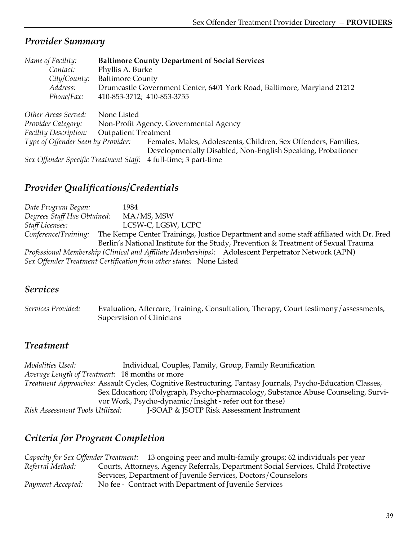| Name of Facility:                      | <b>Baltimore County Department of Social Services</b>                   |
|----------------------------------------|-------------------------------------------------------------------------|
| Contact:                               | Phyllis A. Burke                                                        |
| City/County:                           | <b>Baltimore County</b>                                                 |
| Address:                               | Drumcastle Government Center, 6401 York Road, Baltimore, Maryland 21212 |
| Phone/Fax:                             | 410-853-3712; 410-853-3755                                              |
| Other Areas Served:                    | None Listed                                                             |
| Provider Category:                     | Non-Profit Agency, Governmental Agency                                  |
| <b>Facility Description:</b>           | <b>Outpatient Treatment</b>                                             |
| Type of Offender Seen by Provider:     | Females, Males, Adolescents, Children, Sex Offenders, Families,         |
|                                        | Developmentally Disabled, Non-English Speaking, Probationer             |
| Sex Offender Specific Treatment Staff: | 4 full-time; 3 part-time                                                |

# *Provider Qualifications/Credentials*

*Date Program Began:* 1984 *Degrees Staff Has Obtained:* MA/MS, MSW *Staff Licenses:* LCSW-C, LGSW, LCPC *Conference/Training:* The Kempe Center Trainings, Justice Department and some staff affiliated with Dr. Fred Berlin's National Institute for the Study, Prevention & Treatment of Sexual Trauma *Professional Membership (Clinical and Affiliate Memberships):* Adolescent Perpetrator Network (APN) *Sex Offender Treatment Certification from other states:* None Listed

# *Services*

*Services Provided:* Evaluation, Aftercare, Training, Consultation, Therapy, Court testimony/assessments, Supervision of Clinicians

# *Treatment*

*Modalities Used:* Individual, Couples, Family, Group, Family Reunification *Average Length of Treatment:* 18 months or more *Treatment Approaches:* Assault Cycles, Cognitive Restructuring, Fantasy Journals, Psycho-Education Classes, Sex Education; (Polygraph, Psycho-pharmacology, Substance Abuse Counseling, Survivor Work, Psycho-dynamic/Insight - refer out for these) *Risk Assessment Tools Utilized:* J-SOAP & JSOTP Risk Assessment Instrument

# *Criteria for Program Completion*

*Capacity for Sex Offender Treatment:* 13 ongoing peer and multi-family groups; 62 individuals per year *Referral Method:* Courts, Attorneys, Agency Referrals, Department Social Services, Child Protective Services, Department of Juvenile Services, Doctors/Counselors *Payment Accepted:* No fee - Contract with Department of Juvenile Services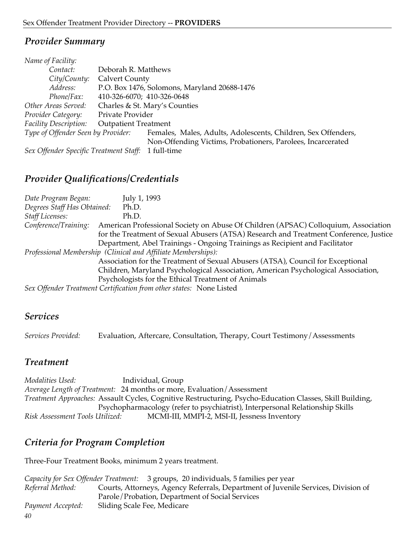| Name of Facility:                      |                             |                                                               |
|----------------------------------------|-----------------------------|---------------------------------------------------------------|
| Contact:                               | Deborah R. Matthews         |                                                               |
| City/County:                           | <b>Calvert County</b>       |                                                               |
| Address:                               |                             | P.O. Box 1476, Solomons, Maryland 20688-1476                  |
| Phone/Fax:                             | 410-326-6070; 410-326-0648  |                                                               |
| Other Areas Served:                    |                             | Charles & St. Mary's Counties                                 |
| Provider Category:                     | Private Provider            |                                                               |
| Facility Description:                  | <b>Outpatient Treatment</b> |                                                               |
| Type of Offender Seen by Provider:     |                             | Females, Males, Adults, Adolescents, Children, Sex Offenders, |
|                                        |                             | Non-Offending Victims, Probationers, Parolees, Incarcerated   |
| Sex Offender Specific Treatment Staff: |                             | 1 full-time                                                   |

*Provider Qualifications/Credentials*

| Date Program Began:         | July 1, 1993                                                                          |
|-----------------------------|---------------------------------------------------------------------------------------|
| Degrees Staff Has Obtained: | Ph.D.                                                                                 |
| <b>Staff Licenses:</b>      | Ph.D.                                                                                 |
| Conference/Training:        | American Professional Society on Abuse Of Children (APSAC) Colloquium, Association    |
|                             | for the Treatment of Sexual Abusers (ATSA) Research and Treatment Conference, Justice |
|                             | Department, Abel Trainings - Ongoing Trainings as Recipient and Facilitator           |
|                             | Professional Membership (Clinical and Affiliate Memberships):                         |
|                             | Association for the Treatment of Sexual Abusers (ATSA), Council for Exceptional       |
|                             | Children, Maryland Psychological Association, American Psychological Association,     |
|                             | Psychologists for the Ethical Treatment of Animals                                    |
|                             | Sex Offender Treatment Certification from other states: None Listed                   |

## *Services*

*Services Provided:* Evaluation, Aftercare, Consultation, Therapy, Court Testimony/Assessments

# *Treatment*

*Modalities Used:* Individual, Group *Average Length of Treatment:* 24 months or more, Evaluation/Assessment *Treatment Approaches:* Assault Cycles, Cognitive Restructuring, Psycho-Education Classes, Skill Building, Psychopharmacology (refer to psychiatrist), Interpersonal Relationship Skills *Risk Assessment Tools Utilized:* MCMI-III, MMPI-2, MSI-II, Jessness Inventory

# *Criteria for Program Completion*

Three-Four Treatment Books, minimum 2 years treatment.

|                   | Capacity for Sex Offender Treatment: 3 groups, 20 individuals, 5 families per year |
|-------------------|------------------------------------------------------------------------------------|
| Referral Method:  | Courts, Attorneys, Agency Referrals, Department of Juvenile Services, Division of  |
|                   | Parole/Probation, Department of Social Services                                    |
| Payment Accepted: | Sliding Scale Fee, Medicare                                                        |
| 40                |                                                                                    |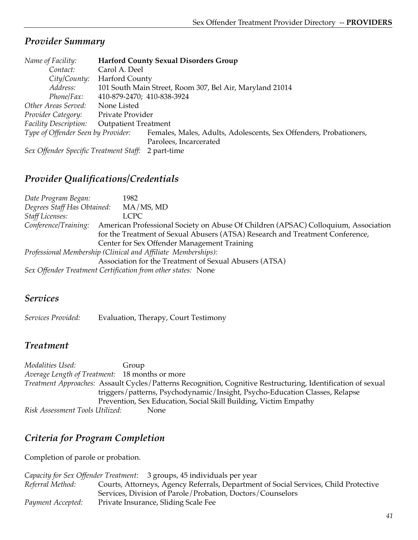| Name of Facility:                      |                             | <b>Harford County Sexual Disorders Group</b>                      |
|----------------------------------------|-----------------------------|-------------------------------------------------------------------|
| Contact:                               | Carol A. Deel               |                                                                   |
| City/Country:                          | <b>Harford County</b>       |                                                                   |
| Address:                               |                             | 101 South Main Street, Room 307, Bel Air, Maryland 21014          |
| Phone/Fax:                             | 410-879-2470; 410-838-3924  |                                                                   |
| Other Areas Served:                    | None Listed                 |                                                                   |
| Provider Category:                     | Private Provider            |                                                                   |
| Facility Description:                  | <b>Outpatient Treatment</b> |                                                                   |
| Type of Offender Seen by Provider:     |                             | Females, Males, Adults, Adolescents, Sex Offenders, Probationers, |
|                                        |                             | Parolees, Incarcerated                                            |
| Sex Offender Specific Treatment Staff: |                             | 2 part-time                                                       |

*Provider Qualifications/Credentials*

| Date Program Began:         | 1982                                                                                                                                                                                                               |
|-----------------------------|--------------------------------------------------------------------------------------------------------------------------------------------------------------------------------------------------------------------|
| Degrees Staff Has Obtained: | MA/MS, MD                                                                                                                                                                                                          |
| <b>Staff Licenses:</b>      | <b>LCPC</b>                                                                                                                                                                                                        |
| Conference/Training:        | American Professional Society on Abuse Of Children (APSAC) Colloquium, Association<br>for the Treatment of Sexual Abusers (ATSA) Research and Treatment Conference,<br>Center for Sex Offender Management Training |
|                             | Professional Membership (Clinical and Affiliate Memberships):<br>Association for the Treatment of Sexual Abusers (ATSA)<br>Sex Offender Treatment Certification from other states: None                            |

# *Services*

*Services Provided:* Evaluation, Therapy, Court Testimony

# *Treatment*

*Modalities Used:* Group *Average Length of Treatment:* 18 months or more *Treatment Approaches:* Assault Cycles/Patterns Recognition, Cognitive Restructuring, Identification of sexual triggers/patterns, Psychodynamic/Insight, Psycho-Education Classes, Relapse Prevention, Sex Education, Social Skill Building, Victim Empathy *Risk Assessment Tools Utilized:* None

# *Criteria for Program Completion*

Completion of parole or probation.

|                   | <i>Capacity for Sex Offender Treatment:</i> 3 groups, 45 individuals per year        |
|-------------------|--------------------------------------------------------------------------------------|
| Referral Method:  | Courts, Attorneys, Agency Referrals, Department of Social Services, Child Protective |
|                   | Services, Division of Parole/Probation, Doctors/Counselors                           |
| Payment Accepted: | Private Insurance, Sliding Scale Fee                                                 |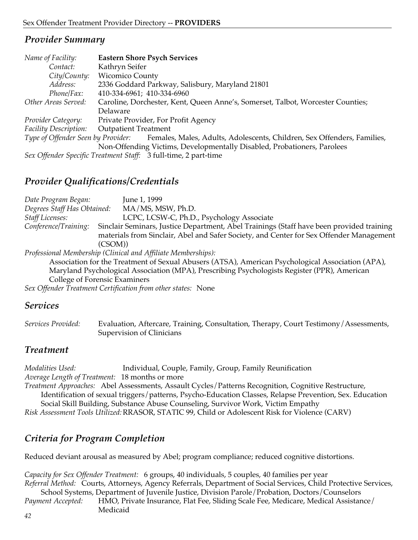| Name of Facility:     | <b>Eastern Shore Psych Services</b>                                                                        |
|-----------------------|------------------------------------------------------------------------------------------------------------|
| Contact:              | Kathryn Seifer                                                                                             |
| City/County:          | <b>Wicomico County</b>                                                                                     |
| Address:              | 2336 Goddard Parkway, Salisbury, Maryland 21801                                                            |
| Phone/Fax:            | 410-334-6961; 410-334-6960                                                                                 |
| Other Areas Served:   | Caroline, Dorchester, Kent, Queen Anne's, Somerset, Talbot, Worcester Counties;                            |
|                       | Delaware                                                                                                   |
| Provider Category:    | Private Provider, For Profit Agency                                                                        |
| Facility Description: | <b>Outpatient Treatment</b>                                                                                |
|                       | Type of Offender Seen by Provider: Females, Males, Adults, Adolescents, Children, Sex Offenders, Families, |
|                       | Non-Offending Victims, Developmentally Disabled, Probationers, Parolees                                    |
|                       | Sex Offender Specific Treatment Staff: 3 full-time, 2 part-time                                            |

# *Provider Qualifications/Credentials*

*Date Program Began:* June 1, 1999 *Degrees Staff Has Obtained:* MA/MS, MSW, Ph.D. *Staff Licenses:* LCPC, LCSW-C, Ph.D., Psychology Associate *Conference/Training:* Sinclair Seminars, Justice Department, Abel Trainings (Staff have been provided training materials from Sinclair, Abel and Safer Society, and Center for Sex Offender Management (CSOM))

*Professional Membership (Clinical and Affiliate Memberships):*

Association for the Treatment of Sexual Abusers (ATSA), American Psychological Association (APA), Maryland Psychological Association (MPA), Prescribing Psychologists Register (PPR), American College of Forensic Examiners

*Sex Offender Treatment Certification from other states:* None

# *Services*

*Services Provided:* Evaluation, Aftercare, Training, Consultation, Therapy, Court Testimony/Assessments, Supervision of Clinicians

# *Treatment*

*Modalities Used:* Individual, Couple, Family, Group, Family Reunification *Average Length of Treatment:* 18 months or more *Treatment Approaches:* Abel Assessments, Assault Cycles/Patterns Recognition, Cognitive Restructure, Identification of sexual triggers/patterns, Psycho-Education Classes, Relapse Prevention, Sex. Education Social Skill Building, Substance Abuse Counseling, Survivor Work, Victim Empathy

*Risk Assessment Tools Utilized:*RRASOR, STATIC 99, Child or Adolescent Risk for Violence (CARV)

# *Criteria for Program Completion*

Reduced deviant arousal as measured by Abel; program compliance; reduced cognitive distortions.

*Capacity for Sex Offender Treatment:* 6 groups, 40 individuals, 5 couples, 40 families per year *Referral Method:* Courts, Attorneys, Agency Referrals, Department of Social Services, Child Protective Services,

School Systems, Department of Juvenile Justice, Division Parole/Probation, Doctors/Counselors *Payment Accepted:* HMO, Private Insurance, Flat Fee, Sliding Scale Fee, Medicare, Medical Assistance/ Medicaid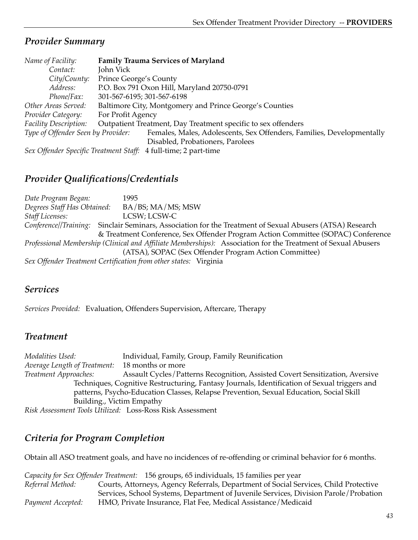| Name of Facility:                  | <b>Family Trauma Services of Maryland</b>                             |
|------------------------------------|-----------------------------------------------------------------------|
| Contact:                           | John Vick                                                             |
| City/County:                       | Prince George's County                                                |
| Address:                           | P.O. Box 791 Oxon Hill, Maryland 20750-0791                           |
| Phone/Fax:                         | 301-567-6195; 301-567-6198                                            |
| Other Areas Served:                | Baltimore City, Montgomery and Prince George's Counties               |
| Provider Category:                 | For Profit Agency                                                     |
| Facility Description:              | Outpatient Treatment, Day Treatment specific to sex offenders         |
| Type of Offender Seen by Provider: | Females, Males, Adolescents, Sex Offenders, Families, Developmentally |
|                                    | Disabled, Probationers, Parolees                                      |
|                                    |                                                                       |

*Sex Offender Specific Treatment Staff:* 4 full-time; 2 part-time

# *Provider Qualifications/Credentials*

*Date Program Began:* 1995 *Degrees Staff Has Obtained:* BA/BS; MA/MS; MSW *Staff Licenses:* LCSW; LCSW-C *Conference//Training:* Sinclair Seminars, Association for the Treatment of Sexual Abusers (ATSA) Research & Treatment Conference, Sex Offender Program Action Committee (SOPAC) Conference *Professional Membership (Clinical and Affiliate Memberships):* Association for the Treatment of Sexual Abusers (ATSA), SOPAC (Sex Offender Program Action Committee) *Sex Offender Treatment Certification from other states:* Virginia

# *Services*

*Services Provided:* Evaluation, Offenders Supervision, Aftercare, Therapy

# *Treatment*

*Modalities Used:* Individual, Family, Group, Family Reunification *Average Length of Treatment:* 18 months or more *Treatment Approaches:* Assault Cycles/Patterns Recognition, Assisted Covert Sensitization, Aversive Techniques, Cognitive Restructuring, Fantasy Journals, Identification of Sexual triggers and patterns, Psycho-Education Classes, Relapse Prevention, Sexual Education, Social Skill Building., Victim Empathy

*Risk Assessment Tools Utilized:* Loss-Ross Risk Assessment

# *Criteria for Program Completion*

Obtain all ASO treatment goals, and have no incidences of re-offending or criminal behavior for 6 months.

*Capacity for Sex Offender Treatment:* 156 groups, 65 individuals, 15 families per year *Referral Method:* Courts, Attorneys, Agency Referrals, Department of Social Services, Child Protective Services, School Systems, Department of Juvenile Services, Division Parole/Probation *Payment Accepted:* HMO, Private Insurance, Flat Fee, Medical Assistance/Medicaid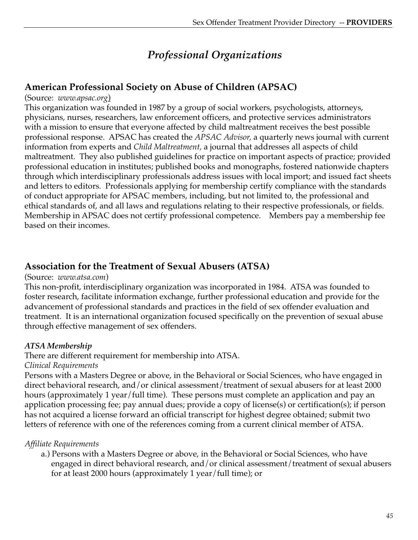# *Professional Organizations*

# **American Professional Society on Abuse of Children (APSAC)**

#### (Source: *www.apsac.org*)

This organization was founded in 1987 by a group of social workers, psychologists, attorneys, physicians, nurses, researchers, law enforcement officers, and protective services administrators with a mission to ensure that everyone affected by child maltreatment receives the best possible professional response. APSAC has created the *APSAC Advisor,* a quarterly news journal with current information from experts and *Child Maltreatment,* a journal that addresses all aspects of child maltreatment. They also published guidelines for practice on important aspects of practice; provided professional education in institutes; published books and monographs, fostered nationwide chapters through which interdisciplinary professionals address issues with local import; and issued fact sheets and letters to editors.Professionals applying for membership certify compliance with the standards of conduct appropriate for APSAC members, including, but not limited to, the professional and ethical standards of, and all laws and regulations relating to their respective professionals, or fields. Membership in APSAC does not certify professional competence. Members pay a membership fee based on their incomes.

# **Association for the Treatment of Sexual Abusers (ATSA)**

#### (Source: *www.atsa.com*)

This non-profit, interdisciplinary organization was incorporated in 1984. ATSA was founded to foster research, facilitate information exchange, further professional education and provide for the advancement of professional standards and practices in the field of sex offender evaluation and treatment. It is an international organization focused specifically on the prevention of sexual abuse through effective management of sex offenders.

#### *ATSA Membership*

There are different requirement for membership into ATSA.

*Clinical Requirements*

Persons with a Masters Degree or above, in the Behavioral or Social Sciences, who have engaged in direct behavioral research, and/or clinical assessment/treatment of sexual abusers for at least 2000 hours (approximately 1 year/full time). These persons must complete an application and pay an application processing fee; pay annual dues; provide a copy of license(s) or certification(s); if person has not acquired a license forward an official transcript for highest degree obtained; submit two letters of reference with one of the references coming from a current clinical member of ATSA.

#### *Affiliate Requirements*

a.) Persons with a Masters Degree or above, in the Behavioral or Social Sciences, who have engaged in direct behavioral research, and/or clinical assessment/treatment of sexual abusers for at least 2000 hours (approximately 1 year/full time); or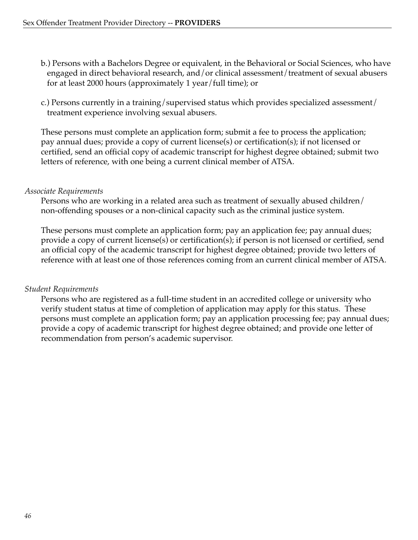- b.) Persons with a Bachelors Degree or equivalent, in the Behavioral or Social Sciences, who have engaged in direct behavioral research, and/or clinical assessment/treatment of sexual abusers for at least 2000 hours (approximately 1 year/full time); or
- c.) Persons currently in a training/supervised status which provides specialized assessment/ treatment experience involving sexual abusers.

These persons must complete an application form; submit a fee to process the application; pay annual dues; provide a copy of current license(s) or certification(s); if not licensed or certified, send an official copy of academic transcript for highest degree obtained; submit two letters of reference, with one being a current clinical member of ATSA.

#### *Associate Requirements*

Persons who are working in a related area such as treatment of sexually abused children/ non-offending spouses or a non-clinical capacity such as the criminal justice system.

These persons must complete an application form; pay an application fee; pay annual dues; provide a copy of current license(s) or certification(s); if person is not licensed or certified, send an official copy of the academic transcript for highest degree obtained; provide two letters of reference with at least one of those references coming from an current clinical member of ATSA.

## *Student Requirements*

Persons who are registered as a full-time student in an accredited college or university who verify student status at time of completion of application may apply for this status. These persons must complete an application form; pay an application processing fee; pay annual dues; provide a copy of academic transcript for highest degree obtained; and provide one letter of recommendation from person's academic supervisor.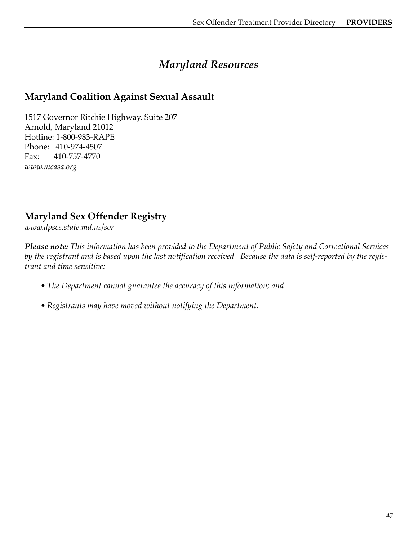# *Maryland Resources*

# **Maryland Coalition Against Sexual Assault**

1517 Governor Ritchie Highway, Suite 207 Arnold, Maryland 21012 Hotline: 1-800-983-RAPE Phone: 410-974-4507 Fax: 410-757-4770 *www.mcasa.org*

# **Maryland Sex Offender Registry**

*www.dpscs.state.md.us/sor*

*Please note: This information has been provided to the Department of Public Safety and Correctional Services by the registrant and is based upon the last notification received. Because the data is self-reported by the registrant and time sensitive:*

- *The Department cannot guarantee the accuracy of this information; and*
- *Registrants may have moved without notifying the Department.*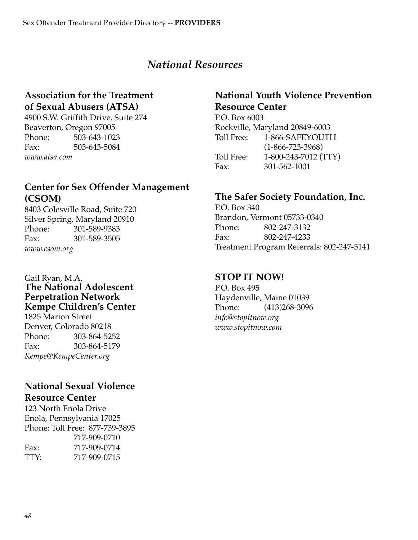# *National Resources*

# **Association for the Treatment of Sexual Abusers (ATSA)**

4900 S.W. Griffith Drive, Suite 274 Beaverton, Oregon 97005 Phone: 503-643-1023 Fax: 503-643-5084 *www.atsa.com*

# **Center for Sex Offender Management (CSOM)**

8403 Colesville Road, Suite 720 Silver Spring, Maryland 20910 Phone: 301-589-9383 Fax: 301-589-3505 *www.csom.org*

#### Gail Ryan, M.A. **The National Adolescent Perpetration Network Kempe Children's Center**

1825 Marion Street Denver, Colorado 80218 Phone: 303-864-5252 Fax: 303-864-5179 *Kempe@KempeCenter.org*

## **National Sexual Violence Resource Center**

123 North Enola Drive Enola, Pennsylvania 17025 Phone: Toll Free: 877-739-3895

|      | 717-909-0710 |
|------|--------------|
| Fax: | 717-909-0714 |
| TTY: | 717-909-0715 |

# **National Youth Violence Prevention Resource Center**

P.O. Box 6003 Rockville, Maryland 20849-6003 Toll Free: 1-866-SAFEYOUTH (1-866-723-3968) Toll Free: 1-800-243-7012 (TTY) Fax: 301-562-1001

# **The Safer Society Foundation, Inc.**

P.O. Box 340 Brandon, Vermont 05733-0340 Phone: 802-247-3132 Fax: 802-247-4233 Treatment Program Referrals: 802-247-5141

# **STOP IT NOW!**

P.O. Box 495 Haydenville, Maine 01039 Phone: (413)268-3096 *info@stopitnow.org www.stopitnow.com*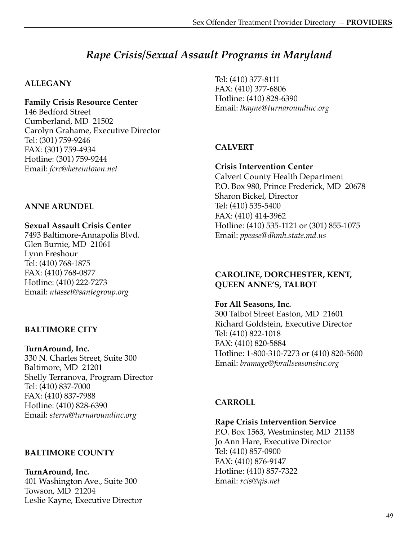# *Rape Crisis/Sexual Assault Programs in Maryland*

#### **ALLEGANY**

#### **Family Crisis Resource Center**

146 Bedford Street Cumberland, MD 21502 Carolyn Grahame, Executive Director Tel: (301) 759-9246 FAX: (301) 759-4934 Hotline: (301) 759-9244 Email: *fcrc@hereintown.net*

# **ANNE ARUNDEL**

#### **Sexual Assault Crisis Center**

7493 Baltimore-Annapolis Blvd. Glen Burnie, MD 21061 Lynn Freshour Tel: (410) 768-1875 FAX: (410) 768-0877 Hotline: (410) 222-7273 Email: *ntasset@santegroup.org*

#### **BALTIMORE CITY**

**TurnAround, Inc.** 330 N. Charles Street, Suite 300 Baltimore, MD 21201 Shelly Terranova, Program Director Tel: (410) 837-7000 FAX: (410) 837-7988 Hotline: (410) 828-6390 Email: *sterra@turnaroundinc.org*

#### **BALTIMORE COUNTY**

**TurnAround, Inc.** 401 Washington Ave., Suite 300 Towson, MD 21204 Leslie Kayne, Executive Director Tel: (410) 377-8111 FAX: (410) 377-6806 Hotline: (410) 828-6390 Email: *lkayne@turnaroundinc.org*

## **CALVERT**

#### **Crisis Intervention Center** Calvert County Health Department P.O. Box 980, Prince Frederick, MD 20678 Sharon Bickel, Director Tel: (410) 535-5400 FAX: (410) 414-3962 Hotline: (410) 535-1121 or (301) 855-1075 Email: *ppease@dhmh.state.md.us*

#### **CAROLINE, DORCHESTER, KENT, QUEEN ANNE'S, TALBOT**

**For All Seasons, Inc.** 300 Talbot Street Easton, MD 21601 Richard Goldstein, Executive Director Tel: (410) 822-1018 FAX: (410) 820-5884 Hotline: 1-800-310-7273 or (410) 820-5600 Email: *bramage@forallseasonsinc.org*

#### **CARROLL**

**Rape Crisis Intervention Service**

P.O. Box 1563, Westminster, MD 21158 Jo Ann Hare, Executive Director Tel: (410) 857-0900 FAX: (410) 876-9147 Hotline: (410) 857-7322 Email: *rcis@qis.net*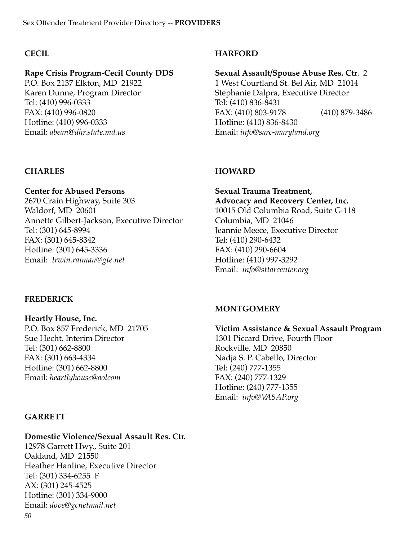#### **CECIL**

#### **Rape Crisis Program-Cecil County DDS**

P.O. Box 2137 Elkton, MD 21922 Karen Dunne, Program Director Tel: (410) 996-0333 FAX: (410) 996-0820 Hotline: (410) 996-0333 Email: *abean@dhr.state.md.us*

#### **CHARLES**

# **Center for Abused Persons**

2670 Crain Highway, Suite 303 Waldorf, MD 20601 Annette Gilbert-Jackson, Executive Director Tel: (301) 645-8994 FAX: (301) 645-8342 Hotline: (301) 645-3336 Email: *Irwin.raiman@gte.net*

#### **FREDERICK**

**Heartly House, Inc.** P.O. Box 857 Frederick, MD 21705 Sue Hecht, Interim Director Tel: (301) 662-8800 FAX: (301) 663-4334 Hotline: (301) 662-8800 Email: *heartlyhouse@aolcom*

#### **GARRETT**

#### **Domestic Violence/Sexual Assault Res. Ctr.**

*50* 12978 Garrett Hwy., Suite 201 Oakland, MD 21550 Heather Hanline, Executive Director Tel: (301) 334-6255 F AX: (301) 245-4525 Hotline: (301) 334-9000 Email: *dove@gcnetmail.net*

#### **HARFORD**

**Sexual Assault/Spouse Abuse Res. Ctr**. 2 1 West Courtland St. Bel Air, MD 21014 Stephanie Dalpra, Executive Director Tel: (410) 836-8431 FAX: (410) 803-9178 (410) 879-3486 Hotline: (410) 836-8430 Email: *info@sarc-maryland.org*

#### **HOWARD**

**Sexual Trauma Treatment, Advocacy and Recovery Center, Inc.** 10015 Old Columbia Road, Suite G-118 Columbia, MD 21046 Jeannie Meece, Executive Director Tel: (410) 290-6432 FAX: (410) 290-6604 Hotline: (410) 997-3292 Email: *info@sttarcenter.org*

#### **MONTGOMERY**

#### **Victim Assistance & Sexual Assault Program** 1301 Piccard Drive, Fourth Floor

Rockville, MD 20850 Nadja S. P. Cabello, Director Tel: (240) 777-1355 FAX: (240) 777-1329 Hotline: (240) 777-1355 Email: *info@VASAP.org*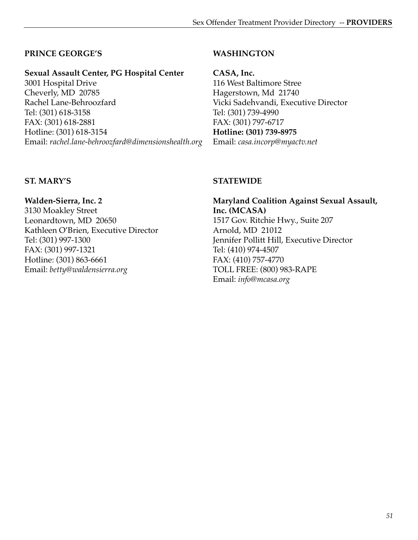#### **PRINCE GEORGE'S**

#### **Sexual Assault Center, PG Hospital Center**

3001 Hospital Drive Cheverly, MD 20785 Rachel Lane-Behroozfard Tel: (301) 618-3158 FAX: (301) 618-2881 Hotline: (301) 618-3154 Email: *rachel.lane-behroozfard@dimensionshealth.org*

#### **WASHINGTON**

**CASA, Inc.** 116 West Baltimore Stree Hagerstown, Md 21740 Vicki Sadehvandi, Executive Director Tel: (301) 739-4990 FAX: (301) 797-6717 **Hotline: (301) 739-8975** Email: *casa.incorp@myactv.net*

#### **ST. MARY'S**

**Walden-Sierra, Inc. 2** 3130 Moakley Street Leonardtown, MD 20650 Kathleen O'Brien, Executive Director Tel: (301) 997-1300 FAX: (301) 997-1321 Hotline: (301) 863-6661 Email: *betty@waldensierra.org*

#### **STATEWIDE**

**Maryland Coalition Against Sexual Assault, Inc. (MCASA)** 1517 Gov. Ritchie Hwy., Suite 207 Arnold, MD 21012 Jennifer Pollitt Hill, Executive Director Tel: (410) 974-4507 FAX: (410) 757-4770 TOLL FREE: (800) 983-RAPE Email: *info@mcasa.org*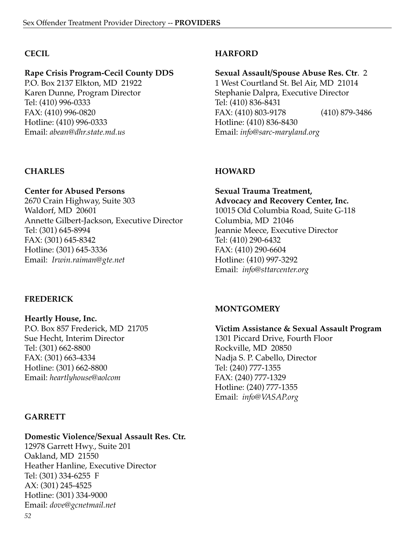#### **CECIL**

#### **Rape Crisis Program-Cecil County DDS**

P.O. Box 2137 Elkton, MD 21922 Karen Dunne, Program Director Tel: (410) 996-0333 FAX: (410) 996-0820 Hotline: (410) 996-0333 Email: *abean@dhr.state.md.us*

#### **CHARLES**

# **Center for Abused Persons**

2670 Crain Highway, Suite 303 Waldorf, MD 20601 Annette Gilbert-Jackson, Executive Director Tel: (301) 645-8994 FAX: (301) 645-8342 Hotline: (301) 645-3336 Email: *Irwin.raiman@gte.net*

#### **FREDERICK**

**Heartly House, Inc.** P.O. Box 857 Frederick, MD 21705 Sue Hecht, Interim Director Tel: (301) 662-8800 FAX: (301) 663-4334 Hotline: (301) 662-8800 Email: *heartlyhouse@aolcom*

## **GARRETT**

#### **Domestic Violence/Sexual Assault Res. Ctr.**

*52* 12978 Garrett Hwy., Suite 201 Oakland, MD 21550 Heather Hanline, Executive Director Tel: (301) 334-6255 F AX: (301) 245-4525 Hotline: (301) 334-9000 Email: *dove@gcnetmail.net*

## **HARFORD**

**Sexual Assault/Spouse Abuse Res. Ctr**. 2 1 West Courtland St. Bel Air, MD 21014 Stephanie Dalpra, Executive Director Tel: (410) 836-8431 FAX: (410) 803-9178 (410) 879-3486 Hotline: (410) 836-8430 Email: *info@sarc-maryland.org*

## **HOWARD**

**Sexual Trauma Treatment, Advocacy and Recovery Center, Inc.** 10015 Old Columbia Road, Suite G-118 Columbia, MD 21046 Jeannie Meece, Executive Director Tel: (410) 290-6432 FAX: (410) 290-6604 Hotline: (410) 997-3292 Email: *info@sttarcenter.org*

#### **MONTGOMERY**

#### **Victim Assistance & Sexual Assault Program** 1301 Piccard Drive, Fourth Floor

Rockville, MD 20850 Nadja S. P. Cabello, Director Tel: (240) 777-1355 FAX: (240) 777-1329 Hotline: (240) 777-1355 Email: *info@VASAP.org*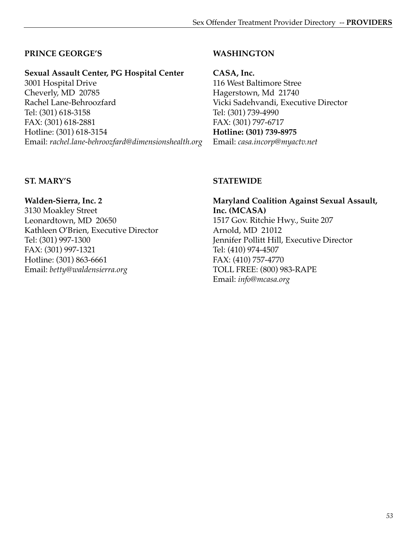# **PRINCE GEORGE'S**

## **Sexual Assault Center, PG Hospital Center**

3001 Hospital Drive Cheverly, MD 20785 Rachel Lane-Behroozfard Tel: (301) 618-3158 FAX: (301) 618-2881 Hotline: (301) 618-3154 Email: *rachel.lane-behroozfard@dimensionshealth.org*

#### **WASHINGTON**

**CASA, Inc.** 116 West Baltimore Stree Hagerstown, Md 21740 Vicki Sadehvandi, Executive Director Tel: (301) 739-4990 FAX: (301) 797-6717 **Hotline: (301) 739-8975** Email: *casa.incorp@myactv.net*

## **ST. MARY'S**

**Walden-Sierra, Inc. 2** 3130 Moakley Street Leonardtown, MD 20650 Kathleen O'Brien, Executive Director Tel: (301) 997-1300 FAX: (301) 997-1321 Hotline: (301) 863-6661 Email: *betty@waldensierra.org*

#### **STATEWIDE**

**Maryland Coalition Against Sexual Assault, Inc. (MCASA)** 1517 Gov. Ritchie Hwy., Suite 207 Arnold, MD 21012 Jennifer Pollitt Hill, Executive Director Tel: (410) 974-4507 FAX: (410) 757-4770 TOLL FREE: (800) 983-RAPE Email: *info@mcasa.org*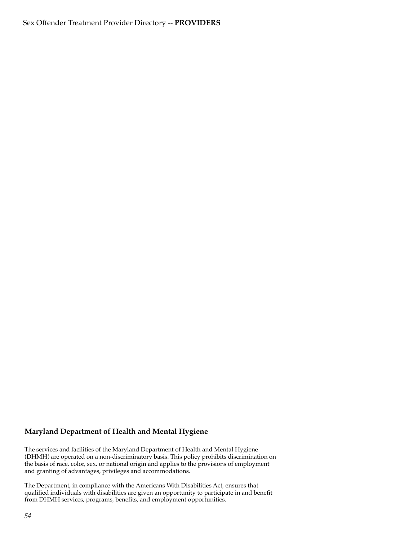#### **Maryland Department of Health and Mental Hygiene**

The services and facilities of the Maryland Department of Health and Mental Hygiene (DHMH) are operated on a non-discriminatory basis. This policy prohibits discrimination on the basis of race, color, sex, or national origin and applies to the provisions of employment and granting of advantages, privileges and accommodations.

The Department, in compliance with the Americans With Disabilities Act, ensures that qualified individuals with disabilities are given an opportunity to participate in and benefit from DHMH services, programs, benefits, and employment opportunities.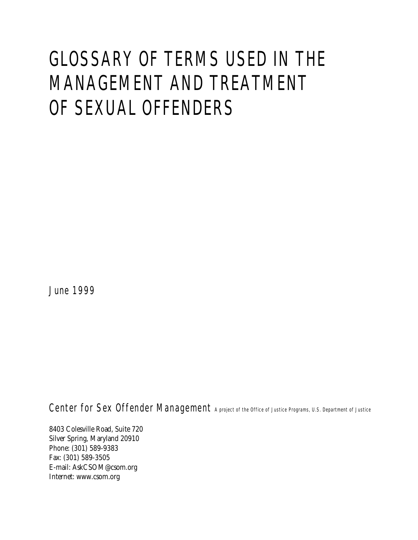# GLOSSARY OF TERMS USED IN THE MANAGEMENT AND TREATMENT OF SEXUAL OFFENDERS

June 1999

Center for Sex Offender Management A project of the Office of Justice Programs, U.S. Department of Justice

8403 Colesville Road, Suite 720 Silver Spring, Maryland 20910 Phone: (301) 589-9383 Fax: (301) 589-3505 E-mail: AskCSOM@csom.org Internet: www.csom.org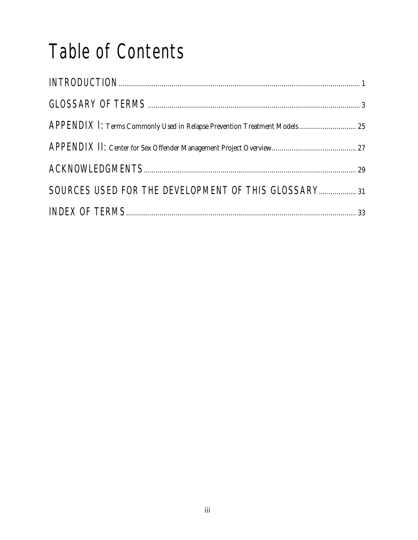# Table of Contents

| APPENDIX 1: Terms Commonly Used in Relapse Prevention Treatment Models 25 |  |
|---------------------------------------------------------------------------|--|
|                                                                           |  |
|                                                                           |  |
| SOURCES USED FOR THE DEVELOPMENT OF THIS GLOSSARY 31                      |  |
|                                                                           |  |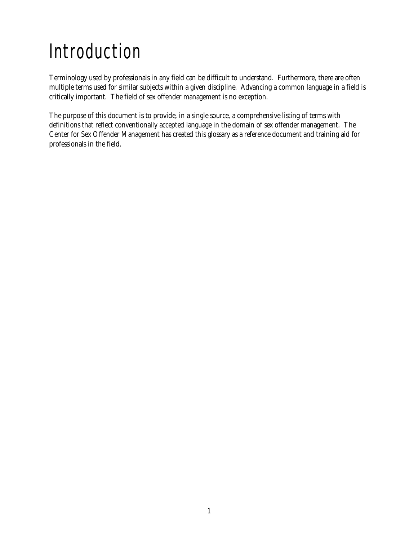# Introduction

Terminology used by professionals in any field can be difficult to understand. Furthermore, there are often multiple terms used for similar subjects within a given discipline. Advancing a common language in a field is critically important. The field of sex offender management is no exception.

The purpose of this document is to provide, in a single source, a comprehensive listing of terms with definitions that reflect conventionally accepted language in the domain of sex offender management. The Center for Sex Offender Management has created this glossary as a reference document and training aid for professionals in the field.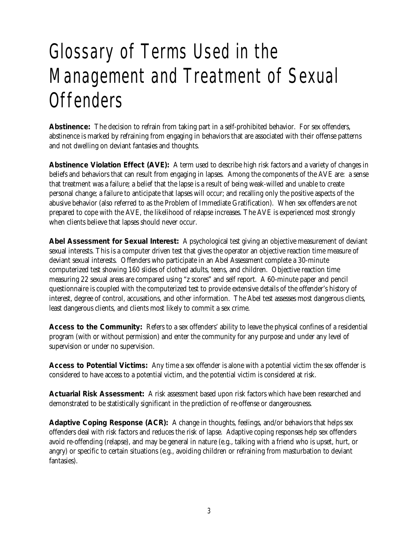# Glossary of Terms Used in the Management and Treatment of Sexual **Offenders**

**Abstinence:** The decision to refrain from taking part in a self-prohibited behavior. For sex offenders, abstinence is marked by refraining from engaging in behaviors that are associated with their offense patterns and not dwelling on deviant fantasies and thoughts.

**Abstinence Violation Effect (AVE):** A term used to describe high risk factors and a variety of changes in beliefs and behaviors that can result from engaging in lapses. Among the components of the AVE are: a sense that treatment was a failure; a belief that the lapse is a result of being weak-willed and unable to create personal change; a failure to anticipate that lapses will occur; and recalling only the positive aspects of the abusive behavior (also referred to as the Problem of Immediate Gratification). When sex offenders are not prepared to cope with the AVE, the likelihood of relapse increases. The AVE is experienced most strongly when clients believe that lapses should never occur.

**Abel Assessment for Sexual Interest:** A psychological test giving an objective measurement of deviant sexual interests. This is a computer driven test that gives the operator an objective reaction time measure of deviant sexual interests. Offenders who participate in an Abel Assessment complete a 30-minute computerized test showing 160 slides of clothed adults, teens, and children. Objective reaction time measuring 22 sexual areas are compared using "z scores" and self report. A 60-minute paper and pencil questionnaire is coupled with the computerized test to provide extensive details of the offender's history of interest, degree of control, accusations, and other information. The Abel test assesses most dangerous clients, least dangerous clients, and clients most likely to commit a sex crime.

**Access to the Community:** Refers to a sex offenders' ability to leave the physical confines of a residential program (with or without permission) and enter the community for any purpose and under any level of supervision or under no supervision.

**Access to Potential Victims:** Any time a sex offender is alone with a potential victim the sex offender is considered to have access to a potential victim, and the potential victim is considered at risk.

**Actuarial Risk Assessment:** A risk assessment based upon risk factors which have been researched and demonstrated to be statistically significant in the prediction of re-offense or dangerousness.

**Adaptive Coping Response (ACR):** A change in thoughts, feelings, and/or behaviors that helps sex offenders deal with risk factors and reduces the risk of lapse. Adaptive coping responses help sex offenders avoid re-offending (relapse), and may be general in nature (e.g., talking with a friend who is upset, hurt, or angry) or specific to certain situations (e.g., avoiding children or refraining from masturbation to deviant fantasies).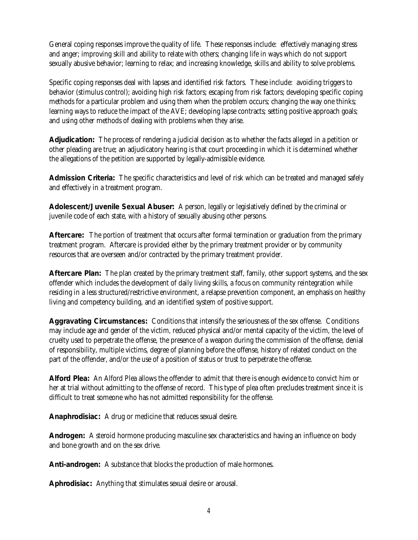General coping responses improve the quality of life. These responses include: effectively managing stress and anger; improving skill and ability to relate with others; changing life in ways which do not support sexually abusive behavior; learning to relax; and increasing knowledge, skills and ability to solve problems.

Specific coping responses deal with lapses and identified risk factors. These include: avoiding triggers to behavior (stimulus control); avoiding high risk factors; escaping from risk factors; developing specific coping methods for a particular problem and using them when the problem occurs; changing the way one thinks; learning ways to reduce the impact of the AVE; developing lapse contracts; setting positive approach goals; and using other methods of dealing with problems when they arise.

**Adjudication:** The process of rendering a judicial decision as to whether the facts alleged in a petition or other pleading are true; an adjudicatory hearing is that court proceeding in which it is determined whether the allegations of the petition are supported by legally-admissible evidence.

**Admission Criteria:** The specific characteristics and level of risk which can be treated and managed safely and effectively in a treatment program.

**Adolescent/Juvenile Sexual Abuser:** A person, legally or legislatively defined by the criminal or juvenile code of each state, with a history of sexually abusing other persons.

**Aftercare:** The portion of treatment that occurs after formal termination or graduation from the primary treatment program. Aftercare is provided either by the primary treatment provider or by community resources that are overseen and/or contracted by the primary treatment provider.

**Aftercare Plan:** The plan created by the primary treatment staff, family, other support systems, and the sex offender which includes the development of daily living skills, a focus on community reintegration while residing in a less structured/restrictive environment, a relapse prevention component, an emphasis on healthy living and competency building, and an identified system of positive support.

**Aggravating Circumstances:** Conditions that intensify the seriousness of the sex offense. Conditions may include age and gender of the victim, reduced physical and/or mental capacity of the victim, the level of cruelty used to perpetrate the offense, the presence of a weapon during the commission of the offense, denial of responsibility, multiple victims, degree of planning before the offense, history of related conduct on the part of the offender, and/or the use of a position of status or trust to perpetrate the offense.

**Alford Plea:** An Alford Plea allows the offender to admit that there is enough evidence to convict him or her at trial without admitting to the offense of record. This type of plea often precludes treatment since it is difficult to treat someone who has not admitted responsibility for the offense.

**Anaphrodisiac:** A drug or medicine that reduces sexual desire.

**Androgen:** A steroid hormone producing masculine sex characteristics and having an influence on body and bone growth and on the sex drive.

**Anti-androgen:** A substance that blocks the production of male hormones.

**Aphrodisiac:** Anything that stimulates sexual desire or arousal.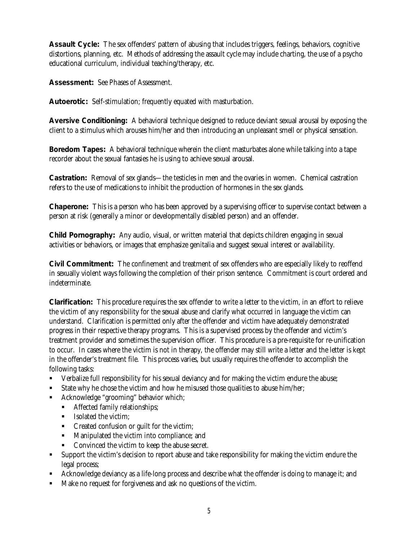**Assault Cycle:** The sex offenders' pattern of abusing that includes triggers, feelings, behaviors, cognitive distortions, planning, etc. Methods of addressing the assault cycle may include charting, the use of a psycho educational curriculum, individual teaching/therapy, etc.

**Assessment:** See Phases of Assessment.

**Autoerotic:** Self-stimulation; frequently equated with masturbation.

**Aversive Conditioning:** A behavioral technique designed to reduce deviant sexual arousal by exposing the client to a stimulus which arouses him/her and then introducing an unpleasant smell or physical sensation.

**Boredom Tapes:** A behavioral technique wherein the client masturbates alone while talking into a tape recorder about the sexual fantasies he is using to achieve sexual arousal.

**Castration:** Removal of sex glands—the testicles in men and the ovaries in women. Chemical castration refers to the use of medications to inhibit the production of hormones in the sex glands.

**Chaperone:** This is a person who has been approved by a supervising officer to supervise contact between a person at risk (generally a minor or developmentally disabled person) and an offender.

**Child Pornography:** Any audio, visual, or written material that depicts children engaging in sexual activities or behaviors, or images that emphasize genitalia and suggest sexual interest or availability.

**Civil Commitment:** The confinement and treatment of sex offenders who are especially likely to reoffend in sexually violent ways following the completion of their prison sentence. Commitment is court ordered and indeterminate.

**Clarification:** This procedure requires the sex offender to write a letter to the victim, in an effort to relieve the victim of any responsibility for the sexual abuse and clarify what occurred in language the victim can understand. Clarification is permitted only after the offender and victim have adequately demonstrated progress in their respective therapy programs. This is a supervised process by the offender and victim's treatment provider and sometimes the supervision officer. This procedure is a pre-requisite for re-unification to occur. In cases where the victim is not in therapy, the offender may still write a letter and the letter is kept in the offender's treatment file. This process varies, but usually requires the offender to accomplish the following tasks:

- ß Verbalize full responsibility for his sexual deviancy and for making the victim endure the abuse;
- ß State why he chose the victim and how he misused those qualities to abuse him/her;
- ß Acknowledge "grooming" behavior which;
	- **K** Affected family relationships;
	- **ISOlated the victim;**
	- Created confusion or guilt for the victim;
	- Manipulated the victim into compliance; and
	- Convinced the victim to keep the abuse secret.
- ß Support the victim's decision to report abuse and take responsibility for making the victim endure the legal process;
- ß Acknowledge deviancy as a life-long process and describe what the offender is doing to manage it; and
- ß Make no request for forgiveness and ask no questions of the victim.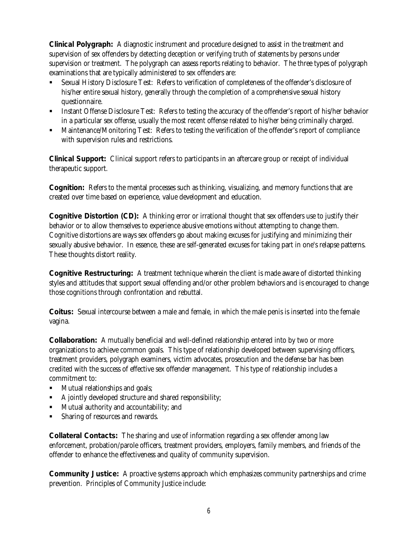**Clinical Polygraph:** A diagnostic instrument and procedure designed to assist in the treatment and supervision of sex offenders by detecting deception or verifying truth of statements by persons under supervision or treatment. The polygraph can assess reports relating to behavior. The three types of polygraph examinations that are typically administered to sex offenders are:

- ß Sexual History Disclosure Test: Refers to verification of completeness of the offender's disclosure of his/her entire sexual history, generally through the completion of a comprehensive sexual history questionnaire.
- ß Instant Offense Disclosure Test: Refers to testing the accuracy of the offender's report of his/her behavior in a particular sex offense, usually the most recent offense related to his/her being criminally charged.
- ß Maintenance/Monitoring Test: Refers to testing the verification of the offender's report of compliance with supervision rules and restrictions.

**Clinical Support:** Clinical support refers to participants in an aftercare group or receipt of individual therapeutic support.

**Cognition:** Refers to the mental processes such as thinking, visualizing, and memory functions that are created over time based on experience, value development and education.

**Cognitive Distortion (CD):** A thinking error or irrational thought that sex offenders use to justify their behavior or to allow themselves to experience abusive emotions without attempting to change them. Cognitive distortions are ways sex offenders go about making excuses for justifying and minimizing their sexually abusive behavior. In essence, these are self-generated excuses for taking part in one's relapse patterns. These thoughts distort reality.

**Cognitive Restructuring:** A treatment technique wherein the client is made aware of distorted thinking styles and attitudes that support sexual offending and/or other problem behaviors and is encouraged to change those cognitions through confrontation and rebuttal.

**Coitus:** Sexual intercourse between a male and female, in which the male penis is inserted into the female vagina.

**Collaboration:** A mutually beneficial and well-defined relationship entered into by two or more organizations to achieve common goals. This type of relationship developed between supervising officers, treatment providers, polygraph examiners, victim advocates, prosecution and the defense bar has been credited with the success of effective sex offender management. This type of relationship includes a commitment to:

- Mutual relationships and goals;
- ß A jointly developed structure and shared responsibility;
- ß Mutual authority and accountability; and
- **Sharing of resources and rewards.**

**Collateral Contacts:** The sharing and use of information regarding a sex offender among law enforcement, probation/parole officers, treatment providers, employers, family members, and friends of the offender to enhance the effectiveness and quality of community supervision.

**Community Justice:** A proactive systems approach which emphasizes community partnerships and crime prevention. Principles of Community Justice include: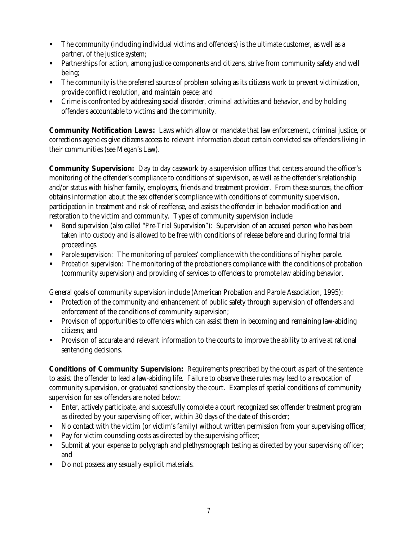- The community (including individual victims and offenders) is the ultimate customer, as well as a partner, of the justice system;
- ß Partnerships for action, among justice components and citizens, strive from community safety and well being;
- ß The community is the preferred source of problem solving as its citizens work to prevent victimization, provide conflict resolution, and maintain peace; and
- ß Crime is confronted by addressing social disorder, criminal activities and behavior, and by holding offenders accountable to victims and the community.

**Community Notification Laws:** Laws which allow or mandate that law enforcement, criminal justice, or corrections agencies give citizens access to relevant information about certain convicted sex offenders living in their communities (see Megan's Law).

**Community Supervision:** Day to day casework by a supervision officer that centers around the officer's monitoring of the offender's compliance to conditions of supervision, as well as the offender's relationship and/or status with his/her family, employers, friends and treatment provider. From these sources, the officer obtains information about the sex offender's compliance with conditions of community supervision, participation in treatment and risk of reoffense, and assists the offender in behavior modification and restoration to the victim and community. Types of community supervision include:

- ß *Bond supervision (also called "Pre-Trial Supervision"):* Supervision of an accused person who has been taken into custody and is allowed to be free with conditions of release before and during formal trial proceedings.
- ß *Parole supervision:* The monitoring of parolees' compliance with the conditions of his/her parole.
- ß *Probation supervision:* The monitoring of the probationers compliance with the conditions of probation (community supervision) and providing of services to offenders to promote law abiding behavior.

General goals of community supervision include (American Probation and Parole Association, 1995):

- ß Protection of the community and enhancement of public safety through supervision of offenders and enforcement of the conditions of community supervision;
- **•** Provision of opportunities to offenders which can assist them in becoming and remaining law-abiding citizens; and
- ß Provision of accurate and relevant information to the courts to improve the ability to arrive at rational sentencing decisions.

**Conditions of Community Supervision:** Requirements prescribed by the court as part of the sentence to assist the offender to lead a law-abiding life. Failure to observe these rules may lead to a revocation of community supervision, or graduated sanctions by the court. Examples of special conditions of community supervision for sex offenders are noted below:

- ß Enter, actively participate, and successfully complete a court recognized sex offender treatment program as directed by your supervising officer, within 30 days of the date of this order;
- ß No contact with the victim (or victim's family) without written permission from your supervising officer;
- ß Pay for victim counseling costs as directed by the supervising officer;
- **Submit at your expense to polygraph and plethysmograph testing as directed by your supervising officer;** and
- ß Do not possess any sexually explicit materials.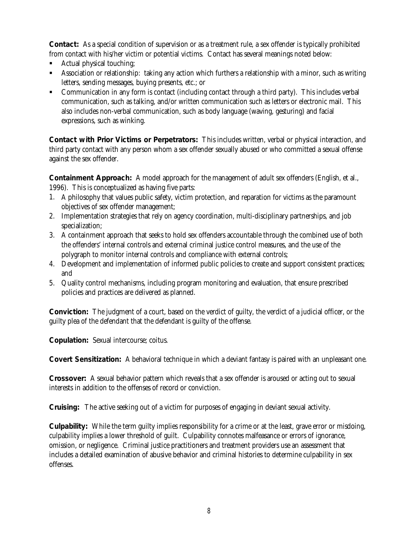**Contact:** As a special condition of supervision or as a treatment rule, a sex offender is typically prohibited from contact with his/her victim or potential victims. Contact has several meanings noted below:

- ß Actual physical touching;
- **SASSOCIATION ASSOCIATION** Association or relationship with a minor, such as writing a such as writing and  $\alpha$  as writing letters, sending messages, buying presents, etc.; or
- ß Communication in any form is contact (including contact through a third party). This includes verbal communication, such as talking, and/or written communication such as letters or electronic mail. This also includes non-verbal communication, such as body language (waving, gesturing) and facial expressions, such as winking.

**Contact with Prior Victims or Perpetrators:** This includes written, verbal or physical interaction, and third party contact with any person whom a sex offender sexually abused or who committed a sexual offense against the sex offender.

**Containment Approach:** A model approach for the management of adult sex offenders (English, et al., 1996). This is conceptualized as having five parts:

- 1. A philosophy that values public safety, victim protection, and reparation for victims as the paramount objectives of sex offender management;
- 2. Implementation strategies that rely on agency coordination, multi-disciplinary partnerships, and job specialization;
- 3. A containment approach that seeks to hold sex offenders accountable through the combined use of both the offenders' internal controls and external criminal justice control measures, and the use of the polygraph to monitor internal controls and compliance with external controls;
- 4. Development and implementation of informed public policies to create and support consistent practices; and
- 5. Quality control mechanisms, including program monitoring and evaluation, that ensure prescribed policies and practices are delivered as planned.

**Conviction:** The judgment of a court, based on the verdict of guilty, the verdict of a judicial officer, or the guilty plea of the defendant that the defendant is guilty of the offense.

**Copulation:** Sexual intercourse; coitus.

**Covert Sensitization:** A behavioral technique in which a deviant fantasy is paired with an unpleasant one.

**Crossover:** A sexual behavior pattern which reveals that a sex offender is aroused or acting out to sexual interests in addition to the offenses of record or conviction.

**Cruising:** The active seeking out of a victim for purposes of engaging in deviant sexual activity.

**Culpability:** While the term guilty implies responsibility for a crime or at the least, grave error or misdoing, culpability implies a lower threshold of guilt. Culpability connotes malfeasance or errors of ignorance, omission, or negligence. Criminal justice practitioners and treatment providers use an assessment that includes a detailed examination of abusive behavior and criminal histories to determine culpability in sex offenses.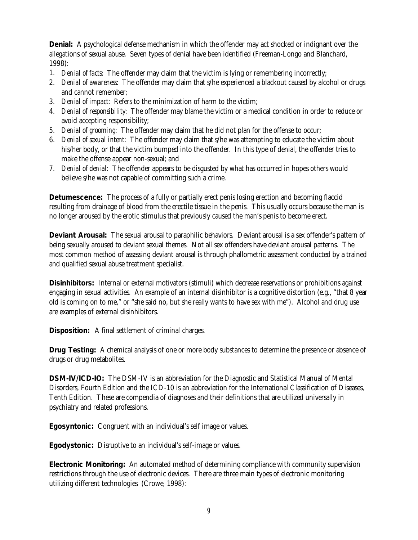**Denial:** A psychological defense mechanism in which the offender may act shocked or indignant over the allegations of sexual abuse. Seven types of denial have been identified (Freeman-Longo and Blanchard, 1998):

- 1. *Denial of facts*: The offender may claim that the victim is lying or remembering incorrectly;
- 2. *Denial of awareness*: The offender may claim that s/he experienced a blackout caused by alcohol or drugs and cannot remember;
- 3. *Denial of impact*: Refers to the minimization of harm to the victim;
- 4. *Denial of responsibility*: The offender may blame the victim or a medical condition in order to reduce or avoid accepting responsibility;
- 5. *Denial of grooming*: The offender may claim that he did not plan for the offense to occur;
- 6. *Denial of sexual intent*: The offender may claim that s/he was attempting to educate the victim about his/her body, or that the victim bumped into the offender. In this type of denial, the offender tries to make the offense appear non-sexual; and
- 7. *Denial of denial*: The offender appears to be disgusted by what has occurred in hopes others would believe s/he was not capable of committing such a crime.

**Detumescence:** The process of a fully or partially erect penis losing erection and becoming flaccid resulting from drainage of blood from the erectile tissue in the penis. This usually occurs because the man is no longer aroused by the erotic stimulus that previously caused the man's penis to become erect.

**Deviant Arousal:** The sexual arousal to paraphilic behaviors. Deviant arousal is a sex offender's pattern of being sexually aroused to deviant sexual themes. Not all sex offenders have deviant arousal patterns. The most common method of assessing deviant arousal is through phallometric assessment conducted by a trained and qualified sexual abuse treatment specialist.

**Disinhibitors:** Internal or external motivators (stimuli) which decrease reservations or prohibitions against engaging in sexual activities. An example of an internal disinhibitor is a cognitive distortion (e.g., "that 8 year old is coming on to me," or "she said no, but she really wants to have sex with me"). Alcohol and drug use are examples of external disinhibitors.

**Disposition:** A final settlement of criminal charges.

**Drug Testing:** A chemical analysis of one or more body substances to determine the presence or absence of drugs or drug metabolites.

**DSM-IV/ICD-IO:** The DSM-IV is an abbreviation for the Diagnostic and Statistical Manual of Mental Disorders, Fourth Edition and the ICD-10 is an abbreviation for the International Classification of Diseases, Tenth Edition. These are compendia of diagnoses and their definitions that are utilized universally in psychiatry and related professions.

**Egosyntonic:** Congruent with an individual's self image or values.

**Egodystonic:** Disruptive to an individual's self-image or values.

**Electronic Monitoring:** An automated method of determining compliance with community supervision restrictions through the use of electronic devices. There are three main types of electronic monitoring utilizing different technologies (Crowe, 1998):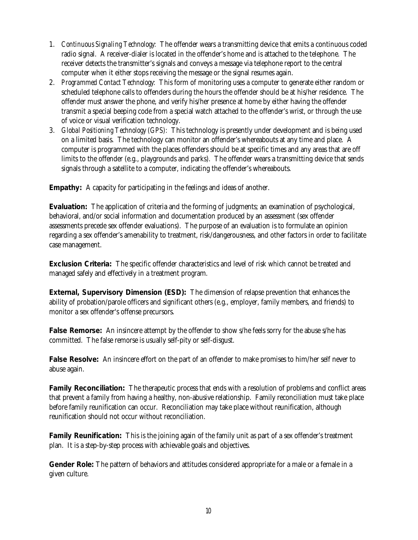- 1. *Continuous Signaling Technology:* The offender wears a transmitting device that emits a continuous coded radio signal. A receiver-dialer is located in the offender's home and is attached to the telephone. The receiver detects the transmitter's signals and conveys a message via telephone report to the central computer when it either stops receiving the message or the signal resumes again.
- 2. *Programmed Contact Technology:* This form of monitoring uses a computer to generate either random or scheduled telephone calls to offenders during the hours the offender should be at his/her residence. The offender must answer the phone, and verify his/her presence at home by either having the offender transmit a special beeping code from a special watch attached to the offender's wrist, or through the use of voice or visual verification technology.
- 3. *Global Positioning Technology (GPS):* This technology is presently under development and is being used on a limited basis. The technology can monitor an offender's whereabouts at any time and place. A computer is programmed with the places offenders should be at specific times and any areas that are off limits to the offender (e.g., playgrounds and parks). The offender wears a transmitting device that sends signals through a satellite to a computer, indicating the offender's whereabouts.

**Empathy:** A capacity for participating in the feelings and ideas of another.

**Evaluation:** The application of criteria and the forming of judgments; an examination of psychological, behavioral, and/or social information and documentation produced by an assessment (sex offender assessments precede sex offender evaluations). The purpose of an evaluation is to formulate an opinion regarding a sex offender's amenability to treatment, risk/dangerousness, and other factors in order to facilitate case management.

**Exclusion Criteria:** The specific offender characteristics and level of risk which cannot be treated and managed safely and effectively in a treatment program.

**External, Supervisory Dimension (ESD):** The dimension of relapse prevention that enhances the ability of probation/parole officers and significant others (e.g., employer, family members, and friends) to monitor a sex offender's offense precursors.

**False Remorse:** An insincere attempt by the offender to show s/he feels sorry for the abuse s/he has committed. The false remorse is usually self-pity or self-disgust.

**False Resolve:** An insincere effort on the part of an offender to make promises to him/her self never to abuse again.

**Family Reconciliation:** The therapeutic process that ends with a resolution of problems and conflict areas that prevent a family from having a healthy, non-abusive relationship. Family reconciliation must take place before family reunification can occur. Reconciliation may take place without reunification, although reunification should not occur without reconciliation.

**Family Reunification:** This is the joining again of the family unit as part of a sex offender's treatment plan. It is a step-by-step process with achievable goals and objectives.

**Gender Role:** The pattern of behaviors and attitudes considered appropriate for a male or a female in a given culture.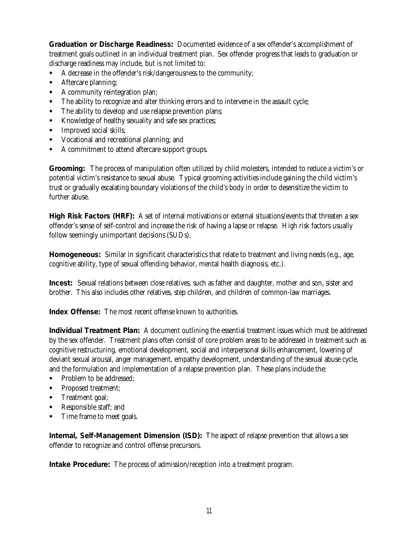**Graduation or Discharge Readiness:** Documented evidence of a sex offender's accomplishment of treatment goals outlined in an individual treatment plan. Sex offender progress that leads to graduation or discharge readiness may include, but is not limited to:

- A decrease in the offender's risk/dangerousness to the community;
- **Aftercare planning;**
- A community reintegration plan;
- The ability to recognize and alter thinking errors and to intervene in the assault cycle;
- The ability to develop and use relapse prevention plans;
- Knowledge of healthy sexuality and safe sex practices;
- **Improved social skills;**
- **•** Vocational and recreational planning; and
- A commitment to attend aftercare support groups.

**Grooming:** The process of manipulation often utilized by child molesters, intended to reduce a victim's or potential victim's resistance to sexual abuse. Typical grooming activities include gaining the child victim's trust or gradually escalating boundary violations of the child's body in order to desensitize the victim to further abuse.

**High Risk Factors (HRF):** A set of internal motivations or external situations/events that threaten a sex offender's sense of self-control and increase the risk of having a lapse or relapse. High risk factors usually follow seemingly unimportant decisions (SUDs).

**Homogeneous:** Similar in significant characteristics that relate to treatment and living needs (e.g., age, cognitive ability, type of sexual offending behavior, mental health diagnosis, etc.).

**Incest:** Sexual relations between close relatives, such as father and daughter, mother and son, sister and brother. This also includes other relatives, step children, and children of common-law marriages.

**Index Offense:** The most recent offense known to authorities.

**Individual Treatment Plan:** A document outlining the essential treatment issues which must be addressed by the sex offender. Treatment plans often consist of core problem areas to be addressed in treatment such as cognitive restructuring, emotional development, social and interpersonal skills enhancement, lowering of deviant sexual arousal, anger management, empathy development, understanding of the sexual abuse cycle, and the formulation and implementation of a relapse prevention plan. These plans include the:

- Problem to be addressed;
- **•** Proposed treatment;
- **Treatment goal;**
- ß Responsible staff; and
- Time frame to meet goals.

**Internal, Self-Management Dimension (ISD):** The aspect of relapse prevention that allows a sex offender to recognize and control offense precursors.

**Intake Procedure:** The process of admission/reception into a treatment program.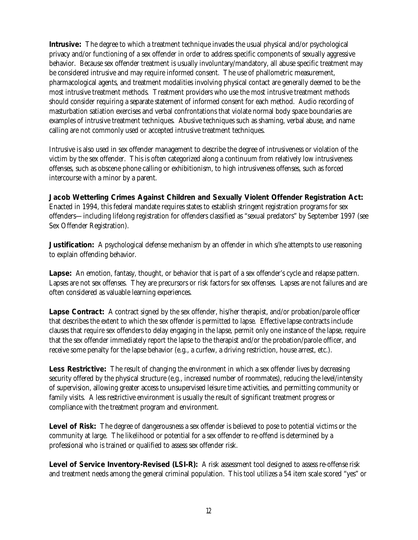**Intrusive:** The degree to which a treatment technique invades the usual physical and/or psychological privacy and/or functioning of a sex offender in order to address specific components of sexually aggressive behavior. Because sex offender treatment is usually involuntary/mandatory, all abuse specific treatment may be considered intrusive and may require informed consent. The use of phallometric measurement, pharmacological agents, and treatment modalities involving physical contact are generally deemed to be the most intrusive treatment methods. Treatment providers who use the most intrusive treatment methods should consider requiring a separate statement of informed consent for each method. Audio recording of masturbation satiation exercises and verbal confrontations that violate normal body space boundaries are examples of intrusive treatment techniques. Abusive techniques such as shaming, verbal abuse, and name calling are not commonly used or accepted intrusive treatment techniques.

Intrusive is also used in sex offender management to describe the degree of intrusiveness or violation of the victim by the sex offender. This is often categorized along a continuum from relatively low intrusiveness offenses, such as obscene phone calling or exhibitionism, to high intrusiveness offenses, such as forced intercourse with a minor by a parent.

**Jacob Wetterling Crimes Against Children and Sexually Violent Offender Registration Act:** Enacted in 1994, this federal mandate requires states to establish stringent registration programs for sex offenders—including lifelong registration for offenders classified as "sexual predators" by September 1997 (see Sex Offender Registration).

**Justification:** A psychological defense mechanism by an offender in which s/he attempts to use reasoning to explain offending behavior.

**Lapse:** An emotion, fantasy, thought, or behavior that is part of a sex offender's cycle and relapse pattern. Lapses are not sex offenses. They are precursors or risk factors for sex offenses. Lapses are not failures and are often considered as valuable learning experiences.

**Lapse Contract:** A contract signed by the sex offender, his/her therapist, and/or probation/parole officer that describes the extent to which the sex offender is permitted to lapse. Effective lapse contracts include clauses that require sex offenders to delay engaging in the lapse, permit only one instance of the lapse, require that the sex offender immediately report the lapse to the therapist and/or the probation/parole officer, and receive some penalty for the lapse behavior (e.g., a curfew, a driving restriction, house arrest, etc.).

**Less Restrictive:** The result of changing the environment in which a sex offender lives by decreasing security offered by the physical structure (e.g., increased number of roommates), reducing the level/intensity of supervision, allowing greater access to unsupervised leisure time activities, and permitting community or family visits. A less restrictive environment is usually the result of significant treatment progress or compliance with the treatment program and environment.

**Level of Risk:** The degree of dangerousness a sex offender is believed to pose to potential victims or the community at large. The likelihood or potential for a sex offender to re-offend is determined by a professional who is trained or qualified to assess sex offender risk.

**Level of Service Inventory-Revised (LSI-R):** A risk assessment tool designed to assess re-offense risk and treatment needs among the general criminal population. This tool utilizes a 54 item scale scored "yes" or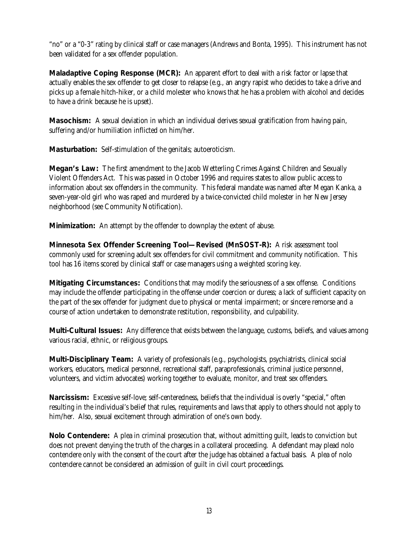"no" or a "0-3" rating by clinical staff or case managers (Andrews and Bonta, 1995). This instrument has not been validated for a sex offender population.

**Maladaptive Coping Response (MCR):** An apparent effort to deal with a risk factor or lapse that actually enables the sex offender to get closer to relapse (e.g., an angry rapist who decides to take a drive and picks up a female hitch-hiker, or a child molester who knows that he has a problem with alcohol and decides to have a drink because he is upset).

**Masochism:** A sexual deviation in which an individual derives sexual gratification from having pain, suffering and/or humiliation inflicted on him/her.

**Masturbation:** Self-stimulation of the genitals; autoeroticism.

**Megan's Law:** The first amendment to the Jacob Wetterling Crimes Against Children and Sexually Violent Offenders Act. This was passed in October 1996 and requires states to allow public access to information about sex offenders in the community. This federal mandate was named after Megan Kanka, a seven-year-old girl who was raped and murdered by a twice-convicted child molester in her New Jersey neighborhood (see Community Notification).

**Minimization:** An attempt by the offender to downplay the extent of abuse.

**Minnesota Sex Offender Screening Tool—Revised (MnSOST-R):** A risk assessment tool commonly used for screening adult sex offenders for civil commitment and community notification. This tool has 16 items scored by clinical staff or case managers using a weighted scoring key.

**Mitigating Circumstances:** Conditions that may modify the seriousness of a sex offense. Conditions may include the offender participating in the offense under coercion or duress; a lack of sufficient capacity on the part of the sex offender for judgment due to physical or mental impairment; or sincere remorse and a course of action undertaken to demonstrate restitution, responsibility, and culpability.

**Multi-Cultural Issues:** Any difference that exists between the language, customs, beliefs, and values among various racial, ethnic, or religious groups.

**Multi-Disciplinary Team:** A variety of professionals (e.g., psychologists, psychiatrists, clinical social workers, educators, medical personnel, recreational staff, paraprofessionals, criminal justice personnel, volunteers, and victim advocates) working together to evaluate, monitor, and treat sex offenders.

**Narcissism:** Excessive self-love; self-centeredness, beliefs that the individual is overly "special," often resulting in the individual's belief that rules, requirements and laws that apply to others should not apply to him/her. Also, sexual excitement through admiration of one's own body.

**Nolo Contendere:** A plea in criminal prosecution that, without admitting guilt, leads to conviction but does not prevent denying the truth of the charges in a collateral proceeding. A defendant may plead nolo contendere only with the consent of the court after the judge has obtained a factual basis. A plea of nolo contendere cannot be considered an admission of guilt in civil court proceedings.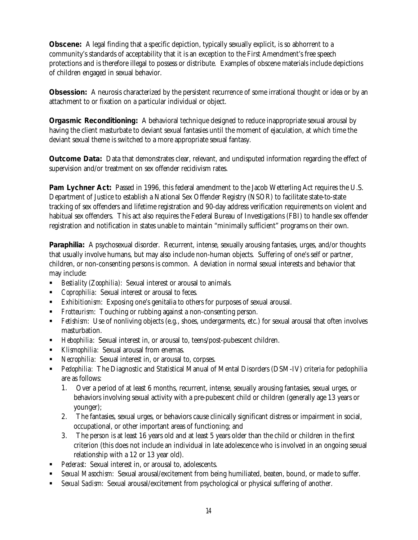**Obscene:** A legal finding that a specific depiction, typically sexually explicit, is so abhorrent to a community's standards of acceptability that it is an exception to the First Amendment's free speech protections and is therefore illegal to possess or distribute. Examples of obscene materials include depictions of children engaged in sexual behavior.

**Obsession:** A neurosis characterized by the persistent recurrence of some irrational thought or idea or by an attachment to or fixation on a particular individual or object.

**Orgasmic Reconditioning:** A behavioral technique designed to reduce inappropriate sexual arousal by having the client masturbate to deviant sexual fantasies until the moment of ejaculation, at which time the deviant sexual theme is switched to a more appropriate sexual fantasy.

**Outcome Data:** Data that demonstrates clear, relevant, and undisputed information regarding the effect of supervision and/or treatment on sex offender recidivism rates.

**Pam Lychner Act:** Passed in 1996, this federal amendment to the Jacob Wetterling Act requires the U.S. Department of Justice to establish a National Sex Offender Registry (NSOR) to facilitate state-to-state tracking of sex offenders and lifetime registration and 90-day address verification requirements on violent and habitual sex offenders. This act also requires the Federal Bureau of Investigations (FBI) to handle sex offender registration and notification in states unable to maintain "minimally sufficient" programs on their own.

**Paraphilia:** A psychosexual disorder. Recurrent, intense, sexually arousing fantasies, urges, and/or thoughts that usually involve humans, but may also include non-human objects. Suffering of one's self or partner, children, or non-consenting persons is common. A deviation in normal sexual interests and behavior that may include:

- **Bestiality (Zoophilia):** Sexual interest or arousal to animals.
- **•** *Coprophilia*: Sexual interest or arousal to feces.
- **Exhibitionism:** Exposing one's genitalia to others for purposes of sexual arousal.
- **Fivent** Frotteurism: Touching or rubbing against a non-consenting person.
- **Fetishism:** Use of nonliving objects (e.g., shoes, undergarments, etc.) for sexual arousal that often involves masturbation.
- Hebophilia: Sexual interest in, or arousal to, teens/post-pubescent children.
- **Klismophilia**: Sexual arousal from enemas.
- ß *Necrophilia*: Sexual interest in, or arousal to, corpses.
- ß *Pedophilia:* The Diagnostic and Statistical Manual of Mental Disorders (DSM-IV) criteria for pedophilia are as follows:
	- 1. Over a period of at least 6 months, recurrent, intense, sexually arousing fantasies, sexual urges, or behaviors involving sexual activity with a pre-pubescent child or children (generally age 13 years or younger);
	- 2. The fantasies, sexual urges, or behaviors cause clinically significant distress or impairment in social, occupational, or other important areas of functioning; and
	- 3. The person is at least 16 years old and at least 5 years older than the child or children in the first criterion (this does not include an individual in late adolescence who is involved in an ongoing sexual relationship with a 12 or 13 year old).
- ß *Pederast*: Sexual interest in, or arousal to, adolescents.
- **Sexual Masochism:** Sexual arousal/excitement from being humiliated, beaten, bound, or made to suffer.
- **Sexual Sadism:** Sexual arousal/excitement from psychological or physical suffering of another.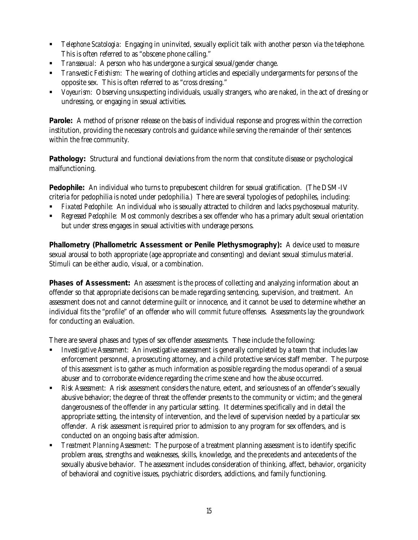- **•** *Telephone Scatologia*: Engaging in uninvited, sexually explicit talk with another person via the telephone. This is often referred to as "obscene phone calling."
- **Transexual:** A person who has undergone a surgical sexual/gender change.
- ß *Transvestic Fetishism*: The wearing of clothing articles and especially undergarments for persons of the opposite sex. This is often referred to as "cross dressing."
- ß *Voyeurism*: Observing unsuspecting individuals, usually strangers, who are naked, in the act of dressing or undressing, or engaging in sexual activities.

**Parole:** A method of prisoner release on the basis of individual response and progress within the correction institution, providing the necessary controls and guidance while serving the remainder of their sentences within the free community.

**Pathology:** Structural and functional deviations from the norm that constitute disease or psychological malfunctioning.

**Pedophile:** An individual who turns to prepubescent children for sexual gratification. (The DSM-IV criteria for pedophilia is noted under pedophilia.) There are several typologies of pedophiles, including:

- ß *Fixated Pedophile*: An individual who is sexually attracted to children and lacks psychosexual maturity.
- ß *Regressed Pedophile*: Most commonly describes a sex offender who has a primary adult sexual orientation but under stress engages in sexual activities with underage persons.

**Phallometry (Phallometric Assessment or Penile Plethysmography):** A device used to measure sexual arousal to both appropriate (age appropriate and consenting) and deviant sexual stimulus material. Stimuli can be either audio, visual, or a combination.

**Phases of Assessment:** An assessment is the process of collecting and analyzing information about an offender so that appropriate decisions can be made regarding sentencing, supervision, and treatment. An assessment does not and cannot determine guilt or innocence, and it cannot be used to determine whether an individual fits the "profile" of an offender who will commit future offenses. Assessments lay the groundwork for conducting an evaluation.

There are several phases and types of sex offender assessments. These include the following:

- ß *Investigative Assessment*: An investigative assessment is generally completed by a team that includes law enforcement personnel, a prosecuting attorney, and a child protective services staff member. The purpose of this assessment is to gather as much information as possible regarding the modus operandi of a sexual abuser and to corroborate evidence regarding the crime scene and how the abuse occurred.
- ß *Risk Assessment*: A risk assessment considers the nature, extent, and seriousness of an offender's sexually abusive behavior; the degree of threat the offender presents to the community or victim; and the general dangerousness of the offender in any particular setting. It determines specifically and in detail the appropriate setting, the intensity of intervention, and the level of supervision needed by a particular sex offender. A risk assessment is required prior to admission to any program for sex offenders, and is conducted on an ongoing basis after admission.
- ß *Treatment Planning Assessment*: The purpose of a treatment planning assessment is to identify specific problem areas, strengths and weaknesses, skills, knowledge, and the precedents and antecedents of the sexually abusive behavior. The assessment includes consideration of thinking, affect, behavior, organicity of behavioral and cognitive issues, psychiatric disorders, addictions, and family functioning.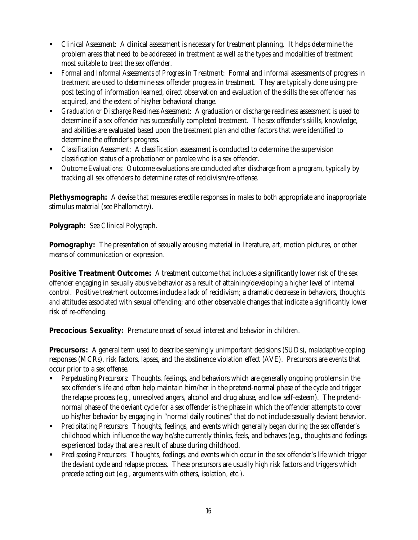- ß *Clinical Assessment*: A clinical assessment is necessary for treatment planning. It helps determine the problem areas that need to be addressed in treatment as well as the types and modalities of treatment most suitable to treat the sex offender.
- ß *Formal and Informal Assessments of Progress in Treatment*: Formal and informal assessments of progress in treatment are used to determine sex offender progress in treatment. They are typically done using prepost testing of information learned, direct observation and evaluation of the skills the sex offender has acquired, and the extent of his/her behavioral change.
- ß *Graduation or Discharge Readiness Assessment*: A graduation or discharge readiness assessment is used to determine if a sex offender has successfully completed treatment. The sex offender's skills, knowledge, and abilities are evaluated based upon the treatment plan and other factors that were identified to determine the offender's progress.
- **•** *Classification Assessment*: A classification assessment is conducted to determine the supervision classification status of a probationer or parolee who is a sex offender.
- **Dutcome Evaluations.** Outcome evaluations are conducted after discharge from a program, typically by tracking all sex offenders to determine rates of recidivism/re-offense.

**Plethysmograph:** A devise that measures erectile responses in males to both appropriate and inappropriate stimulus material (see Phallometry).

**Polygraph:** See Clinical Polygraph.

**Pornography:** The presentation of sexually arousing material in literature, art, motion pictures, or other means of communication or expression.

**Positive Treatment Outcome:** A treatment outcome that includes a significantly lower risk of the sex offender engaging in sexually abusive behavior as a result of attaining/developing a higher level of internal control. Positive treatment outcomes include a lack of recidivism; a dramatic decrease in behaviors, thoughts and attitudes associated with sexual offending; and other observable changes that indicate a significantly lower risk of re-offending.

**Precocious Sexuality:** Premature onset of sexual interest and behavior in children.

**Precursors:** A general term used to describe seemingly unimportant decisions (SUDs), maladaptive coping responses (MCRs), risk factors, lapses, and the abstinence violation effect (AVE). Precursors are events that occur prior to a sex offense.

- ß *Perpetuating Precursors*: Thoughts, feelings, and behaviors which are generally ongoing problems in the sex offender's life and often help maintain him/her in the pretend-normal phase of the cycle and trigger the relapse process (e.g., unresolved angers, alcohol and drug abuse, and low self-esteem). The pretendnormal phase of the deviant cycle for a sex offender is the phase in which the offender attempts to cover up his/her behavior by engaging in "normal daily routines" that do not include sexually deviant behavior.
- ß *Precipitating Precursors*: Thoughts, feelings, and events which generally began during the sex offender's childhood which influence the way he/she currently thinks, feels, and behaves (e.g., thoughts and feelings experienced today that are a result of abuse during childhood.
- ß *Predisposing Precursors*: Thoughts, feelings, and events which occur in the sex offender's life which trigger the deviant cycle and relapse process. These precursors are usually high risk factors and triggers which precede acting out (e.g., arguments with others, isolation, etc.).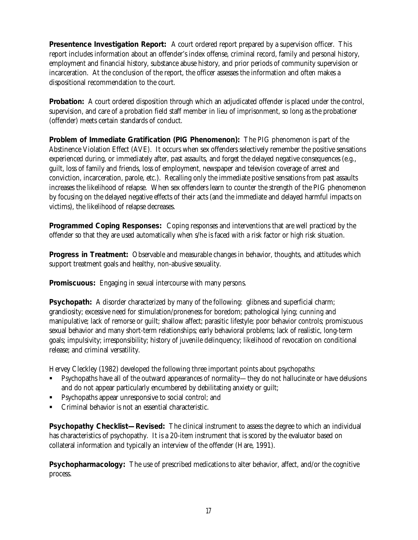**Presentence Investigation Report:** A court ordered report prepared by a supervision officer. This report includes information about an offender's index offense, criminal record, family and personal history, employment and financial history, substance abuse history, and prior periods of community supervision or incarceration. At the conclusion of the report, the officer assesses the information and often makes a dispositional recommendation to the court.

**Probation:** A court ordered disposition through which an adjudicated offender is placed under the control, supervision, and care of a probation field staff member in lieu of imprisonment, so long as the probationer (offender) meets certain standards of conduct.

**Problem of Immediate Gratification (PIG Phenomenon):** The PIG phenomenon is part of the Abstinence Violation Effect (AVE). It occurs when sex offenders selectively remember the positive sensations experienced during, or immediately after, past assaults, and forget the delayed negative consequences (e.g., guilt, loss of family and friends, loss of employment, newspaper and television coverage of arrest and conviction, incarceration, parole, etc.). Recalling only the immediate positive sensations from past assaults increases the likelihood of relapse. When sex offenders learn to counter the strength of the PIG phenomenon by focusing on the delayed negative effects of their acts (and the immediate and delayed harmful impacts on victims), the likelihood of relapse decreases.

**Programmed Coping Responses:** Coping responses and interventions that are well practiced by the offender so that they are used automatically when s/he is faced with a risk factor or high risk situation.

**Progress in Treatment:** Observable and measurable changes in behavior, thoughts, and attitudes which support treatment goals and healthy, non-abusive sexuality.

**Promiscuous:** Engaging in sexual intercourse with many persons.

**Psychopath:** A disorder characterized by many of the following: glibness and superficial charm; grandiosity; excessive need for stimulation/proneness for boredom; pathological lying; cunning and manipulative; lack of remorse or guilt; shallow affect; parasitic lifestyle; poor behavior controls; promiscuous sexual behavior and many short-term relationships; early behavioral problems; lack of realistic, long-term goals; impulsivity; irresponsibility; history of juvenile delinquency; likelihood of revocation on conditional release; and criminal versatility.

Hervey Cleckley (1982) developed the following three important points about psychopaths:

- ß Psychopaths have all of the outward appearances of normality—they do not hallucinate or have delusions and do not appear particularly encumbered by debilitating anxiety or guilt;
- ß Psychopaths appear unresponsive to social control; and
- ß Criminal behavior is not an essential characteristic.

**Psychopathy Checklist—Revised:** The clinical instrument to assess the degree to which an individual has characteristics of psychopathy. It is a 20-item instrument that is scored by the evaluator based on collateral information and typically an interview of the offender (Hare, 1991).

**Psychopharmacology:** The use of prescribed medications to alter behavior, affect, and/or the cognitive process.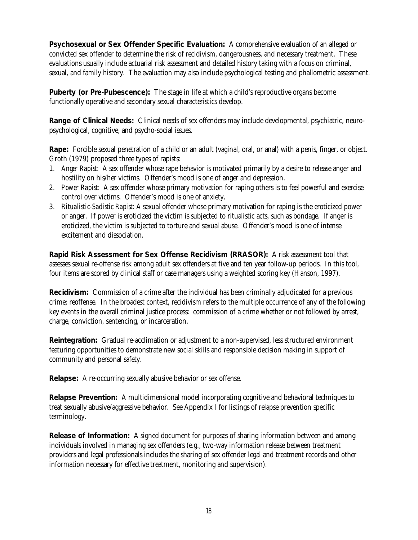**Psychosexual or Sex Offender Specific Evaluation:** A comprehensive evaluation of an alleged or convicted sex offender to determine the risk of recidivism, dangerousness, and necessary treatment. These evaluations usually include actuarial risk assessment and detailed history taking with a focus on criminal, sexual, and family history. The evaluation may also include psychological testing and phallometric assessment.

**Puberty (or Pre-Pubescence):** The stage in life at which a child's reproductive organs become functionally operative and secondary sexual characteristics develop.

**Range of Clinical Needs:** Clinical needs of sex offenders may include developmental, psychiatric, neuropsychological, cognitive, and psycho-social issues.

**Rape:** Forcible sexual penetration of a child or an adult (vaginal, oral, or anal) with a penis, finger, or object. Groth (1979) proposed three types of rapists:

- 1. *Anger Rapist*: A sex offender whose rape behavior is motivated primarily by a desire to release anger and hostility on his/her victims. Offender's mood is one of anger and depression.
- 2. *Power Rapist*: A sex offender whose primary motivation for raping others is to feel powerful and exercise control over victims. Offender's mood is one of anxiety.
- 3. *Ritualistic-Sadistic Rapist*: A sexual offender whose primary motivation for raping is the eroticized power or anger. If power is eroticized the victim is subjected to ritualistic acts, such as bondage. If anger is eroticized, the victim is subjected to torture and sexual abuse. Offender's mood is one of intense excitement and dissociation.

**Rapid Risk Assessment for Sex Offense Recidivism (RRASOR):** A risk assessment tool that assesses sexual re-offense risk among adult sex offenders at five and ten year follow-up periods. In this tool, four items are scored by clinical staff or case managers using a weighted scoring key (Hanson, 1997).

**Recidivism:** Commission of a crime after the individual has been criminally adjudicated for a previous crime; reoffense. In the broadest context, recidivism refers to the multiple occurrence of any of the following key events in the overall criminal justice process: commission of a crime whether or not followed by arrest, charge, conviction, sentencing, or incarceration.

**Reintegration:** Gradual re-acclimation or adjustment to a non-supervised, less structured environment featuring opportunities to demonstrate new social skills and responsible decision making in support of community and personal safety.

**Relapse:** A re-occurring sexually abusive behavior or sex offense.

**Relapse Prevention:** A multidimensional model incorporating cognitive and behavioral techniques to treat sexually abusive/aggressive behavior. See Appendix I for listings of relapse prevention specific terminology.

**Release of Information:** A signed document for purposes of sharing information between and among individuals involved in managing sex offenders (e.g., two-way information release between treatment providers and legal professionals includes the sharing of sex offender legal and treatment records and other information necessary for effective treatment, monitoring and supervision).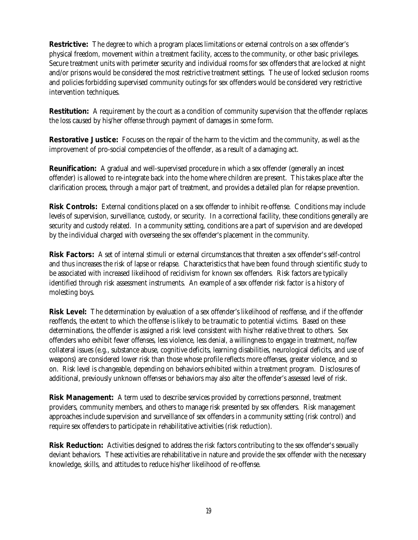**Restrictive:** The degree to which a program places limitations or external controls on a sex offender's physical freedom, movement within a treatment facility, access to the community, or other basic privileges. Secure treatment units with perimeter security and individual rooms for sex offenders that are locked at night and/or prisons would be considered the most restrictive treatment settings. The use of locked seclusion rooms and policies forbidding supervised community outings for sex offenders would be considered very restrictive intervention techniques.

**Restitution:** A requirement by the court as a condition of community supervision that the offender replaces the loss caused by his/her offense through payment of damages in some form.

**Restorative Justice:** Focuses on the repair of the harm to the victim and the community, as well as the improvement of pro-social competencies of the offender, as a result of a damaging act.

**Reunification:** A gradual and well-supervised procedure in which a sex offender (generally an incest offender) is allowed to re-integrate back into the home where children are present. This takes place after the clarification process, through a major part of treatment, and provides a detailed plan for relapse prevention.

**Risk Controls:** External conditions placed on a sex offender to inhibit re-offense. Conditions may include levels of supervision, surveillance, custody, or security. In a correctional facility, these conditions generally are security and custody related. In a community setting, conditions are a part of supervision and are developed by the individual charged with overseeing the sex offender's placement in the community.

**Risk Factors:** A set of internal stimuli or external circumstances that threaten a sex offender's self-control and thus increases the risk of lapse or relapse. Characteristics that have been found through scientific study to be associated with increased likelihood of recidivism for known sex offenders. Risk factors are typically identified through risk assessment instruments. An example of a sex offender risk factor is a history of molesting boys.

**Risk Level:** The determination by evaluation of a sex offender's likelihood of reoffense, and if the offender reoffends, the extent to which the offense is likely to be traumatic to potential victims. Based on these determinations, the offender is assigned a risk level consistent with his/her relative threat to others. Sex offenders who exhibit fewer offenses, less violence, less denial, a willingness to engage in treatment, no/few collateral issues (e.g., substance abuse, cognitive deficits, learning disabilities, neurological deficits, and use of weapons) are considered lower risk than those whose profile reflects more offenses, greater violence, and so on. Risk level is changeable, depending on behaviors exhibited within a treatment program. Disclosures of additional, previously unknown offenses or behaviors may also alter the offender's assessed level of risk.

**Risk Management:** A term used to describe services provided by corrections personnel, treatment providers, community members, and others to manage risk presented by sex offenders. Risk management approaches include supervision and surveillance of sex offenders in a community setting (risk control) and require sex offenders to participate in rehabilitative activities (risk reduction).

**Risk Reduction:** Activities designed to address the risk factors contributing to the sex offender's sexually deviant behaviors. These activities are rehabilitative in nature and provide the sex offender with the necessary knowledge, skills, and attitudes to reduce his/her likelihood of re-offense.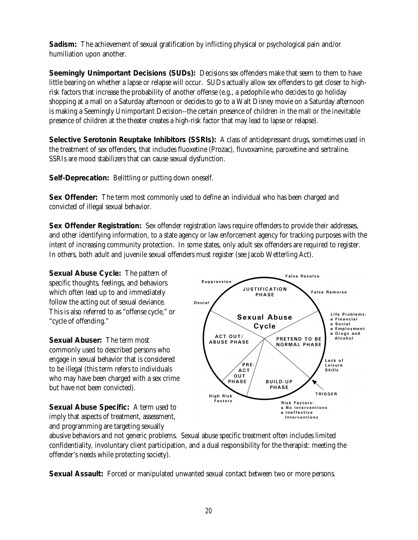**Sadism:** The achievement of sexual gratification by inflicting physical or psychological pain and/or humiliation upon another.

**Seemingly Unimportant Decisions (SUDs):** Decisions sex offenders make that seem to them to have little bearing on whether a lapse or relapse will occur. SUDs actually allow sex offenders to get closer to highrisk factors that increase the probability of another offense (e.g., a pedophile who decides to go holiday shopping at a mall on a Saturday afternoon or decides to go to a Walt Disney movie on a Saturday afternoon is making a Seemingly Unimportant Decision--the certain presence of children in the mall or the inevitable presence of children at the theater creates a high-risk factor that may lead to lapse or relapse).

**Selective Serotonin Reuptake Inhibitors (SSRIs):** A class of antidepressant drugs, sometimes used in the treatment of sex offenders, that includes fluoxetine (Prozac), fluvoxamine, paroxetine and sertraline. SSRIs are mood stabilizers that can cause sexual dysfunction.

**Self-Deprecation:** Belittling or putting down oneself.

**Sex Offender:** The term most commonly used to define an individual who has been charged and convicted of illegal sexual behavior.

**Sex Offender Registration:** Sex offender registration laws require offenders to provide their addresses, and other identifying information, to a state agency or law enforcement agency for tracking purposes with the intent of increasing community protection. In some states, only adult sex offenders are required to register. In others, both adult and juvenile sexual offenders must register (see Jacob Wetterling Act).

**Suppression** 

ACT OUT/

**ABUSE PHASE** 

Denial

**Sexual Abuse Cycle:** The pattern of specific thoughts, feelings, and behaviors which often lead up to and immediately follow the acting out of sexual deviance. This is also referred to as "offense cycle," or "cycle of offending."

**Sexual Abuser:** The term most commonly used to described persons who engage in sexual behavior that is considered to be illegal (this term refers to individuals who may have been charged with a sex crime but have not been convicted).

**Sexual Abuse Specific:** A term used to imply that aspects of treatment, assessment, and programming are targeting sexually



 $P$ RF

**False Resolve** 

PRETEND TO BE

**NORMAL PHASE** 

**False Remorse** 

Life Problems:

**a Employment a** Drugs and

**a Financial ¤ Social** 

Alcohol

Lack of

Leisure

**JUSTIFICATION** 

**PHASE** 

**Sexual Abuse** 

Cycle

abusive behaviors and not generic problems. Sexual abuse specific treatment often includes limited confidentiality, involuntary client participation, and a dual responsibility for the therapist: meeting the offender's needs while protecting society).

**Sexual Assault:** Forced or manipulated unwanted sexual contact between two or more persons.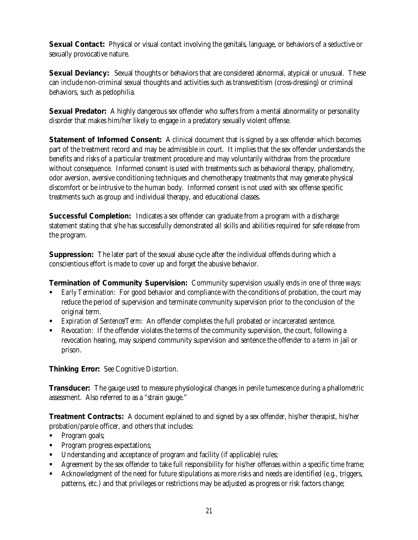**Sexual Contact:** Physical or visual contact involving the genitals, language, or behaviors of a seductive or sexually provocative nature.

**Sexual Deviancy:** Sexual thoughts or behaviors that are considered abnormal, atypical or unusual. These can include non-criminal sexual thoughts and activities such as transvestitism (cross-dressing) or criminal behaviors, such as pedophilia.

**Sexual Predator:** A highly dangerous sex offender who suffers from a mental abnormality or personality disorder that makes him/her likely to engage in a predatory sexually violent offense.

**Statement of Informed Consent:** A clinical document that is signed by a sex offender which becomes part of the treatment record and may be admissible in court. It implies that the sex offender understands the benefits and risks of a particular treatment procedure and may voluntarily withdraw from the procedure without consequence. Informed consent is used with treatments such as behavioral therapy, phallometry, odor aversion, aversive conditioning techniques and chemotherapy treatments that may generate physical discomfort or be intrusive to the human body. Informed consent is not used with sex offense specific treatments such as group and individual therapy, and educational classes.

**Successful Completion:** Indicates a sex offender can graduate from a program with a discharge statement stating that s/he has successfully demonstrated all skills and abilities required for safe release from the program.

**Suppression:** The later part of the sexual abuse cycle after the individual offends during which a conscientious effort is made to cover up and forget the abusive behavior.

**Termination of Community Supervision:** Community supervision usually ends in one of three ways:

- ß *Early Termination*: For good behavior and compliance with the conditions of probation, the court may reduce the period of supervision and terminate community supervision prior to the conclusion of the original term.
- **Expiration of Sentence/Term:** An offender completes the full probated or incarcerated sentence.
- **Revocation:** If the offender violates the terms of the community supervision, the court, following a revocation hearing, may suspend community supervision and sentence the offender to a term in jail or prison.

**Thinking Error:** See Cognitive Distortion.

**Transducer:** The gauge used to measure physiological changes in penile tumescence during a phallometric assessment. Also referred to as a "strain gauge."

**Treatment Contracts:** A document explained to and signed by a sex offender, his/her therapist, his/her probation/parole officer, and others that includes:

- Program goals;
- **•** Program progress expectations;
- Understanding and acceptance of program and facility (if applicable) rules;
- Agreement by the sex offender to take full responsibility for his/her offenses within a specific time frame;
- Acknowledgment of the need for future stipulations as more risks and needs are identified (e.g., triggers, patterns, etc.) and that privileges or restrictions may be adjusted as progress or risk factors change;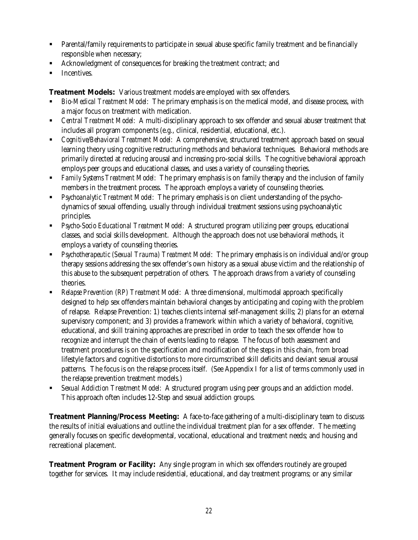- **•** Parental/family requirements to participate in sexual abuse specific family treatment and be financially responsible when necessary;
- ß Acknowledgment of consequences for breaking the treatment contract; and
- **Incentives.**

**Treatment Models:** Various treatment models are employed with sex offenders.

- ß *Bio-Medical Treatment Model*: The primary emphasis is on the medical model, and disease process, with a major focus on treatment with medication.
- ß *Central Treatment Model*: A multi-disciplinary approach to sex offender and sexual abuser treatment that includes all program components (e.g., clinical, residential, educational, etc.).
- **EXECO 6 1 Cognitive/Behavioral Treatment Model:** A comprehensive, structured treatment approach based on sexual learning theory using cognitive restructuring methods and behavioral techniques. Behavioral methods are primarily directed at reducing arousal and increasing pro-social skills. The cognitive behavioral approach employs peer groups and educational classes, and uses a variety of counseling theories.
- ß *Family Systems Treatment Model*: The primary emphasis is on family therapy and the inclusion of family members in the treatment process. The approach employs a variety of counseling theories.
- ß *Psychoanalytic Treatment Model*: The primary emphasis is on client understanding of the psychodynamics of sexual offending, usually through individual treatment sessions using psychoanalytic principles.
- **•** *Psycho-Socio Educational Treatment Model*: A structured program utilizing peer groups, educational classes, and social skills development. Although the approach does not use behavioral methods, it employs a variety of counseling theories.
- ß *Psychotherapeutic (Sexual Trauma) Treatment Model*: The primary emphasis is on individual and/or group therapy sessions addressing the sex offender's own history as a sexual abuse victim and the relationship of this abuse to the subsequent perpetration of others. The approach draws from a variety of counseling theories.
- ß *Relapse Prevention (RP) Treatment Model*: A three dimensional, multimodal approach specifically designed to help sex offenders maintain behavioral changes by anticipating and coping with the problem of relapse. Relapse Prevention: 1) teaches clients internal self-management skills; 2) plans for an external supervisory component; and 3) provides a framework within which a variety of behavioral, cognitive, educational, and skill training approaches are prescribed in order to teach the sex offender how to recognize and interrupt the chain of events leading to relapse. The focus of both assessment and treatment procedures is on the specification and modification of the steps in this chain, from broad lifestyle factors and cognitive distortions to more circumscribed skill deficits and deviant sexual arousal patterns. The focus is on the relapse process itself. (See Appendix I for a list of terms commonly used in the relapse prevention treatment models.)
- ß *Sexual Addiction Treatment Model*: A structured program using peer groups and an addiction model. This approach often includes 12-Step and sexual addiction groups.

**Treatment Planning/Process Meeting:** A face-to-face gathering of a multi-disciplinary team to discuss the results of initial evaluations and outline the individual treatment plan for a sex offender. The meeting generally focuses on specific developmental, vocational, educational and treatment needs; and housing and recreational placement.

**Treatment Program or Facility:** Any single program in which sex offenders routinely are grouped together for services. It may include residential, educational, and day treatment programs; or any similar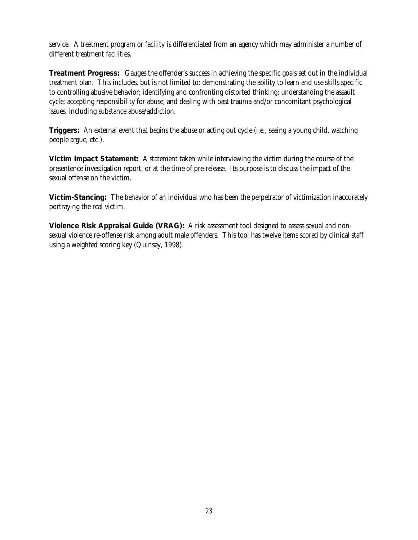service. A treatment program or facility is differentiated from an agency which may administer a number of different treatment facilities.

**Treatment Progress:** Gauges the offender's success in achieving the specific goals set out in the individual treatment plan. This includes, but is not limited to: demonstrating the ability to learn and use skills specific to controlling abusive behavior; identifying and confronting distorted thinking; understanding the assault cycle; accepting responsibility for abuse; and dealing with past trauma and/or concomitant psychological issues, including substance abuse/addiction.

**Triggers:** An external event that begins the abuse or acting out cycle (i.e., seeing a young child, watching people argue, etc.).

**Victim Impact Statement:** A statement taken while interviewing the victim during the course of the presentence investigation report, or at the time of pre-release. Its purpose is to discuss the impact of the sexual offense on the victim.

**Victim-Stancing:** The behavior of an individual who has been the perpetrator of victimization inaccurately portraying the real victim.

**Violence Risk Appraisal Guide (VRAG):** A risk assessment tool designed to assess sexual and nonsexual violence re-offense risk among adult male offenders. This tool has twelve items scored by clinical staff using a weighted scoring key (Quinsey, 1998).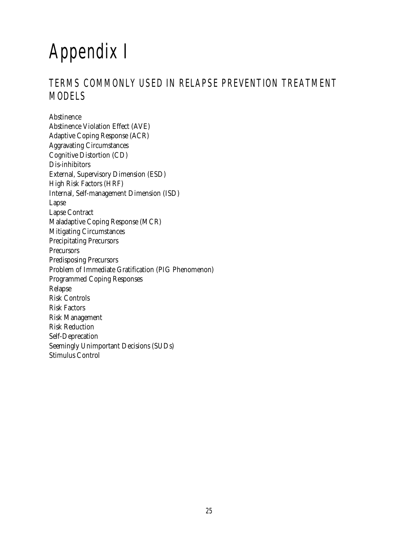## Appendix I

#### TERMS COMMONLY USED IN RELAPSE PREVENTION TREATMENT MODELS

Abstinence Abstinence Violation Effect (AVE) Adaptive Coping Response (ACR) Aggravating Circumstances Cognitive Distortion (CD) Dis-inhibitors External, Supervisory Dimension (ESD) High Risk Factors (HRF) Internal, Self-management Dimension (ISD) Lapse Lapse Contract Maladaptive Coping Response (MCR) Mitigating Circumstances Precipitating Precursors Precursors Predisposing Precursors Problem of Immediate Gratification (PIG Phenomenon) Programmed Coping Responses Relapse Risk Controls Risk Factors Risk Management Risk Reduction Self-Deprecation Seemingly Unimportant Decisions (SUDs) Stimulus Control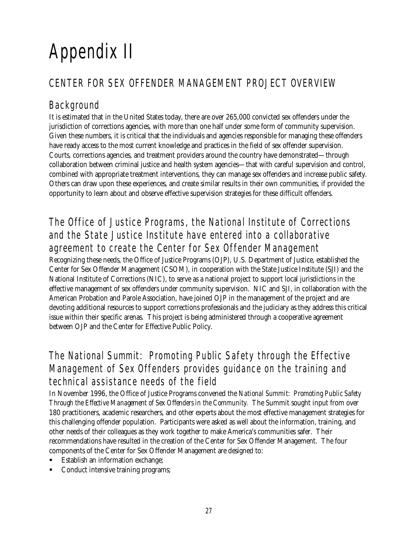# Appendix II

#### CENTER FOR SEX OFFENDER MANAGEMENT PROJECT OVERVIEW

#### Background

It is estimated that in the United States today, there are over 265,000 convicted sex offenders under the jurisdiction of corrections agencies, with more than one half under some form of community supervision. Given these numbers, it is critical that the individuals and agencies responsible for managing these offenders have ready access to the most current knowledge and practices in the field of sex offender supervision. Courts, corrections agencies, and treatment providers around the country have demonstrated—through collaboration between criminal justice and health system agencies—that with careful supervision and control, combined with appropriate treatment interventions, they can manage sex offenders and increase public safety. Others can draw upon these experiences, and create similar results in their own communities, if provided the opportunity to learn about and observe effective supervision strategies for these difficult offenders.

#### The Office of Justice Programs, the National Institute of Corrections and the State Justice Institute have entered into a collaborative agreement to create the Center for Sex Offender Management

Recognizing these needs, the Office of Justice Programs (OJP), U.S. Department of Justice, established the Center for Sex Offender Management (CSOM), in cooperation with the State Justice Institute (SJI) and the National Institute of Corrections (NIC), to serve as a national project to support local jurisdictions in the effective management of sex offenders under community supervision. NIC and SJI, in collaboration with the American Probation and Parole Association, have joined OJP in the management of the project and are devoting additional resources to support corrections professionals and the judiciary as they address this critical issue within their specific arenas. This project is being administered through a cooperative agreement between OJP and the Center for Effective Public Policy.

#### The National Summit: Promoting Public Safety through the Effective Management of Sex Offenders provides guidance on the training and technical assistance needs of the field

In November 1996, the Office of Justice Programs convened the *National Summit: Promoting Public Safety Through the Effective Management of Sex Offenders in the Community.* The Summit sought input from over 180 practitioners, academic researchers, and other experts about the most effective management strategies for this challenging offender population. Participants were asked as well about the information, training, and other needs of their colleagues as they work together to make America's communities safer. Their recommendations have resulted in the creation of the Center for Sex Offender Management. The four components of the Center for Sex Offender Management are designed to:

- ß Establish an information exchange;
- ß Conduct intensive training programs;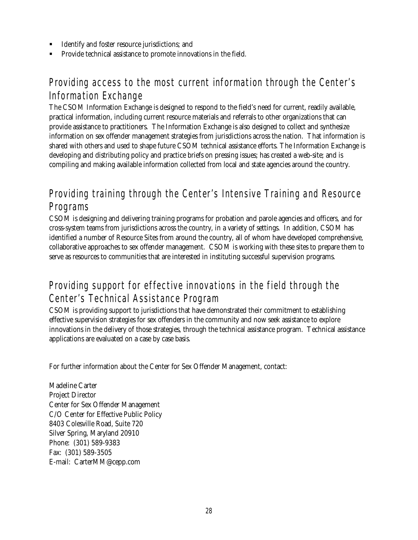- Identify and foster resource jurisdictions; and
- ß Provide technical assistance to promote innovations in the field.

#### Providing access to the most current information through the Center's Information Exchange

The CSOM Information Exchange is designed to respond to the field's need for current, readily available, practical information, including current resource materials and referrals to other organizations that can provide assistance to practitioners. The Information Exchange is also designed to collect and synthesize information on sex offender management strategies from jurisdictions across the nation. That information is shared with others and used to shape future CSOM technical assistance efforts. The Information Exchange is developing and distributing policy and practice briefs on pressing issues; has created a web-site; and is compiling and making available information collected from local and state agencies around the country.

#### Providing training through the Center's Intensive Training and Resource Programs

CSOM is designing and delivering training programs for probation and parole agencies and officers, and for cross-system teams from jurisdictions across the country, in a variety of settings. In addition, CSOM has identified a number of Resource Sites from around the country, all of whom have developed comprehensive, collaborative approaches to sex offender management. CSOM is working with these sites to prepare them to serve as resources to communities that are interested in instituting successful supervision programs.

#### Providing support for effective innovations in the field through the Center's Technical Assistance Program

CSOM is providing support to jurisdictions that have demonstrated their commitment to establishing effective supervision strategies for sex offenders in the community and now seek assistance to explore innovations in the delivery of those strategies, through the technical assistance program. Technical assistance applications are evaluated on a case by case basis.

For further information about the Center for Sex Offender Management, contact:

Madeline Carter Project Director Center for Sex Offender Management C/O Center for Effective Public Policy 8403 Colesville Road, Suite 720 Silver Spring, Maryland 20910 Phone: (301) 589-9383 Fax: (301) 589-3505 E-mail: CarterMM@cepp.com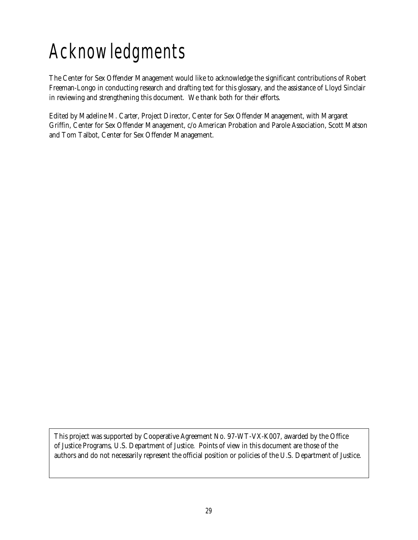## Acknowledgments

The Center for Sex Offender Management would like to acknowledge the significant contributions of Robert Freeman-Longo in conducting research and drafting text for this glossary, and the assistance of Lloyd Sinclair in reviewing and strengthening this document. We thank both for their efforts.

Edited by Madeline M. Carter, Project Director, Center for Sex Offender Management, with Margaret Griffin, Center for Sex Offender Management, c/o American Probation and Parole Association, Scott Matson and Tom Talbot, Center for Sex Offender Management.

This project was supported by Cooperative Agreement No. 97-WT-VX-K007, awarded by the Office of Justice Programs, U.S. Department of Justice. Points of view in this document are those of the authors and do not necessarily represent the official position or policies of the U.S. Department of Justice.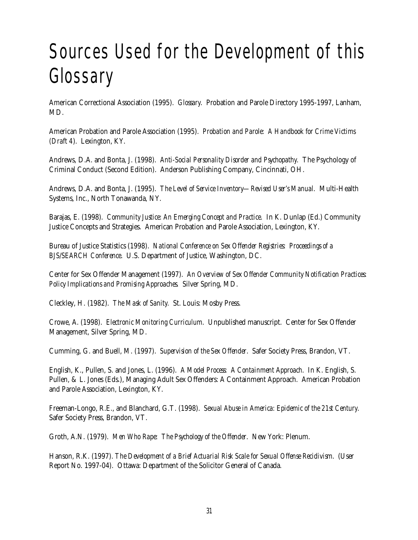## Sources Used for the Development of this Glossary

American Correctional Association (1995). *Glossary*. Probation and Parole Directory 1995-1997, Lanham, MD.

American Probation and Parole Association (1995). *Probation and Parole: A Handbook for Crime Victims (Draft 4*). Lexington, KY.

Andrews, D.A. and Bonta, J. (1998). *Anti-Social Personality Disorder and Psychopathy.* The Psychology of Criminal Conduct (Second Edition). Anderson Publishing Company, Cincinnati, OH.

Andrews, D.A. and Bonta, J. (1995). *The Level of Service Inventory—Revised User's Manual*. Multi-Health Systems, Inc., North Tonawanda, NY.

Barajas, E. (1998). *Community Justice: An Emerging Concept and Practice*. In K. Dunlap (Ed.) Community Justice Concepts and Strategies. American Probation and Parole Association, Lexington, KY.

Bureau of Justice Statistics (1998). *National Conference on Sex Offender Registries: Proceedings of a BJS/SEARCH Conference*. U.S. Department of Justice, Washington, DC.

Center for Sex Offender Management (1997). *An Overview of Sex Offender Community Notification Practices: Policy Implications and Promising Approaches.* Silver Spring, MD.

Cleckley, H. (1982). *The Mask of Sanity.* St. Louis: Mosby Press.

Crowe, A. (1998). *Electronic Monitoring Curriculum*. Unpublished manuscript. Center for Sex Offender Management, Silver Spring, MD.

Cumming, G. and Buell, M. (1997). *Supervision of the Sex Offender*. Safer Society Press, Brandon, VT.

English, K., Pullen, S. and Jones, L. (1996). *A Model Process: A Containment Approach*. In K. English, S. Pullen, & L. Jones (Eds.), Managing Adult Sex Offenders: A Containment Approach. American Probation and Parole Association, Lexington, KY.

Freeman-Longo, R.E., and Blanchard, G.T. (1998). *Sexual Abuse in America: Epidemic of the 21st Century*. Safer Society Press, Brandon, VT.

Groth, A.N. (1979). *Men Who Rape: The Psychology of the Offender*. New York: Plenum.

Hanson, R.K. (1997). *The Development of a Brief Actuarial Risk Scale for Sexual Offense Recidivism*. (User Report No. 1997-04). Ottawa: Department of the Solicitor General of Canada.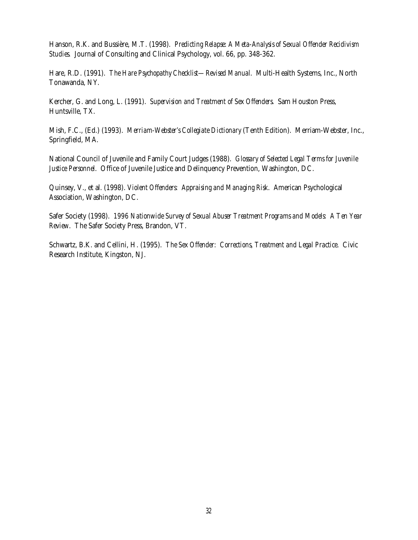Hanson, R.K. and Bussière, M.T. (1998). *Predicting Relapse: A Meta-Analysis of Sexual Offender Recidivism Studies.* Journal of Consulting and Clinical Psychology, vol. 66, pp. 348-362.

Hare, R.D. (1991). *The Hare Psychopathy Checklist—Revised Manual*. Multi-Health Systems, Inc., North Tonawanda, NY.

Kercher, G. and Long, L. (1991). *Supervision and Treatment of Sex Offenders*. Sam Houston Press, Huntsville, TX.

Mish, F.C., (Ed.) (1993). *Merriam-Webster's Collegiate Dictionary* (Tenth Edition). Merriam-Webster, Inc., Springfield, MA.

National Council of Juvenile and Family Court Judges (1988). *Glossary of Selected Legal Terms for Juvenile Justice Personnel*. Office of Juvenile Justice and Delinquency Prevention, Washington, DC.

Quinsey, V., et al. (1998). *Violent Offenders: Appraising and Managing Risk*. American Psychological Association, Washington, DC.

Safer Society (1998). *1996 Nationwide Survey of Sexual Abuser Treatment Programs and Models: A Ten Year Review*. The Safer Society Press, Brandon, VT.

Schwartz, B.K. and Cellini, H. (1995). *The Sex Offender: Corrections, Treatment and Legal Practice*. Civic Research Institute, Kingston, NJ.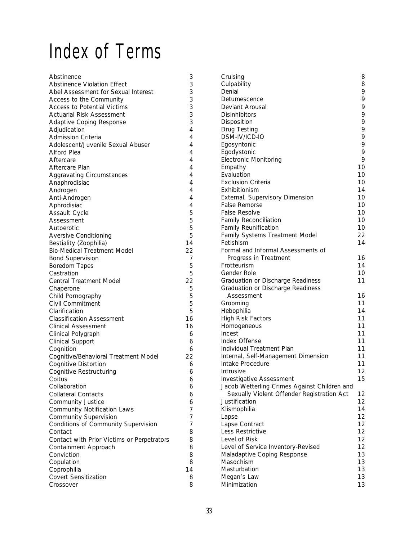### Index of Terms

| Abstinence                                 | 3  | Cruising                                     | 8        |
|--------------------------------------------|----|----------------------------------------------|----------|
| <b>Abstinence Violation Effect</b>         | 3  | Culpability                                  | 8        |
| Abel Assessment for Sexual Interest        | 3  | Denial                                       | 9        |
| Access to the Community                    | 3  | Detumescence                                 | 9        |
| <b>Access to Potential Victims</b>         | 3  | Deviant Arousal                              | 9        |
| <b>Actuarial Risk Assessment</b>           | 3  | <b>Disinhibitors</b>                         | 9        |
| Adaptive Coping Response                   | 3  | Disposition                                  | 9        |
| Adjudication                               | 4  | Drug Testing                                 | 9        |
| <b>Admission Criteria</b>                  | 4  | DSM-IV/ICD-IO                                | 9        |
| Adolescent/Juvenile Sexual Abuser          | 4  | Egosyntonic                                  | 9        |
| <b>Alford Plea</b>                         | 4  | Egodystonic                                  | 9        |
| Aftercare                                  | 4  | <b>Electronic Monitoring</b>                 | 9        |
| Aftercare Plan                             | 4  | Empathy                                      | 10       |
| <b>Aggravating Circumstances</b>           | 4  | Evaluation                                   | 10       |
| Anaphrodisiac                              | 4  | <b>Exclusion Criteria</b>                    | 10       |
| Androgen                                   | 4  | Exhibitionism                                | 14       |
| Anti-Androgen                              | 4  | External, Supervisory Dimension              | 10       |
| Aphrodisiac                                | 4  | <b>False Remorse</b>                         | 10       |
| <b>Assault Cycle</b>                       | 5  | <b>False Resolve</b>                         | 10       |
| Assessment                                 | 5  | <b>Family Reconciliation</b>                 | 10       |
| Autoerotic                                 | 5  | <b>Family Reunification</b>                  | 10       |
| <b>Aversive Conditioning</b>               | 5  | Family Systems Treatment Model               | 22       |
| Bestiality (Zoophilia)                     | 14 | Fetishism                                    | 14       |
| <b>Bio-Medical Treatment Model</b>         | 22 | Formal and Informal Assessments of           |          |
|                                            | 7  | Progress in Treatment                        | 16       |
| <b>Bond Supervision</b>                    |    | Frotteurism                                  | 14       |
| Boredom Tapes                              | 5  | Gender Role                                  | 10       |
| Castration                                 | 5  |                                              |          |
| <b>Central Treatment Model</b>             | 22 | Graduation or Discharge Readiness            | 11       |
| Chaperone                                  | 5  | Graduation or Discharge Readiness            |          |
| Child Pornography                          | 5  | Assessment                                   | 16       |
| Civil Commitment                           | 5  | Grooming                                     | 11<br>14 |
| Clarification                              | 5  | Hebophilia                                   |          |
| <b>Classification Assessment</b>           | 16 | High Risk Factors                            | 11       |
| Clinical Assessment                        | 16 | Homogeneous                                  | 11       |
| Clinical Polygraph                         | 6  | Incest                                       | 11       |
| <b>Clinical Support</b>                    | 6  | Index Offense                                | 11       |
| Cognition                                  | 6  | Individual Treatment Plan                    | 11       |
| Cognitive/Behavioral Treatment Model       | 22 | Internal, Self-Management Dimension          | 11       |
| Cognitive Distortion                       | 6  | Intake Procedure                             | 11       |
| Cognitive Restructuring                    | 6  | <b>Intrusive</b>                             | 12       |
| Coitus                                     | 6  | Investigative Assessment                     | 15       |
| Collaboration                              | 6  | Jacob Wetterling Crimes Against Children and |          |
| <b>Collateral Contacts</b>                 | 6  | Sexually Violent Offender Registration Act   | 12       |
| <b>Community Justice</b>                   | 6  | Justification                                | 12       |
| <b>Community Notification Laws</b>         | 7  | Klismophilia                                 | 14       |
| <b>Community Supervision</b>               | 7  | Lapse                                        | 12       |
| Conditions of Community Supervision        | 7  | Lapse Contract                               | 12       |
| Contact                                    | 8  | Less Restrictive                             | 12       |
| Contact with Prior Victims or Perpetrators | 8  | Level of Risk                                | 12       |
| Containment Approach                       | 8  | Level of Service Inventory-Revised           | 12       |
| Conviction                                 | 8  | Maladaptive Coping Response                  | 13       |
| Copulation                                 | 8  | Masochism                                    | 13       |
| Coprophilia                                | 14 | Masturbation                                 | 13       |
| <b>Covert Sensitization</b>                | 8  | Megan's Law                                  | 13       |
| Crossover                                  | 8  | Minimization                                 | 13       |